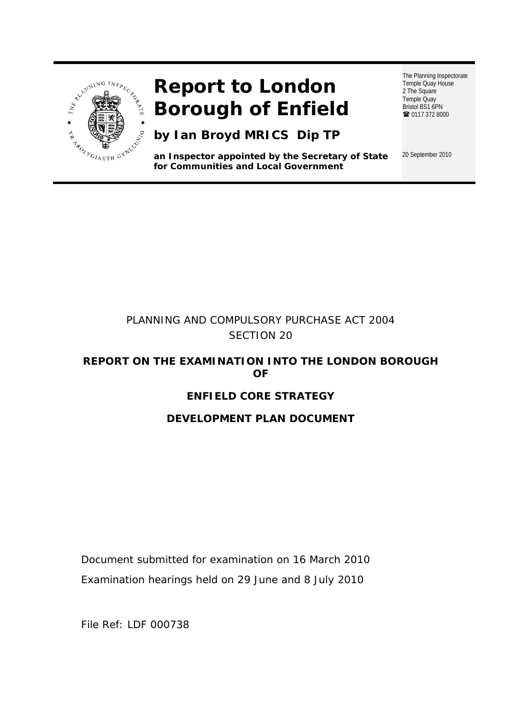

# **Report to London Borough of Enfield**

**by Ian Broyd MRICS Dip TP**

**an Inspector appointed by the Secretary of State for Communities and Local Government** 

The Planning Inspectorate Temple Quay House 2 The Square Temple Quay Bristol BS1 6PN ■ 0117 372 8000

20 September 2010

## PLANNING AND COMPULSORY PURCHASE ACT 2004 SECTION 20

## **REPORT ON THE EXAMINATION INTO THE LONDON BOROUGH OF**

## **ENFIELD CORE STRATEGY**

## **DEVELOPMENT PLAN DOCUMENT**

Document submitted for examination on 16 March 2010 Examination hearings held on 29 June and 8 July 2010

File Ref: LDF 000738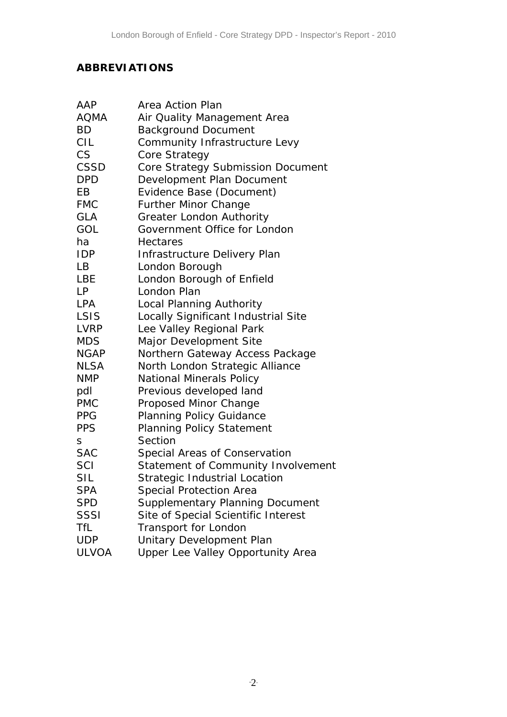## **ABBREVIATIONS**

| AAP          | Area Action Plan                       |
|--------------|----------------------------------------|
| AQMA         | Air Quality Management Area            |
| <b>BD</b>    | <b>Background Document</b>             |
| <b>CIL</b>   | Community Infrastructure Levy          |
| CS           | Core Strategy                          |
| CSSD         | Core Strategy Submission Document      |
| <b>DPD</b>   | Development Plan Document              |
| EB           | Evidence Base (Document)               |
| <b>FMC</b>   | <b>Further Minor Change</b>            |
| <b>GLA</b>   | <b>Greater London Authority</b>        |
| GOL          | Government Office for London           |
| ha           | <b>Hectares</b>                        |
| <b>IDP</b>   | Infrastructure Delivery Plan           |
| LB           | London Borough                         |
| LBE          | London Borough of Enfield              |
| LP           | London Plan                            |
| <b>LPA</b>   | Local Planning Authority               |
| LSIS         | Locally Significant Industrial Site    |
| LVRP         | Lee Valley Regional Park               |
| <b>MDS</b>   | Major Development Site                 |
| <b>NGAP</b>  | Northern Gateway Access Package        |
| <b>NLSA</b>  | North London Strategic Alliance        |
| <b>NMP</b>   | <b>National Minerals Policy</b>        |
| pdl          | Previous developed land                |
| PMC          | Proposed Minor Change                  |
| <b>PPG</b>   | <b>Planning Policy Guidance</b>        |
| <b>PPS</b>   | <b>Planning Policy Statement</b>       |
| S            | Section                                |
| <b>SAC</b>   | Special Areas of Conservation          |
| SCI          | Statement of Community Involvement     |
| <b>SIL</b>   | Strategic Industrial Location          |
| <b>SPA</b>   | <b>Special Protection Area</b>         |
| <b>SPD</b>   | <b>Supplementary Planning Document</b> |
| SSSI         | Site of Special Scientific Interest    |
| <b>TfL</b>   | Transport for London                   |
| <b>UDP</b>   | Unitary Development Plan               |
| <b>ULVOA</b> | Upper Lee Valley Opportunity Area      |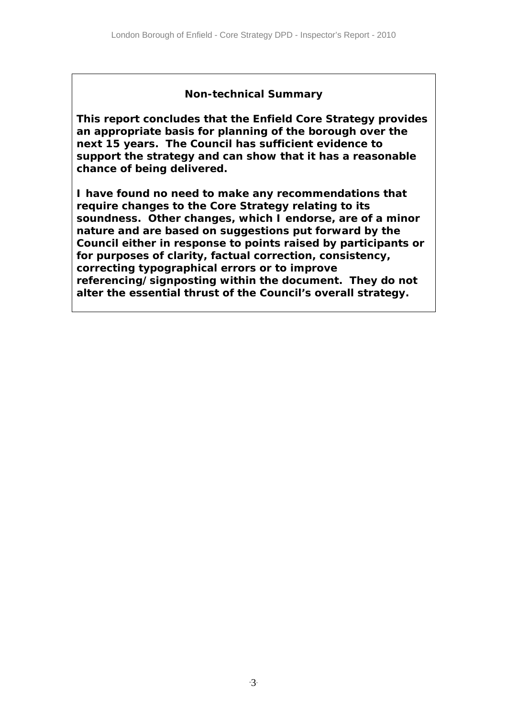## **Non-technical Summary**

**This report concludes that the Enfield Core Strategy provides an appropriate basis for planning of the borough over the next 15 years. The Council has sufficient evidence to support the strategy and can show that it has a reasonable chance of being delivered.** 

**I have found no need to make any recommendations that require changes to the Core Strategy relating to its soundness. Other changes, which I endorse, are of a minor nature and are based on suggestions put forward by the Council either in response to points raised by participants or for purposes of clarity, factual correction, consistency, correcting typographical errors or to improve referencing/signposting within the document. They do not alter the essential thrust of the Council's overall strategy.**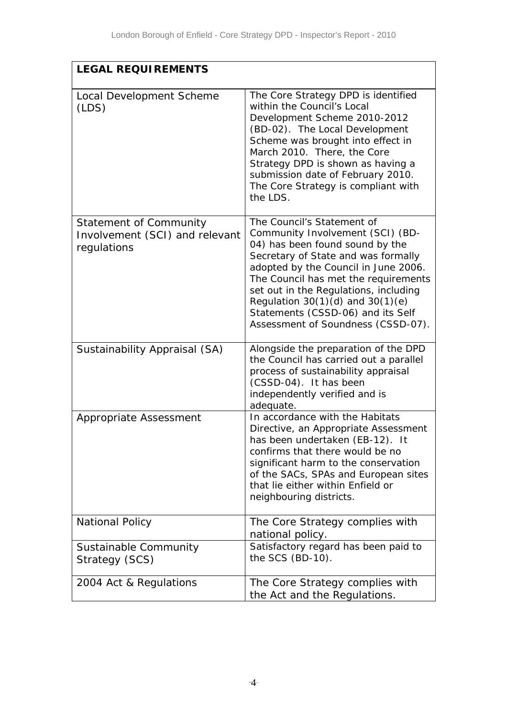| <b>LEGAL REQUIREMENTS</b>                                                      |                                                                                                                                                                                                                                                                                                                                                                                      |
|--------------------------------------------------------------------------------|--------------------------------------------------------------------------------------------------------------------------------------------------------------------------------------------------------------------------------------------------------------------------------------------------------------------------------------------------------------------------------------|
| Local Development Scheme<br>(LDS)                                              | The Core Strategy DPD is identified<br>within the Council's Local<br>Development Scheme 2010-2012<br>(BD-02). The Local Development<br>Scheme was brought into effect in<br>March 2010. There, the Core<br>Strategy DPD is shown as having a<br>submission date of February 2010.<br>The Core Strategy is compliant with<br>the LDS.                                                 |
| <b>Statement of Community</b><br>Involvement (SCI) and relevant<br>regulations | The Council's Statement of<br>Community Involvement (SCI) (BD-<br>04) has been found sound by the<br>Secretary of State and was formally<br>adopted by the Council in June 2006.<br>The Council has met the requirements<br>set out in the Regulations, including<br>Regulation $30(1)(d)$ and $30(1)(e)$<br>Statements (CSSD-06) and its Self<br>Assessment of Soundness (CSSD-07). |
| Sustainability Appraisal (SA)                                                  | Alongside the preparation of the DPD<br>the Council has carried out a parallel<br>process of sustainability appraisal<br>(CSSD-04). It has been<br>independently verified and is<br>adequate.                                                                                                                                                                                        |
| Appropriate Assessment                                                         | In accordance with the Habitats<br>Directive, an Appropriate Assessment<br>has been undertaken (EB-12). It<br>confirms that there would be no<br>significant harm to the conservation<br>of the SACs, SPAs and European sites<br>that lie either within Enfield or<br>neighbouring districts.                                                                                        |
| <b>National Policy</b>                                                         | The Core Strategy complies with<br>national policy.                                                                                                                                                                                                                                                                                                                                  |
| Sustainable Community<br>Strategy (SCS)                                        | Satisfactory regard has been paid to<br>the SCS (BD-10).                                                                                                                                                                                                                                                                                                                             |
| 2004 Act & Regulations                                                         | The Core Strategy complies with<br>the Act and the Regulations.                                                                                                                                                                                                                                                                                                                      |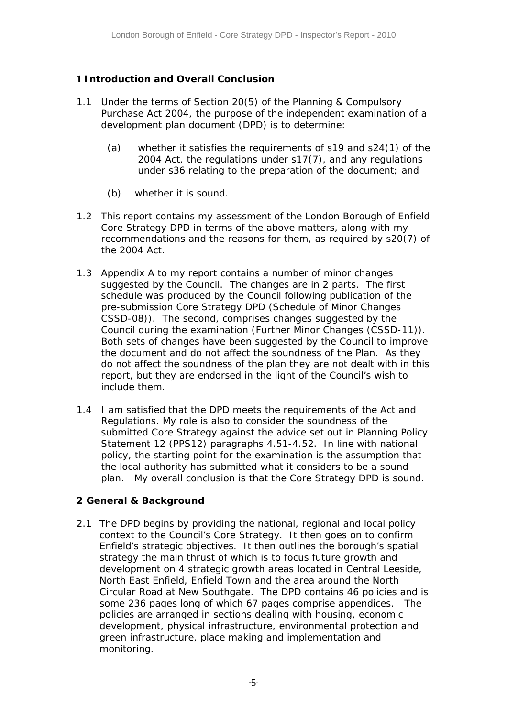#### **1 Introduction and Overall Conclusion**

- 1.1 Under the terms of Section 20(5) of the Planning & Compulsory Purchase Act 2004, the purpose of the independent examination of a development plan document (DPD) is to determine:
	- (a) whether it satisfies the requirements of s19 and s24(1) of the 2004 Act, the regulations under s17(7), and any regulations under s36 relating to the preparation of the document; and
	- (b) whether it is sound.
- 1.2 This report contains my assessment of the London Borough of Enfield Core Strategy DPD in terms of the above matters, along with my recommendations and the reasons for them, as required by s20(7) of the 2004 Act.
- 1.3 Appendix A to my report contains a number of minor changes suggested by the Council. The changes are in 2 parts. The first schedule was produced by the Council following publication of the pre-submission Core Strategy DPD (Schedule of Minor Changes CSSD-08)). The second, comprises changes suggested by the Council during the examination (Further Minor Changes (CSSD-11)). Both sets of changes have been suggested by the Council to improve the document and do not affect the soundness of the Plan. As they do not affect the soundness of the plan they are not dealt with in this report, but they are endorsed in the light of the Council's wish to include them.
- 1.4 I am satisfied that the DPD meets the requirements of the Act and Regulations. My role is also to consider the soundness of the submitted Core Strategy against the advice set out in Planning Policy Statement 12 (PPS12) paragraphs 4.51-4.52. In line with national policy, the starting point for the examination is the assumption that the local authority has submitted what it considers to be a sound plan. My overall conclusion is that the Core Strategy DPD is sound.

#### **2 General & Background**

2.1 The DPD begins by providing the national, regional and local policy context to the Council's Core Strategy. It then goes on to confirm Enfield's strategic objectives. It then outlines the borough's spatial strategy the main thrust of which is to focus future growth and development on 4 strategic growth areas located in Central Leeside, North East Enfield, Enfield Town and the area around the North Circular Road at New Southgate. The DPD contains 46 policies and is some 236 pages long of which 67 pages comprise appendices. The policies are arranged in sections dealing with housing, economic development, physical infrastructure, environmental protection and green infrastructure, place making and implementation and monitoring.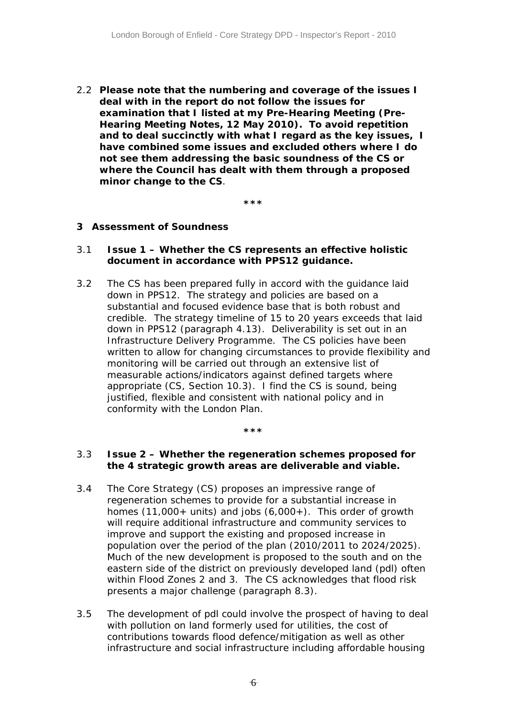2.2 **Please note that the numbering and coverage of the issues I deal with in the report do not follow the issues for examination that I listed at my Pre-Hearing Meeting (Pre-Hearing Meeting Notes, 12 May 2010). To avoid repetition and to deal succinctly with what I regard as the key issues, I have combined some issues and excluded others where I do not see them addressing the basic soundness of the CS or where the Council has dealt with them through a proposed minor change to the CS**.

**\*\*\*** 

#### **3 Assessment of Soundness**

#### 3.1 *Issue 1 – Whether the CS represents an effective holistic document in accordance with PPS12 guidance.*

3.2 The CS has been prepared fully in accord with the guidance laid down in PPS12. The strategy and policies are based on a substantial and focused evidence base that is both robust and credible. The strategy timeline of 15 to 20 years exceeds that laid down in PPS12 (paragraph 4.13). Deliverability is set out in an Infrastructure Delivery Programme. The CS policies have been written to allow for changing circumstances to provide flexibility and monitoring will be carried out through an extensive list of measurable actions/indicators against defined targets where appropriate (CS, Section 10.3). I find the CS is sound, being justified, flexible and consistent with national policy and in conformity with the London Plan.

#### **\*\*\***

#### 3.3 *Issue 2 – Whether the regeneration schemes proposed for the 4 strategic growth areas are deliverable and viable.*

- 3.4 The Core Strategy (CS) proposes an impressive range of regeneration schemes to provide for a substantial increase in homes  $(11,000+$  units) and jobs  $(6,000+)$ . This order of growth will require additional infrastructure and community services to improve and support the existing and proposed increase in population over the period of the plan (2010/2011 to 2024/2025). Much of the new development is proposed to the south and on the eastern side of the district on previously developed land (pdl) often within Flood Zones 2 and 3. The CS acknowledges that flood risk presents a major challenge (paragraph 8.3).
- 3.5 The development of pdl could involve the prospect of having to deal with pollution on land formerly used for utilities, the cost of contributions towards flood defence/mitigation as well as other infrastructure and social infrastructure including affordable housing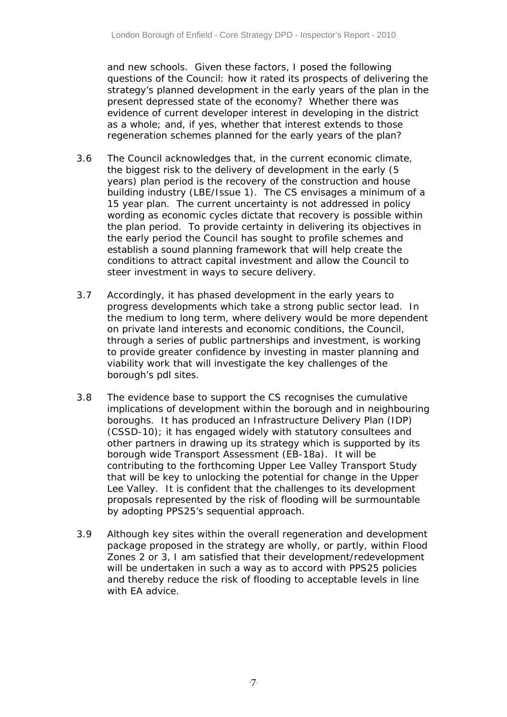and new schools. Given these factors, I posed the following questions of the Council: how it rated its prospects of delivering the strategy's planned development in the early years of the plan in the present depressed state of the economy? Whether there was evidence of current developer interest in developing in the district as a whole; and, if yes, whether that interest extends to those regeneration schemes planned for the early years of the plan?

- 3.6 The Council acknowledges that, in the current economic climate, the biggest risk to the delivery of development in the early (5 years) plan period is the recovery of the construction and house building industry (LBE/Issue 1). The CS envisages a minimum of a 15 year plan. The current uncertainty is not addressed in policy wording as economic cycles dictate that recovery is possible within the plan period. To provide certainty in delivering its objectives in the early period the Council has sought to profile schemes and establish a sound planning framework that will help create the conditions to attract capital investment and allow the Council to steer investment in ways to secure delivery.
- 3.7 Accordingly, it has phased development in the early years to progress developments which take a strong public sector lead. In the medium to long term, where delivery would be more dependent on private land interests and economic conditions, the Council, through a series of public partnerships and investment, is working to provide greater confidence by investing in master planning and viability work that will investigate the key challenges of the borough's pdl sites.
- 3.8 The evidence base to support the CS recognises the cumulative implications of development within the borough and in neighbouring boroughs. It has produced an Infrastructure Delivery Plan (IDP) (CSSD-10); it has engaged widely with statutory consultees and other partners in drawing up its strategy which is supported by its borough wide Transport Assessment (EB-18a). It will be contributing to the forthcoming Upper Lee Valley Transport Study that will be key to unlocking the potential for change in the Upper Lee Valley. It is confident that the challenges to its development proposals represented by the risk of flooding will be surmountable by adopting PPS25's sequential approach.
- 3.9 Although key sites within the overall regeneration and development package proposed in the strategy are wholly, or partly, within Flood Zones 2 or 3, I am satisfied that their development/redevelopment will be undertaken in such a way as to accord with PPS25 policies and thereby reduce the risk of flooding to acceptable levels in line with EA advice.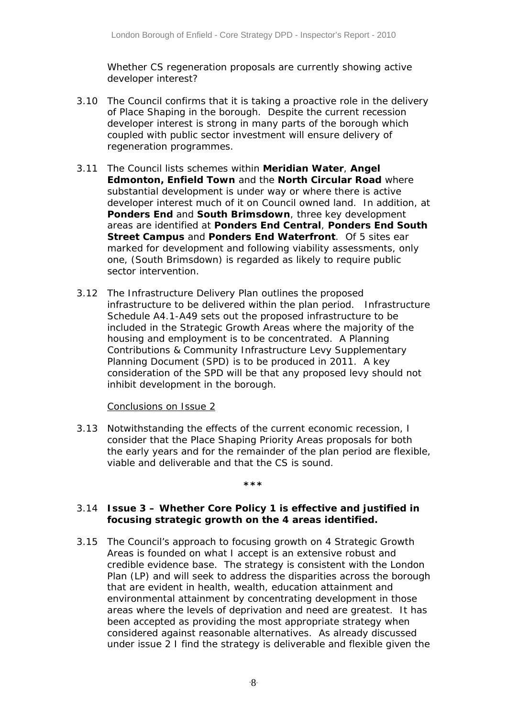*Whether CS regeneration proposals are currently showing active developer interest?* 

- 3.10 The Council confirms that it is taking a proactive role in the delivery of Place Shaping in the borough. Despite the current recession developer interest is strong in many parts of the borough which coupled with public sector investment will ensure delivery of regeneration programmes.
- 3.11 The Council lists schemes within **Meridian Water**, **Angel Edmonton, Enfield Town** and the **North Circular Road** where substantial development is under way or where there is active developer interest much of it on Council owned land. In addition, at **Ponders End** and **South Brimsdown**, three key development areas are identified at **Ponders End Central**, **Ponders End South Street Campus** and **Ponders End Waterfront**. Of 5 sites ear marked for development and following viability assessments, only one, (South Brimsdown) is regarded as likely to require public sector intervention.
- 3.12 The Infrastructure Delivery Plan outlines the proposed infrastructure to be delivered within the plan period. Infrastructure Schedule A4.1-A49 sets out the proposed infrastructure to be included in the Strategic Growth Areas where the majority of the housing and employment is to be concentrated. A Planning Contributions & Community Infrastructure Levy Supplementary Planning Document (SPD) is to be produced in 2011. A key consideration of the SPD will be that any proposed levy should not inhibit development in the borough.

#### Conclusions on Issue 2

3.13 Notwithstanding the effects of the current economic recession, I consider that the Place Shaping Priority Areas proposals for both the early years and for the remainder of the plan period are flexible, viable and deliverable and that the CS is sound.

#### **\*\*\***

#### 3.14 *Issue 3 – Whether Core Policy 1 is effective and justified in focusing strategic growth on the 4 areas identified.*

3.15 The Council's approach to focusing growth on 4 Strategic Growth Areas is founded on what I accept is an extensive robust and credible evidence base. The strategy is consistent with the London Plan (LP) and will seek to address the disparities across the borough that are evident in health, wealth, education attainment and environmental attainment by concentrating development in those areas where the levels of deprivation and need are greatest. It has been accepted as providing the most appropriate strategy when considered against reasonable alternatives. As already discussed under issue 2 I find the strategy is deliverable and flexible given the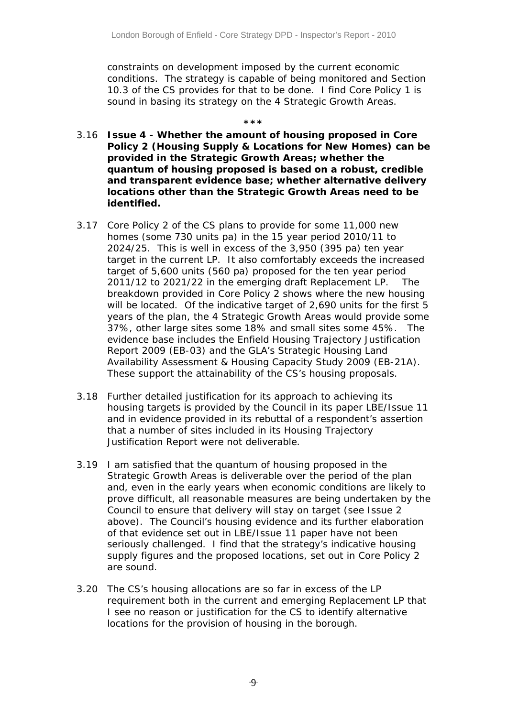constraints on development imposed by the current economic conditions. The strategy is capable of being monitored and Section 10.3 of the CS provides for that to be done. I find Core Policy 1 is sound in basing its strategy on the 4 Strategic Growth Areas.

#### **\*\*\***

- 3.16 *Issue 4 Whether the amount of housing proposed in Core Policy 2 (Housing Supply & Locations for New Homes) can be provided in the Strategic Growth Areas; whether the quantum of housing proposed is based on a robust, credible and transparent evidence base; whether alternative delivery locations other than the Strategic Growth Areas need to be identified.*
- 3.17 Core Policy 2 of the CS plans to provide for some 11,000 new homes (some 730 units pa) in the 15 year period 2010/11 to 2024/25. This is well in excess of the 3,950 (395 pa) ten year target in the current LP. It also comfortably exceeds the increased target of 5,600 units (560 pa) proposed for the ten year period 2011/12 to 2021/22 in the emerging draft Replacement LP. The breakdown provided in Core Policy 2 shows where the new housing will be located. Of the indicative target of 2,690 units for the first 5 years of the plan, the 4 Strategic Growth Areas would provide some 37%, other large sites some 18% and small sites some 45%. The evidence base includes the Enfield Housing Trajectory Justification Report 2009 (EB-03) and the GLA's Strategic Housing Land Availability Assessment & Housing Capacity Study 2009 (EB-21A). These support the attainability of the CS's housing proposals.
- 3.18 Further detailed justification for its approach to achieving its housing targets is provided by the Council in its paper LBE/Issue 11 and in evidence provided in its rebuttal of a respondent's assertion that a number of sites included in its Housing Trajectory Justification Report were not deliverable.
- 3.19 I am satisfied that the quantum of housing proposed in the Strategic Growth Areas is deliverable over the period of the plan and, even in the early years when economic conditions are likely to prove difficult, all reasonable measures are being undertaken by the Council to ensure that delivery will stay on target (see Issue 2 above). The Council's housing evidence and its further elaboration of that evidence set out in LBE/Issue 11 paper have not been seriously challenged. I find that the strategy's indicative housing supply figures and the proposed locations, set out in Core Policy 2 are sound.
- 3.20 The CS's housing allocations are so far in excess of the LP requirement both in the current and emerging Replacement LP that I see no reason or justification for the CS to identify alternative locations for the provision of housing in the borough.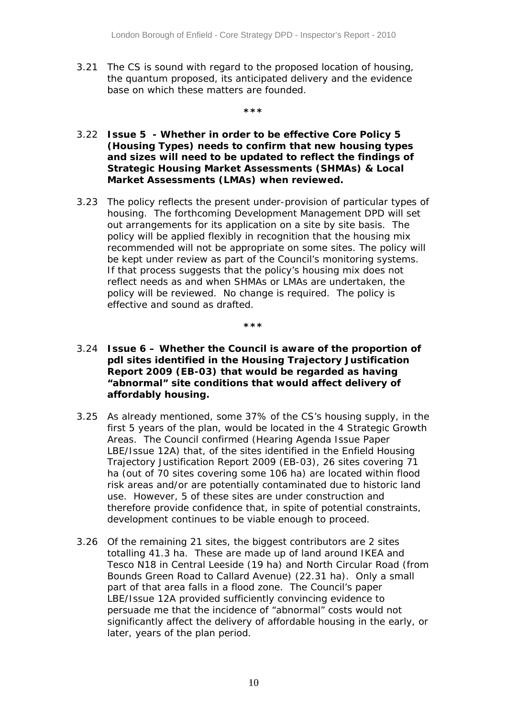3.21 The CS is sound with regard to the proposed location of housing, the quantum proposed, its anticipated delivery and the evidence base on which these matters are founded.

**\*\*\***

#### 3.22 *Issue 5 - Whether in order to be effective Core Policy 5 (Housing Types) needs to confirm that new housing types and sizes will need to be updated to reflect the findings of Strategic Housing Market Assessments (SHMAs) & Local Market Assessments (LMAs) when reviewed.*

3.23 The policy reflects the present under-provision of particular types of housing. The forthcoming Development Management DPD will set out arrangements for its application on a site by site basis. The policy will be applied flexibly in recognition that the housing mix recommended will not be appropriate on some sites. The policy will be kept under review as part of the Council's monitoring systems. If that process suggests that the policy's housing mix does not reflect needs as and when SHMAs or LMAs are undertaken, the policy will be reviewed. No change is required. The policy is effective and sound as drafted.

**\*\*\*** 

- 3.24 *Issue 6 Whether the Council is aware of the proportion of pdl sites identified in the Housing Trajectory Justification Report 2009 (EB-03) that would be regarded as having "abnormal" site conditions that would affect delivery of affordably housing.*
- 3.25 As already mentioned, some 37% of the CS's housing supply, in the first 5 years of the plan, would be located in the 4 Strategic Growth Areas. The Council confirmed (Hearing Agenda Issue Paper LBE/Issue 12A) that, of the sites identified in the Enfield Housing Trajectory Justification Report 2009 (EB-03), 26 sites covering 71 ha (out of 70 sites covering some 106 ha) are located within flood risk areas and/or are potentially contaminated due to historic land use. However, 5 of these sites are under construction and therefore provide confidence that, in spite of potential constraints, development continues to be viable enough to proceed.
- 3.26 Of the remaining 21 sites, the biggest contributors are 2 sites totalling 41.3 ha. These are made up of land around IKEA and Tesco N18 in Central Leeside (19 ha) and North Circular Road (from Bounds Green Road to Callard Avenue) (22.31 ha). Only a small part of that area falls in a flood zone. The Council's paper LBE/Issue 12A provided sufficiently convincing evidence to persuade me that the incidence of "abnormal" costs would not significantly affect the delivery of affordable housing in the early, or later, years of the plan period.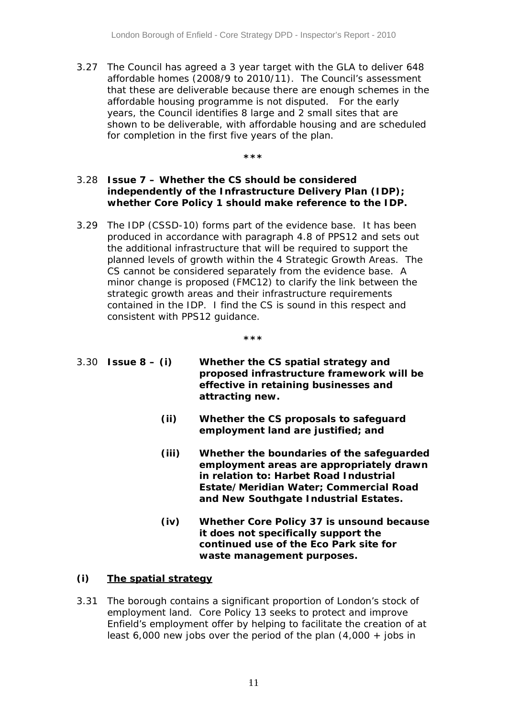3.27 The Council has agreed a 3 year target with the GLA to deliver 648 affordable homes (2008/9 to 2010/11). The Council's assessment that these are deliverable because there are enough schemes in the affordable housing programme is not disputed. For the early years, the Council identifies 8 large and 2 small sites that are shown to be deliverable, with affordable housing and are scheduled for completion in the first five years of the plan.

**\*\*\***

#### 3.28 *Issue 7 – Whether the CS should be considered independently of the Infrastructure Delivery Plan (IDP); whether Core Policy 1 should make reference to the IDP.*

3.29 The IDP (CSSD-10) forms part of the evidence base. It has been produced in accordance with paragraph 4.8 of PPS12 and sets out the additional infrastructure that will be required to support the planned levels of growth within the 4 Strategic Growth Areas. The CS cannot be considered separately from the evidence base. A minor change is proposed (FMC12) to clarify the link between the strategic growth areas and their infrastructure requirements contained in the IDP. I find the CS is sound in this respect and consistent with PPS12 guidance.

**\*\*\***

- 3.30 *Issue 8 (i) Whether the CS spatial strategy and proposed infrastructure framework will be effective in retaining businesses and attracting new.*
	- *(ii) Whether the CS proposals to safeguard employment land are justified; and*
	- *(iii) Whether the boundaries of the safeguarded employment areas are appropriately drawn in relation to: Harbet Road Industrial Estate/Meridian Water; Commercial Road and* **New Southgate Industrial Estates.**
	- *(iv) Whether Core Policy 37 is unsound because it does not specifically support the continued use of the Eco Park site for waste management purposes.*

#### *(i) The spatial strategy*

3.31 The borough contains a significant proportion of London's stock of employment land. Core Policy 13 seeks to protect and improve Enfield's employment offer by helping to facilitate the creation of at least 6,000 new jobs over the period of the plan  $(4,000 + jobs$  in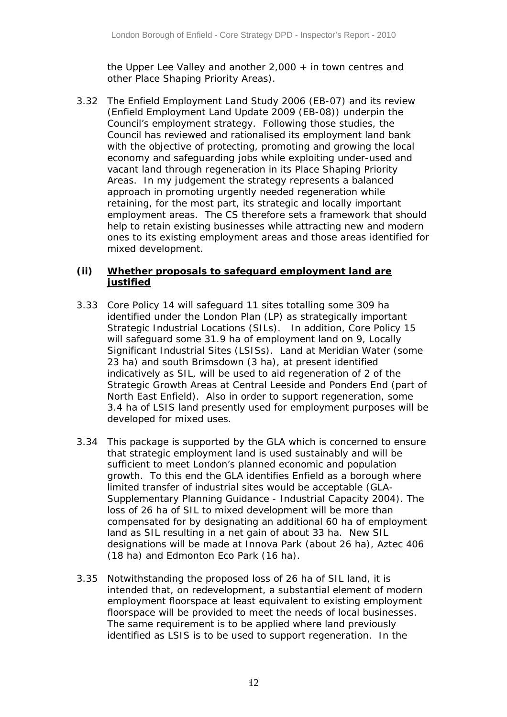the Upper Lee Valley and another 2,000 + in town centres and other Place Shaping Priority Areas).

3.32 The Enfield Employment Land Study 2006 (EB-07) and its review (Enfield Employment Land Update 2009 (EB-08)) underpin the Council's employment strategy. Following those studies, the Council has reviewed and rationalised its employment land bank with the objective of protecting, promoting and growing the local economy and safeguarding jobs while exploiting under-used and vacant land through regeneration in its Place Shaping Priority Areas. In my judgement the strategy represents a balanced approach in promoting urgently needed regeneration while retaining, for the most part, its strategic and locally important employment areas. The CS therefore sets a framework that should help to retain existing businesses while attracting new and modern ones to its existing employment areas and those areas identified for mixed development.

#### *(ii) Whether proposals to safeguard employment land are justified*

- 3.33 Core Policy 14 will safeguard 11 sites totalling some 309 ha identified under the London Plan (LP) as strategically important Strategic Industrial Locations (SILs). In addition, Core Policy 15 will safeguard some 31.9 ha of employment land on 9, Locally Significant Industrial Sites (LSISs). Land at Meridian Water (some 23 ha) and south Brimsdown (3 ha), at present identified indicatively as SIL, will be used to aid regeneration of 2 of the Strategic Growth Areas at Central Leeside and Ponders End (part of North East Enfield). Also in order to support regeneration, some 3.4 ha of LSIS land presently used for employment purposes will be developed for mixed uses.
- 3.34 This package is supported by the GLA which is concerned to ensure that strategic employment land is used sustainably and will be sufficient to meet London's planned economic and population growth. To this end the GLA identifies Enfield as a borough where limited transfer of industrial sites would be acceptable (GLA-Supplementary Planning Guidance - Industrial Capacity 2004). The loss of 26 ha of SIL to mixed development will be more than compensated for by designating an additional 60 ha of employment land as SIL resulting in a net gain of about 33 ha. New SIL designations will be made at Innova Park (about 26 ha), Aztec 406 (18 ha) and Edmonton Eco Park (16 ha).
- 3.35 Notwithstanding the proposed loss of 26 ha of SIL land, it is intended that, on redevelopment, a substantial element of modern employment floorspace at least equivalent to existing employment floorspace will be provided to meet the needs of local businesses. The same requirement is to be applied where land previously identified as LSIS is to be used to support regeneration. In the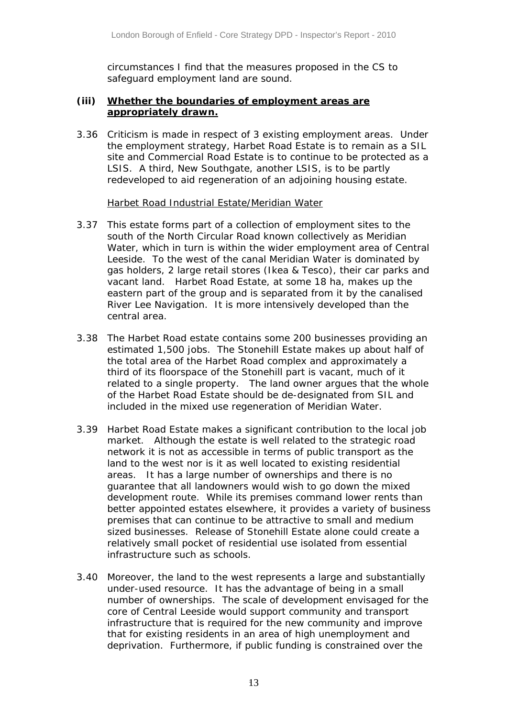circumstances I find that the measures proposed in the CS to safeguard employment land are sound.

#### *(iii) Whether the boundaries of employment areas are appropriately drawn.*

3.36 Criticism is made in respect of 3 existing employment areas. Under the employment strategy, Harbet Road Estate is to remain as a SIL site and Commercial Road Estate is to continue to be protected as a LSIS. A third, New Southgate, another LSIS, is to be partly redeveloped to aid regeneration of an adjoining housing estate.

#### Harbet Road Industrial Estate/Meridian Water

- 3.37 This estate forms part of a collection of employment sites to the south of the North Circular Road known collectively as Meridian Water, which in turn is within the wider employment area of Central Leeside. To the west of the canal Meridian Water is dominated by gas holders, 2 large retail stores (Ikea & Tesco), their car parks and vacant land. Harbet Road Estate, at some 18 ha, makes up the eastern part of the group and is separated from it by the canalised River Lee Navigation. It is more intensively developed than the central area.
- 3.38 The Harbet Road estate contains some 200 businesses providing an estimated 1,500 jobs. The Stonehill Estate makes up about half of the total area of the Harbet Road complex and approximately a third of its floorspace of the Stonehill part is vacant, much of it related to a single property. The land owner argues that the whole of the Harbet Road Estate should be de-designated from SIL and included in the mixed use regeneration of Meridian Water.
- 3.39 Harbet Road Estate makes a significant contribution to the local job market. Although the estate is well related to the strategic road network it is not as accessible in terms of public transport as the land to the west nor is it as well located to existing residential areas. It has a large number of ownerships and there is no guarantee that all landowners would wish to go down the mixed development route. While its premises command lower rents than better appointed estates elsewhere, it provides a variety of business premises that can continue to be attractive to small and medium sized businesses. Release of Stonehill Estate alone could create a relatively small pocket of residential use isolated from essential infrastructure such as schools.
- 3.40 Moreover, the land to the west represents a large and substantially under-used resource. It has the advantage of being in a small number of ownerships. The scale of development envisaged for the core of Central Leeside would support community and transport infrastructure that is required for the new community and improve that for existing residents in an area of high unemployment and deprivation. Furthermore, if public funding is constrained over the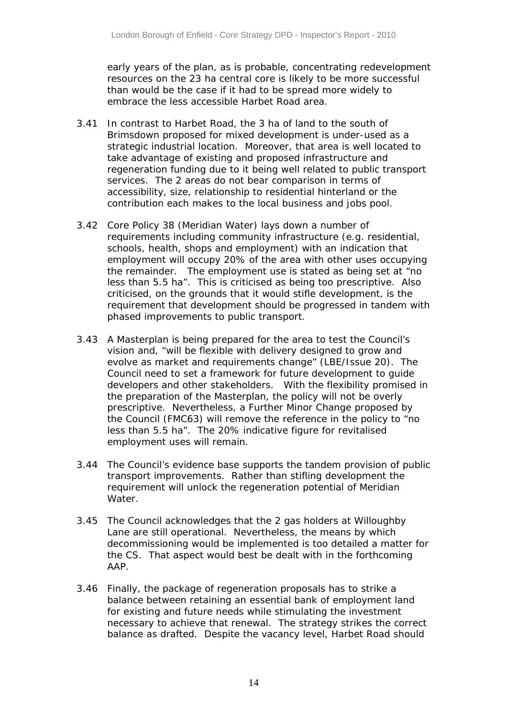early years of the plan, as is probable, concentrating redevelopment resources on the 23 ha central core is likely to be more successful than would be the case if it had to be spread more widely to embrace the less accessible Harbet Road area.

- 3.41 In contrast to Harbet Road, the 3 ha of land to the south of Brimsdown proposed for mixed development is under-used as a strategic industrial location. Moreover, that area is well located to take advantage of existing and proposed infrastructure and regeneration funding due to it being well related to public transport services. The 2 areas do not bear comparison in terms of accessibility, size, relationship to residential hinterland or the contribution each makes to the local business and jobs pool.
- 3.42 Core Policy 38 (Meridian Water) lays down a number of requirements including community infrastructure (e.g. residential, schools, health, shops and employment) with an indication that employment will occupy 20% of the area with other uses occupying the remainder. The employment use is stated as being set at "no less than 5.5 ha". This is criticised as being too prescriptive. Also criticised, on the grounds that it would stifle development, is the requirement that development should be progressed in tandem with phased improvements to public transport.
- 3.43 A Masterplan is being prepared for the area to test the Council's vision and, "will be flexible with delivery designed to grow and evolve as market and requirements change" (LBE/Issue 20). The Council need to set a framework for future development to guide developers and other stakeholders. With the flexibility promised in the preparation of the Masterplan, the policy will not be overly prescriptive. Nevertheless, a Further Minor Change proposed by the Council (FMC63) will remove the reference in the policy to "no less than 5.5 ha". The 20% indicative figure for revitalised employment uses will remain.
- 3.44 The Council's evidence base supports the tandem provision of public transport improvements. Rather than stifling development the requirement will unlock the regeneration potential of Meridian Water.
- 3.45 The Council acknowledges that the 2 gas holders at Willoughby Lane are still operational. Nevertheless, the means by which decommissioning would be implemented is too detailed a matter for the CS. That aspect would best be dealt with in the forthcoming AAP.
- 3.46 Finally, the package of regeneration proposals has to strike a balance between retaining an essential bank of employment land for existing and future needs while stimulating the investment necessary to achieve that renewal. The strategy strikes the correct balance as drafted. Despite the vacancy level, Harbet Road should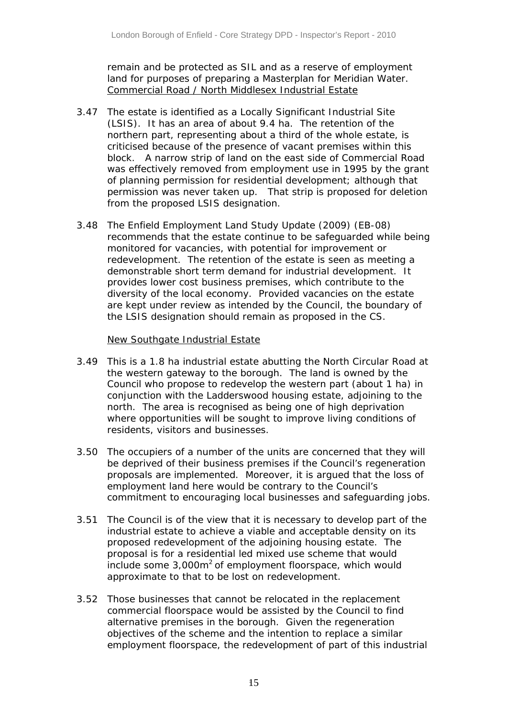remain and be protected as SIL and as a reserve of employment land for purposes of preparing a Masterplan for Meridian Water. Commercial Road / North Middlesex Industrial Estate

- 3.47 The estate is identified as a Locally Significant Industrial Site (LSIS). It has an area of about 9.4 ha. The retention of the northern part, representing about a third of the whole estate, is criticised because of the presence of vacant premises within this block. A narrow strip of land on the east side of Commercial Road was effectively removed from employment use in 1995 by the grant of planning permission for residential development; although that permission was never taken up. That strip is proposed for deletion from the proposed LSIS designation.
- 3.48 The Enfield Employment Land Study Update (2009) (EB-08) recommends that the estate continue to be safeguarded while being monitored for vacancies, with potential for improvement or redevelopment. The retention of the estate is seen as meeting a demonstrable short term demand for industrial development. It provides lower cost business premises, which contribute to the diversity of the local economy. Provided vacancies on the estate are kept under review as intended by the Council, the boundary of the LSIS designation should remain as proposed in the CS.

#### New Southgate Industrial Estate

- 3.49 This is a 1.8 ha industrial estate abutting the North Circular Road at the western gateway to the borough. The land is owned by the Council who propose to redevelop the western part (about 1 ha) in conjunction with the Ladderswood housing estate, adjoining to the north. The area is recognised as being one of high deprivation where opportunities will be sought to improve living conditions of residents, visitors and businesses.
- 3.50 The occupiers of a number of the units are concerned that they will be deprived of their business premises if the Council's regeneration proposals are implemented. Moreover, it is argued that the loss of employment land here would be contrary to the Council's commitment to encouraging local businesses and safeguarding jobs.
- 3.51 The Council is of the view that it is necessary to develop part of the industrial estate to achieve a viable and acceptable density on its proposed redevelopment of the adjoining housing estate. The proposal is for a residential led mixed use scheme that would include some  $3,000m^2$  of employment floorspace, which would approximate to that to be lost on redevelopment.
- 3.52 Those businesses that cannot be relocated in the replacement commercial floorspace would be assisted by the Council to find alternative premises in the borough. Given the regeneration objectives of the scheme and the intention to replace a similar employment floorspace, the redevelopment of part of this industrial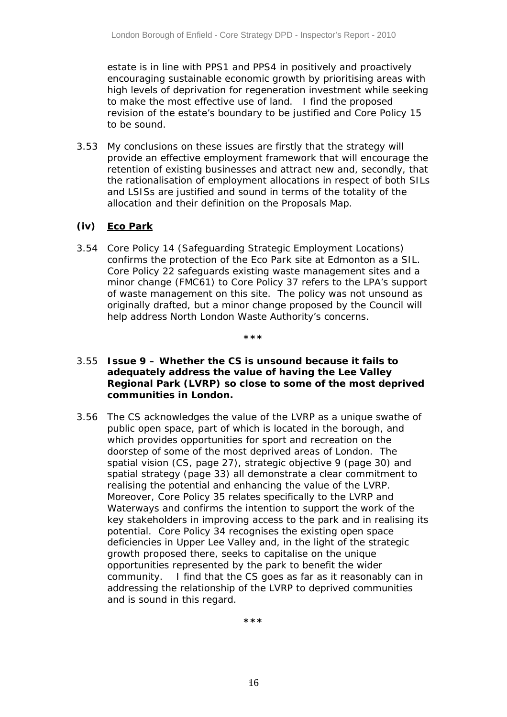estate is in line with PPS1 and PPS4 in positively and proactively encouraging sustainable economic growth by prioritising areas with high levels of deprivation for regeneration investment while seeking to make the most effective use of land. I find the proposed revision of the estate's boundary to be justified and Core Policy 15 to be sound.

3.53 My conclusions on these issues are firstly that the strategy will provide an effective employment framework that will encourage the retention of existing businesses and attract new and, secondly, that the rationalisation of employment allocations in respect of both SILs and LSISs are justified and sound in terms of the totality of the allocation and their definition on the Proposals Map.

#### *(iv) Eco Park*

3.54 Core Policy 14 (Safeguarding Strategic Employment Locations) confirms the protection of the Eco Park site at Edmonton as a SIL. Core Policy 22 safeguards existing waste management sites and a minor change (FMC61) to Core Policy 37 refers to the LPA's support of waste management on this site. The policy was not unsound as originally drafted, but a minor change proposed by the Council will help address North London Waste Authority's concerns.

#### **\*\*\***

#### 3.55 *Issue 9 – Whether the CS is unsound because it fails to adequately address the value of having the Lee Valley Regional Park (LVRP) so close to some of the most deprived communities in London.*

3.56 The CS acknowledges the value of the LVRP as a unique swathe of public open space, part of which is located in the borough, and which provides opportunities for sport and recreation on the doorstep of some of the most deprived areas of London. The spatial vision (CS, page 27), strategic objective 9 (page 30) and spatial strategy (page 33) all demonstrate a clear commitment to realising the potential and enhancing the value of the LVRP. Moreover, Core Policy 35 relates specifically to the LVRP and Waterways and confirms the intention to support the work of the key stakeholders in improving access to the park and in realising its potential. Core Policy 34 recognises the existing open space deficiencies in Upper Lee Valley and, in the light of the strategic growth proposed there, seeks to capitalise on the unique opportunities represented by the park to benefit the wider community. I find that the CS goes as far as it reasonably can in addressing the relationship of the LVRP to deprived communities and is sound in this regard.

**\*\*\***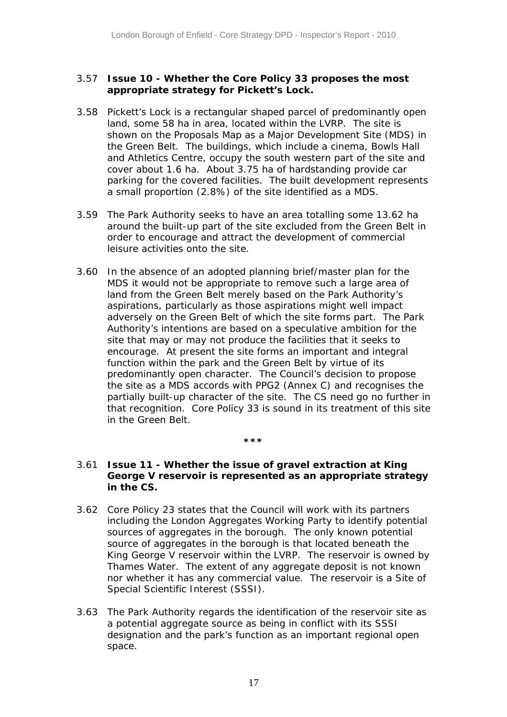#### 3.57 *Issue 10 - Whether the Core Policy 33 proposes the most appropriate strategy for Pickett's Lock.*

- 3.58 Pickett's Lock is a rectangular shaped parcel of predominantly open land, some 58 ha in area, located within the LVRP. The site is shown on the Proposals Map as a Major Development Site (MDS) in the Green Belt. The buildings, which include a cinema, Bowls Hall and Athletics Centre, occupy the south western part of the site and cover about 1.6 ha. About 3.75 ha of hardstanding provide car parking for the covered facilities. The built development represents a small proportion (2.8%) of the site identified as a MDS.
- 3.59 The Park Authority seeks to have an area totalling some 13.62 ha around the built-up part of the site excluded from the Green Belt in order to encourage and attract the development of commercial leisure activities onto the site.
- 3.60 In the absence of an adopted planning brief/master plan for the MDS it would not be appropriate to remove such a large area of land from the Green Belt merely based on the Park Authority's aspirations, particularly as those aspirations might well impact adversely on the Green Belt of which the site forms part. The Park Authority's intentions are based on a speculative ambition for the site that may or may not produce the facilities that it seeks to encourage. At present the site forms an important and integral function within the park and the Green Belt by virtue of its predominantly open character. The Council's decision to propose the site as a MDS accords with PPG2 (Annex C) and recognises the partially built-up character of the site. The CS need go no further in that recognition. Core Policy 33 is sound in its treatment of this site in the Green Belt.

#### **\*\*\***

#### 3.61 *Issue 11 - Whether the issue of gravel extraction at King George V reservoir is represented as an appropriate strategy in the CS.*

- 3.62 Core Policy 23 states that the Council will work with its partners including the London Aggregates Working Party to identify potential sources of aggregates in the borough. The only known potential source of aggregates in the borough is that located beneath the King George V reservoir within the LVRP. The reservoir is owned by Thames Water. The extent of any aggregate deposit is not known nor whether it has any commercial value. The reservoir is a Site of Special Scientific Interest (SSSI).
- 3.63 The Park Authority regards the identification of the reservoir site as a potential aggregate source as being in conflict with its SSSI designation and the park's function as an important regional open space.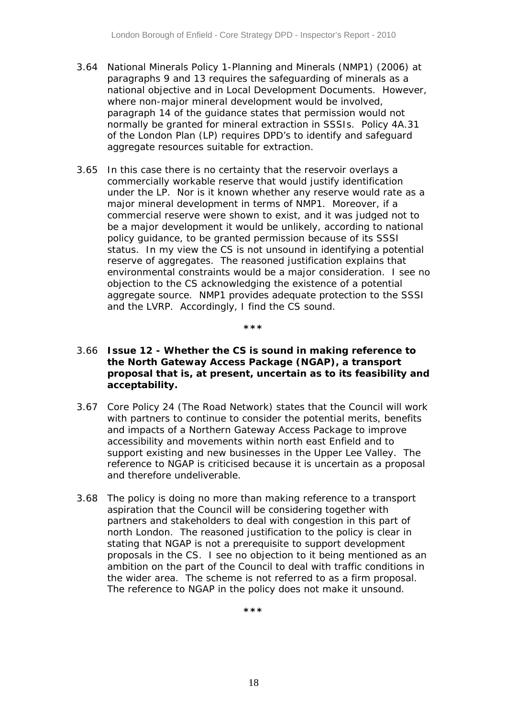- 3.64 National Minerals Policy 1-Planning and Minerals (NMP1) (2006) at paragraphs 9 and 13 requires the safeguarding of minerals as a national objective and in Local Development Documents. However, where non-major mineral development would be involved, paragraph 14 of the guidance states that permission would not normally be granted for mineral extraction in SSSIs. Policy 4A.31 of the London Plan (LP) requires DPD's to identify and safeguard aggregate resources suitable for extraction.
- 3.65 In this case there is no certainty that the reservoir overlays a commercially workable reserve that would justify identification under the LP. Nor is it known whether any reserve would rate as a major mineral development in terms of NMP1. Moreover, if a commercial reserve were shown to exist, and it was judged not to be a major development it would be unlikely, according to national policy guidance, to be granted permission because of its SSSI status. In my view the CS is not unsound in identifying a potential reserve of aggregates. The reasoned justification explains that environmental constraints would be a major consideration. I see no objection to the CS acknowledging the existence of a potential aggregate source. NMP1 provides adequate protection to the SSSI and the LVRP. Accordingly, I find the CS sound.

**\*\*\***

#### 3.66 *Issue 12 - Whether the CS is sound in making reference to the North Gateway Access Package (NGAP), a transport proposal that is, at present, uncertain as to its feasibility and acceptability.*

- 3.67 Core Policy 24 (The Road Network) states that the Council will work with partners to continue to consider the potential merits, benefits and impacts of a Northern Gateway Access Package to improve accessibility and movements within north east Enfield and to support existing and new businesses in the Upper Lee Valley. The reference to NGAP is criticised because it is uncertain as a proposal and therefore undeliverable.
- 3.68 The policy is doing no more than making reference to a transport aspiration that the Council will be considering together with partners and stakeholders to deal with congestion in this part of north London. The reasoned justification to the policy is clear in stating that NGAP is not a prerequisite to support development proposals in the CS. I see no objection to it being mentioned as an ambition on the part of the Council to deal with traffic conditions in the wider area. The scheme is not referred to as a firm proposal. The reference to NGAP in the policy does not make it unsound.

**\*\*\***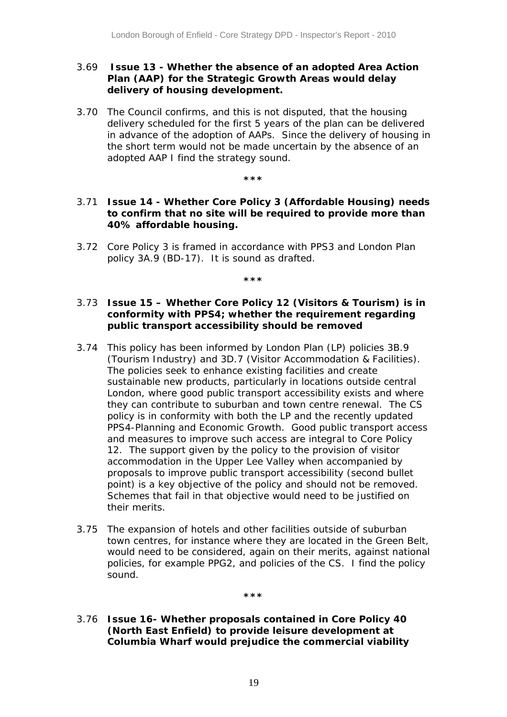#### 3.69 *Issue 13 - Whether the absence of an adopted Area Action Plan (AAP) for the Strategic Growth Areas would delay delivery of housing development.*

3.70 The Council confirms, and this is not disputed, that the housing delivery scheduled for the first 5 years of the plan can be delivered in advance of the adoption of AAPs. Since the delivery of housing in the short term would not be made uncertain by the absence of an adopted AAP I find the strategy sound.

#### **\*\*\***

#### 3.71 *Issue 14 - Whether Core Policy 3 (Affordable Housing) needs to confirm that no site will be required to provide more than 40% affordable housing.*

3.72 Core Policy 3 is framed in accordance with PPS3 and London Plan policy 3A.9 (BD-17). It is sound as drafted.

#### **\*\*\***

#### 3.73 *Issue 15 – Whether Core Policy 12 (Visitors & Tourism) is in conformity with PPS4; whether the requirement regarding public transport accessibility should be removed*

- 3.74 This policy has been informed by London Plan (LP) policies 3B.9 (Tourism Industry) and 3D.7 (Visitor Accommodation & Facilities). The policies seek to enhance existing facilities and create sustainable new products, particularly in locations outside central London, where good public transport accessibility exists and where they can contribute to suburban and town centre renewal. The CS policy is in conformity with both the LP and the recently updated PPS4-Planning and Economic Growth. Good public transport access and measures to improve such access are integral to Core Policy 12. The support given by the policy to the provision of visitor accommodation in the Upper Lee Valley when accompanied by proposals to improve public transport accessibility (second bullet point) is a key objective of the policy and should not be removed. Schemes that fail in that objective would need to be justified on their merits.
- 3.75 The expansion of hotels and other facilities outside of suburban town centres, for instance where they are located in the Green Belt, would need to be considered, again on their merits, against national policies, for example PPG2, and policies of the CS. I find the policy sound.

**\*\*\*** 

#### 3.76 *Issue 16- Whether proposals contained in Core Policy 40 (North East Enfield) to provide leisure development at Columbia Wharf would prejudice the commercial viability*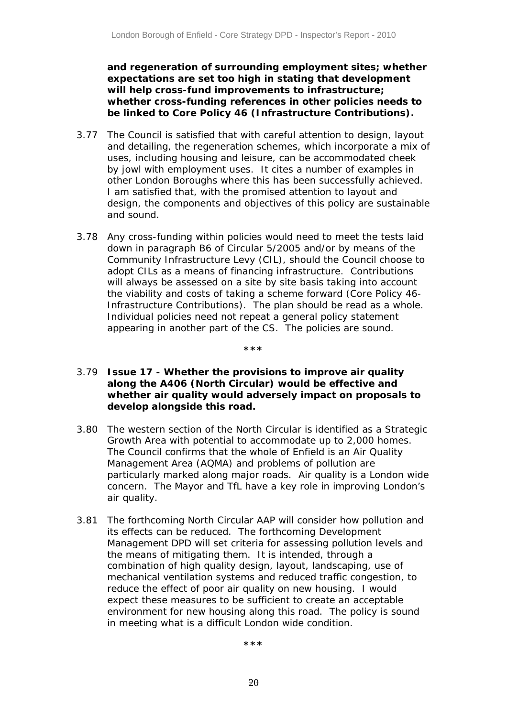*and regeneration of surrounding employment sites; whether expectations are set too high in stating that development will help cross-fund improvements to infrastructure; whether cross-funding references in other policies needs to be linked to Core Policy 46 (Infrastructure Contributions).*

- 3.77 The Council is satisfied that with careful attention to design, layout and detailing, the regeneration schemes, which incorporate a mix of uses, including housing and leisure, can be accommodated cheek by jowl with employment uses. It cites a number of examples in other London Boroughs where this has been successfully achieved. I am satisfied that, with the promised attention to layout and design, the components and objectives of this policy are sustainable and sound.
- 3.78 Any cross-funding within policies would need to meet the tests laid down in paragraph B6 of Circular 5/2005 and/or by means of the Community Infrastructure Levy (CIL), should the Council choose to adopt CILs as a means of financing infrastructure. Contributions will always be assessed on a site by site basis taking into account the viability and costs of taking a scheme forward (Core Policy 46- Infrastructure Contributions). The plan should be read as a whole. Individual policies need not repeat a general policy statement appearing in another part of the CS. The policies are sound.
- 3.79 *Issue 17 Whether the provisions to improve air quality along the A406 (North Circular) would be effective and whether air quality would adversely impact on proposals to develop alongside this road.*

**\*\*\***

- 3.80 The western section of the North Circular is identified as a Strategic Growth Area with potential to accommodate up to 2,000 homes. The Council confirms that the whole of Enfield is an Air Quality Management Area (AQMA) and problems of pollution are particularly marked along major roads. Air quality is a London wide concern. The Mayor and TfL have a key role in improving London's air quality.
- 3.81 The forthcoming North Circular AAP will consider how pollution and its effects can be reduced. The forthcoming Development Management DPD will set criteria for assessing pollution levels and the means of mitigating them. It is intended, through a combination of high quality design, layout, landscaping, use of mechanical ventilation systems and reduced traffic congestion, to reduce the effect of poor air quality on new housing. I would expect these measures to be sufficient to create an acceptable environment for new housing along this road. The policy is sound in meeting what is a difficult London wide condition.

**\*\*\***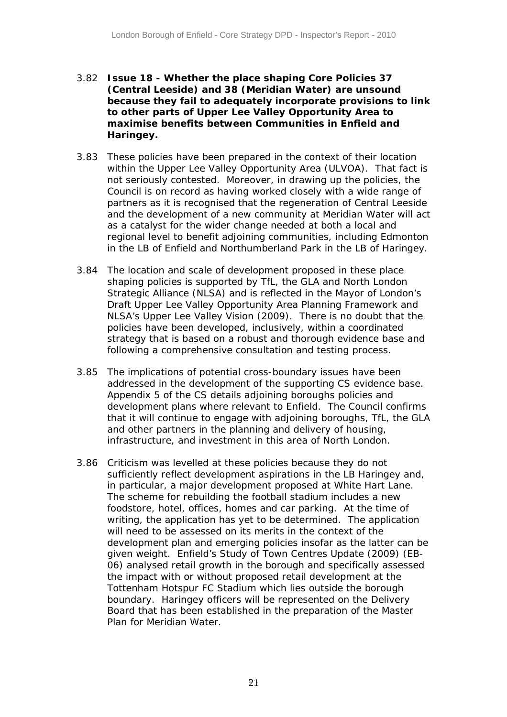- 3.82 *Issue 18 Whether the place shaping Core Policies 37 (Central Leeside) and 38 (Meridian Water) are unsound because they fail to adequately incorporate provisions to link to other parts of Upper Lee Valley Opportunity Area to maximise benefits between Communities in Enfield and Haringey.*
- 3.83 These policies have been prepared in the context of their location within the Upper Lee Valley Opportunity Area (ULVOA). That fact is not seriously contested. Moreover, in drawing up the policies, the Council is on record as having worked closely with a wide range of partners as it is recognised that the regeneration of Central Leeside and the development of a new community at Meridian Water will act as a catalyst for the wider change needed at both a local and regional level to benefit adjoining communities, including Edmonton in the LB of Enfield and Northumberland Park in the LB of Haringey.
- 3.84 The location and scale of development proposed in these place shaping policies is supported by TfL, the GLA and North London Strategic Alliance (NLSA) and is reflected in the Mayor of London's Draft Upper Lee Valley Opportunity Area Planning Framework and NLSA's Upper Lee Valley Vision (2009). There is no doubt that the policies have been developed, inclusively, within a coordinated strategy that is based on a robust and thorough evidence base and following a comprehensive consultation and testing process.
- 3.85 The implications of potential cross-boundary issues have been addressed in the development of the supporting CS evidence base. Appendix 5 of the CS details adjoining boroughs policies and development plans where relevant to Enfield. The Council confirms that it will continue to engage with adjoining boroughs, TfL, the GLA and other partners in the planning and delivery of housing, infrastructure, and investment in this area of North London.
- 3.86 Criticism was levelled at these policies because they do not sufficiently reflect development aspirations in the LB Haringey and, in particular, a major development proposed at White Hart Lane. The scheme for rebuilding the football stadium includes a new foodstore, hotel, offices, homes and car parking. At the time of writing, the application has yet to be determined. The application will need to be assessed on its merits in the context of the development plan and emerging policies insofar as the latter can be given weight. Enfield's Study of Town Centres Update (2009) (EB-06) analysed retail growth in the borough and specifically assessed the impact with or without proposed retail development at the Tottenham Hotspur FC Stadium which lies outside the borough boundary. Haringey officers will be represented on the Delivery Board that has been established in the preparation of the Master Plan for Meridian Water.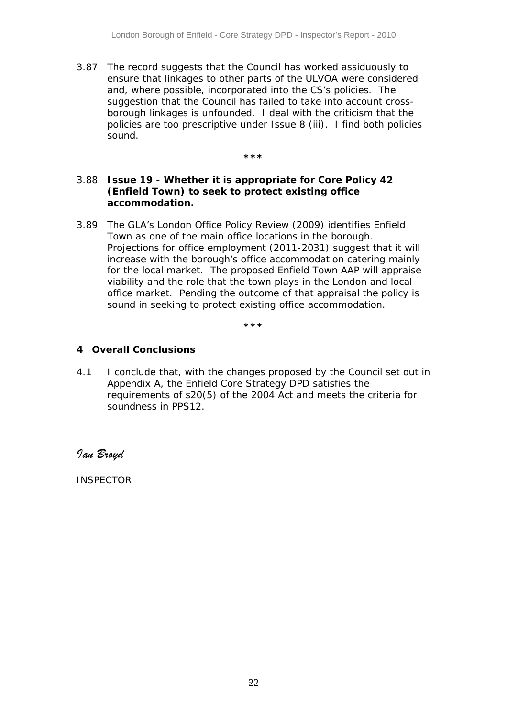3.87 The record suggests that the Council has worked assiduously to ensure that linkages to other parts of the ULVOA were considered and, where possible, incorporated into the CS's policies. The suggestion that the Council has failed to take into account crossborough linkages is unfounded. I deal with the criticism that the policies are too prescriptive under Issue 8 (iii). I find both policies sound.

**\*\*\*** 

#### 3.88 *Issue 19 - Whether it is appropriate for Core Policy 42 (Enfield Town) to seek to protect existing office accommodation.*

3.89 The GLA's London Office Policy Review (2009) identifies Enfield Town as one of the main office locations in the borough. Projections for office employment (2011-2031) suggest that it will increase with the borough's office accommodation catering mainly for the local market. The proposed Enfield Town AAP will appraise viability and the role that the town plays in the London and local office market. Pending the outcome of that appraisal the policy is sound in seeking to protect existing office accommodation.

**\*\*\*** 

#### **4 Overall Conclusions**

4.1 I conclude that, with the changes proposed by the Council set out in Appendix A, the Enfield Core Strategy DPD satisfies the requirements of s20(5) of the 2004 Act and meets the criteria for soundness in PPS12.

*Ian Broyd* 

INSPECTOR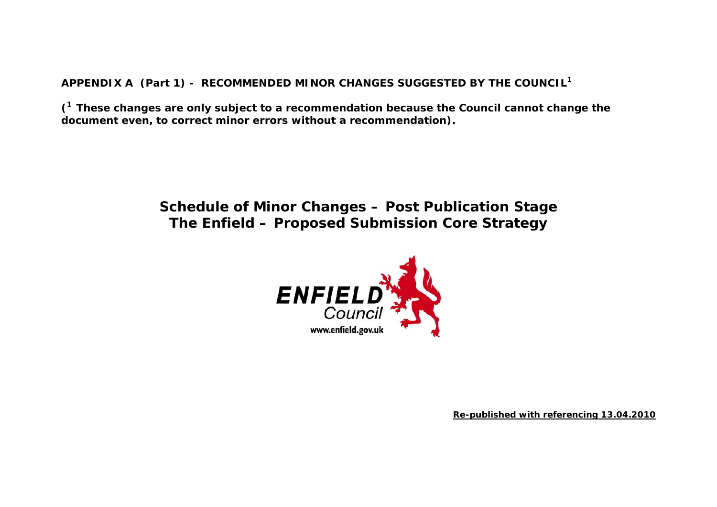**APPENDIX A (Part 1) - RECOMMENDED MINOR CHANGES SUGGESTED BY THE COUNCIL<sup>1</sup>**

**(1 These changes are only subject to a recommendation because the Council cannot change the document even, to correct minor errors without a recommendation).** 

## **Schedule of Minor Changes – Post Publication Stage The Enfield – Proposed Submission Core Strategy**



**Re-published with referencing 13.04.2010**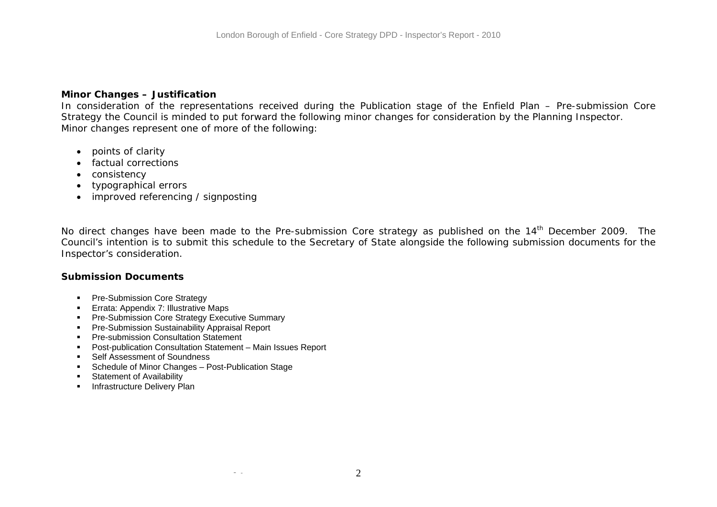#### **Minor Changes – Justification**

In consideration of the representations received during the Publication stage of the Enfield Plan – Pre-submission Core Strategy the Council is minded to put forward the following minor changes for consideration by the Planning Inspector. Minor changes represent one of more of the following:

- points of clarity
- factual corrections
- consistency
- typographical errors
- improved referencing / signposting

No direct changes have been made to the Pre-submission Core strategy as published on the 14<sup>th</sup> December 2009. The Council's intention is to submit this schedule to the Secretary of State alongside the following submission documents for the Inspector's consideration.

#### **Submission Documents**

- **Pre-Submission Core Strategy**
- **Errata: Appendix 7: Illustrative Maps**
- **Pre-Submission Core Strategy Executive Summary**
- **Pre-Submission Sustainability Appraisal Report**
- **Pre-submission Consultation Statement**
- Post-publication Consultation Statement Main Issues Report
- Self Assessment of Soundness

- Schedule of Minor Changes Post-Publication Stage
- **Statement of Availability**
- **Infrastructure Delivery Plan**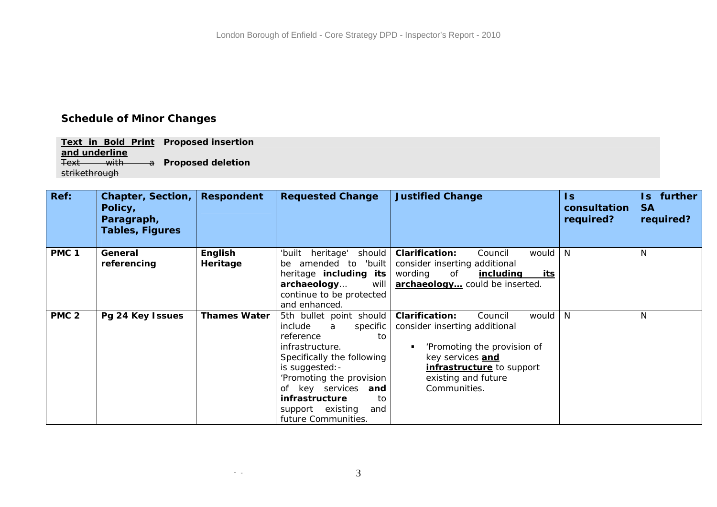### **Schedule of Minor Changes**

**Text in Bold Print Proposed insertion and underline** Text with **Proposed deletion**  strikethrough

- -

| Ref:             | Chapter, Section,<br>Policy,<br>Paragraph,<br>Tables, Figures | <b>Respondent</b>   | <b>Requested Change</b>         | <b>Justified Change</b>                         | Is.<br>consultation<br>required? | further<br>ls.<br><b>SA</b><br>required? |
|------------------|---------------------------------------------------------------|---------------------|---------------------------------|-------------------------------------------------|----------------------------------|------------------------------------------|
| PMC <sub>1</sub> | General                                                       | English             | should  <br>heritage'<br>'built | <b>Clarification:</b><br>would  <br>Council     | -N                               | N                                        |
|                  | referencing                                                   | Heritage            | amended to<br>'built<br>be      | consider inserting additional                   |                                  |                                          |
|                  |                                                               |                     | heritage including its          | wording<br>of<br><u>including</u><br><u>its</u> |                                  |                                          |
|                  |                                                               |                     | archaeology<br>will             | archaeology could be inserted.                  |                                  |                                          |
|                  |                                                               |                     | continue to be protected        |                                                 |                                  |                                          |
|                  |                                                               |                     | and enhanced.                   |                                                 |                                  |                                          |
| PMC <sub>2</sub> | Pg 24 Key Issues                                              | <b>Thames Water</b> | 5th bullet point should         | would<br><b>Clarification:</b><br>Council       | N                                | N                                        |
|                  |                                                               |                     | include<br>specific<br>a        | consider inserting additional                   |                                  |                                          |
|                  |                                                               |                     | reference<br>to                 |                                                 |                                  |                                          |
|                  |                                                               |                     | infrastructure.                 | 'Promoting the provision of                     |                                  |                                          |
|                  |                                                               |                     | Specifically the following      | key services <b>and</b>                         |                                  |                                          |
|                  |                                                               |                     | is suggested: -                 | infrastructure to support                       |                                  |                                          |
|                  |                                                               |                     | 'Promoting the provision        | existing and future                             |                                  |                                          |
|                  |                                                               |                     | of key services<br>and          | Communities.                                    |                                  |                                          |
|                  |                                                               |                     | infrastructure<br>to            |                                                 |                                  |                                          |
|                  |                                                               |                     | support existing<br>and         |                                                 |                                  |                                          |
|                  |                                                               |                     | future Communities.             |                                                 |                                  |                                          |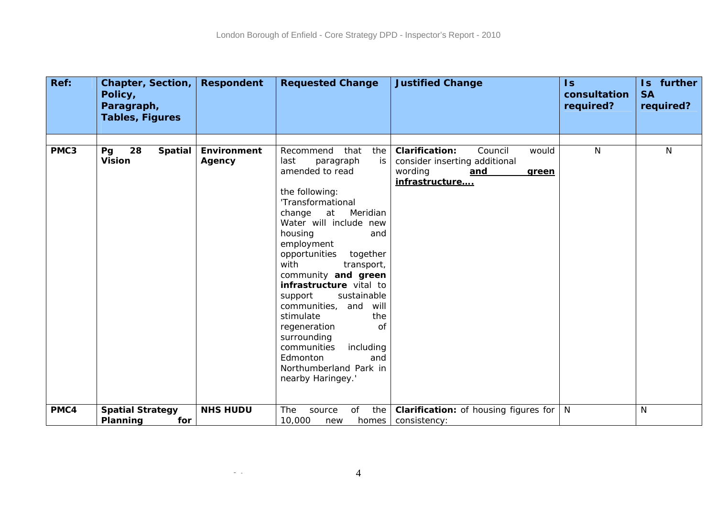| Ref: | <b>Chapter, Section,</b><br>Policy,<br>Paragraph, | <b>Respondent</b>     | <b>Requested Change</b>                                                                                                                                                                                                                                                                                                                                                                                                                                                                                                      | <b>Justified Change</b>                                                                                                 | $\overline{\mathsf{ls}}$<br>consultation<br>required? | Is further<br><b>SA</b><br>required? |
|------|---------------------------------------------------|-----------------------|------------------------------------------------------------------------------------------------------------------------------------------------------------------------------------------------------------------------------------------------------------------------------------------------------------------------------------------------------------------------------------------------------------------------------------------------------------------------------------------------------------------------------|-------------------------------------------------------------------------------------------------------------------------|-------------------------------------------------------|--------------------------------------|
|      | <b>Tables, Figures</b>                            |                       |                                                                                                                                                                                                                                                                                                                                                                                                                                                                                                                              |                                                                                                                         |                                                       |                                      |
|      |                                                   |                       |                                                                                                                                                                                                                                                                                                                                                                                                                                                                                                                              |                                                                                                                         |                                                       |                                      |
| PMC3 | 28<br><b>Spatial</b><br>Pg<br>Vision              | Environment<br>Agency | that<br>Recommend<br>the<br>last<br>paragraph<br>is<br>amended to read<br>the following:<br>'Transformational<br>change<br>at Meridian<br>Water will include new<br>housing<br>and<br>employment<br>opportunities<br>together<br>with<br>transport,<br>community and green<br>infrastructure vital to<br>sustainable<br>support<br>communities,<br>will<br>and<br>stimulate<br>the<br>regeneration<br><b>of</b><br>surrounding<br>communities<br>including<br>Edmonton<br>and<br>Northumberland Park in<br>nearby Haringey.' | <b>Clarification:</b><br>Council<br>would<br>consider inserting additional<br>wording<br>and<br>green<br>infrastructure | N                                                     | N                                    |
| PMC4 | <b>Spatial Strategy</b>                           | <b>NHS HUDU</b>       | the<br>The<br>source<br>of                                                                                                                                                                                                                                                                                                                                                                                                                                                                                                   | <b>Clarification:</b> of housing figures for                                                                            | N                                                     | N                                    |
|      | Planning<br>for                                   |                       | 10,000<br>homes  <br>new                                                                                                                                                                                                                                                                                                                                                                                                                                                                                                     | consistency:                                                                                                            |                                                       |                                      |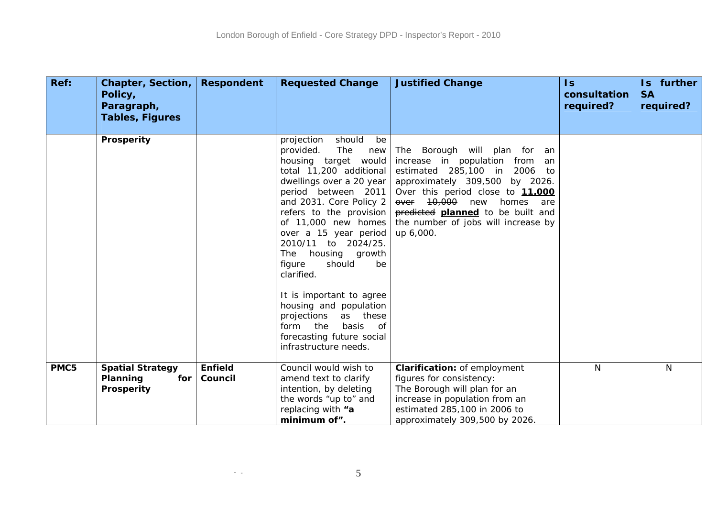| Ref: | <b>Chapter, Section,</b><br>Policy,<br>Paragraph,<br><b>Tables, Figures</b> | <b>Respondent</b>         | <b>Requested Change</b>                                                                                                                                                                                                                                                                                                                                                                                                                                                                                               | <b>Justified Change</b>                                                                                                                                                                                                                                                                                | $\mathsf{ls}$<br>consultation<br>required? | Is further<br><b>SA</b><br>required? |
|------|-----------------------------------------------------------------------------|---------------------------|-----------------------------------------------------------------------------------------------------------------------------------------------------------------------------------------------------------------------------------------------------------------------------------------------------------------------------------------------------------------------------------------------------------------------------------------------------------------------------------------------------------------------|--------------------------------------------------------------------------------------------------------------------------------------------------------------------------------------------------------------------------------------------------------------------------------------------------------|--------------------------------------------|--------------------------------------|
|      | Prosperity                                                                  |                           | projection<br>should<br>be<br>provided.<br>The<br>new<br>housing target would<br>total 11,200 additional<br>dwellings over a 20 year<br>period between 2011<br>and 2031. Core Policy 2<br>refers to the provision<br>of 11,000 new homes<br>over a 15 year period<br>2010/11 to 2024/25.<br>The housing growth<br>should<br>figure<br>be<br>clarified.<br>It is important to agree<br>housing and population<br>projections as these<br>basis<br>form the<br>of<br>forecasting future social<br>infrastructure needs. | The Borough will plan for an<br>increase in population from an<br>estimated 285,100 in 2006<br>to<br>approximately 309,500 by 2026.<br>Over this period close to 11,000<br>over 10,000<br>new<br>homes<br>are<br>predicted planned to be built and<br>the number of jobs will increase by<br>up 6,000. |                                            |                                      |
| PMC5 | <b>Spatial Strategy</b><br>Planning<br>for<br>Prosperity                    | <b>Enfield</b><br>Council | Council would wish to<br>amend text to clarify<br>intention, by deleting<br>the words "up to" and<br>replacing with "a<br>minimum of".                                                                                                                                                                                                                                                                                                                                                                                | <b>Clarification: of employment</b><br>figures for consistency:<br>The Borough will plan for an<br>increase in population from an<br>estimated 285,100 in 2006 to<br>approximately 309,500 by 2026.                                                                                                    | N.                                         | N                                    |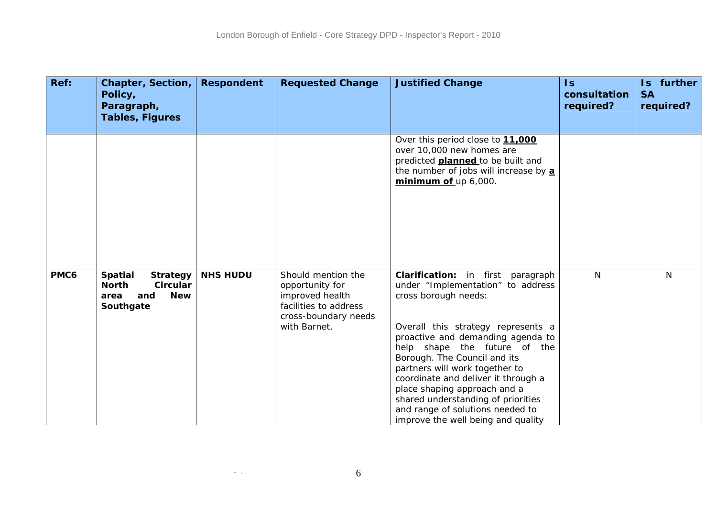| Ref: | <b>Chapter, Section,</b><br>Policy,<br>Paragraph,<br><b>Tables, Figures</b>                             | <b>Respondent</b> | <b>Requested Change</b>                                                                                                   | <b>Justified Change</b>                                                                                                                                                                                                                                                                                                                                                                                                                                            | $\overline{\mathsf{ls}}$<br>consultation<br>required? | Is further<br><b>SA</b><br>required? |
|------|---------------------------------------------------------------------------------------------------------|-------------------|---------------------------------------------------------------------------------------------------------------------------|--------------------------------------------------------------------------------------------------------------------------------------------------------------------------------------------------------------------------------------------------------------------------------------------------------------------------------------------------------------------------------------------------------------------------------------------------------------------|-------------------------------------------------------|--------------------------------------|
|      |                                                                                                         |                   |                                                                                                                           | Over this period close to 11,000<br>over 10,000 new homes are<br>predicted <b>planned</b> to be built and<br>the number of jobs will increase by a<br>minimum of up 6,000.                                                                                                                                                                                                                                                                                         |                                                       |                                      |
| PMC6 | <b>Spatial</b><br><b>Strategy</b><br><b>North</b><br>Circular<br><b>New</b><br>and<br>area<br>Southgate | <b>NHS HUDU</b>   | Should mention the<br>opportunity for<br>improved health<br>facilities to address<br>cross-boundary needs<br>with Barnet. | Clarification: in first paragraph<br>under "Implementation" to address<br>cross borough needs:<br>Overall this strategy represents a<br>proactive and demanding agenda to<br>help shape the future of the<br>Borough. The Council and its<br>partners will work together to<br>coordinate and deliver it through a<br>place shaping approach and a<br>shared understanding of priorities<br>and range of solutions needed to<br>improve the well being and quality | N.                                                    | N                                    |

 $\sim$   $-$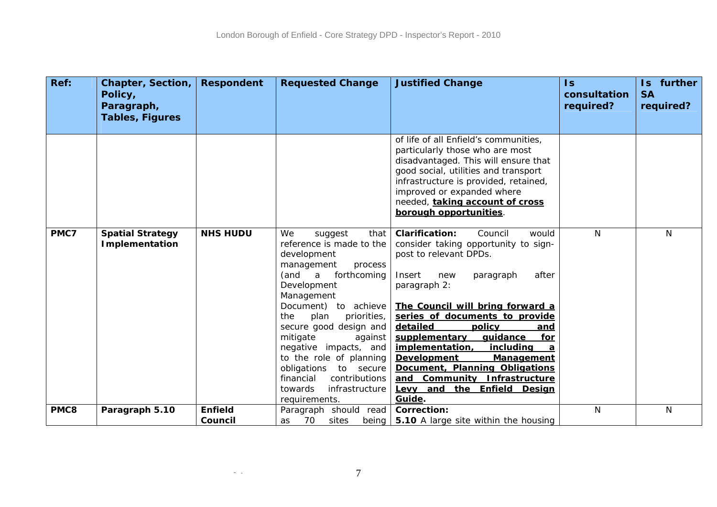| Ref: | <b>Chapter, Section,</b><br>Policy,<br>Paragraph,<br><b>Tables, Figures</b> | <b>Respondent</b> | <b>Requested Change</b>                                                                                                                                                                                                                                                                                                                                                                                               | <b>Justified Change</b>                                                                                                                                                                                                                                                                                                                                                                                                                                                                         | $\mathsf{Is}$<br>consultation<br>required? | Is further<br><b>SA</b><br>required? |
|------|-----------------------------------------------------------------------------|-------------------|-----------------------------------------------------------------------------------------------------------------------------------------------------------------------------------------------------------------------------------------------------------------------------------------------------------------------------------------------------------------------------------------------------------------------|-------------------------------------------------------------------------------------------------------------------------------------------------------------------------------------------------------------------------------------------------------------------------------------------------------------------------------------------------------------------------------------------------------------------------------------------------------------------------------------------------|--------------------------------------------|--------------------------------------|
|      |                                                                             |                   |                                                                                                                                                                                                                                                                                                                                                                                                                       | of life of all Enfield's communities,<br>particularly those who are most<br>disadvantaged. This will ensure that<br>good social, utilities and transport<br>infrastructure is provided, retained,<br>improved or expanded where<br>needed, taking account of cross<br>borough opportunities.                                                                                                                                                                                                    |                                            |                                      |
| PMC7 | <b>Spatial Strategy</b><br><b>Implementation</b>                            | <b>NHS HUDU</b>   | We<br>suggest<br>that<br>reference is made to the<br>development<br>management<br>process<br>(and<br>forthcoming<br>a<br>Development<br>Management<br>Document) to achieve<br>the<br>plan<br>priorities,<br>secure good design and<br>mitigate<br>against<br>negative impacts, and<br>to the role of planning<br>obligations<br>to secure<br>financial<br>contributions<br>infrastructure<br>towards<br>requirements. | <b>Clarification:</b><br>Council<br>would<br>consider taking opportunity to sign-<br>post to relevant DPDs.<br>Insert<br>after<br>new<br>paragraph<br>paragraph 2:<br>The Council will bring forward a<br>series of documents to provide<br>detailed<br>policy<br>and<br>supplementary<br>quidance<br>for<br>implementation,<br>including<br><b>Development</b><br><b>Management</b><br>Document, Planning Obligations<br>and Community Infrastructure<br>Levy and the Enfield Design<br>Guide. | N                                          | N                                    |
| PMC8 | Paragraph 5.10                                                              | <b>Enfield</b>    | Paragraph should read                                                                                                                                                                                                                                                                                                                                                                                                 | <b>Correction:</b>                                                                                                                                                                                                                                                                                                                                                                                                                                                                              | N                                          | N                                    |
|      |                                                                             | Council           | 70<br>sites<br>as                                                                                                                                                                                                                                                                                                                                                                                                     | being $\vert$ 5.10 A large site within the housing                                                                                                                                                                                                                                                                                                                                                                                                                                              |                                            |                                      |

 $\sim$   $-$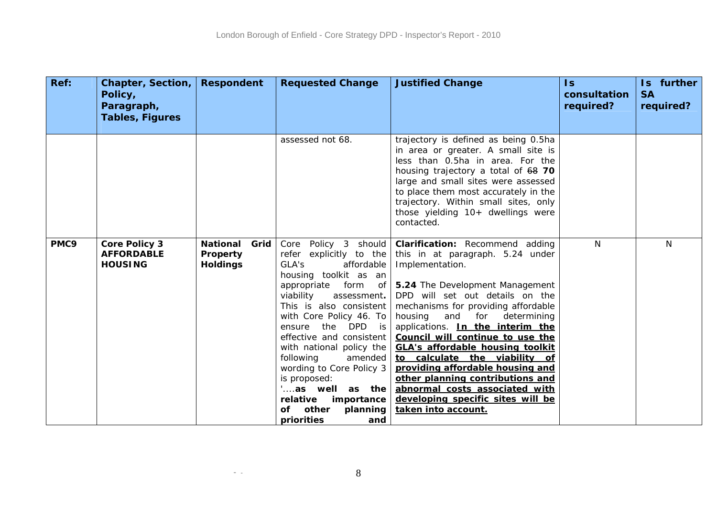| Ref: | Chapter, Section,<br>Policy,<br>Paragraph,<br><b>Tables, Figures</b> | <b>Respondent</b>                                      | <b>Requested Change</b>                                                                                                                                                                                                                                                                                                                                                                                                                        | <b>Justified Change</b>                                                                                                                                                                                                                                                                                                                                                                                                                                                                                                                                                | $\overline{1s}$<br>consultation<br>required? | Is further<br><b>SA</b><br>required? |
|------|----------------------------------------------------------------------|--------------------------------------------------------|------------------------------------------------------------------------------------------------------------------------------------------------------------------------------------------------------------------------------------------------------------------------------------------------------------------------------------------------------------------------------------------------------------------------------------------------|------------------------------------------------------------------------------------------------------------------------------------------------------------------------------------------------------------------------------------------------------------------------------------------------------------------------------------------------------------------------------------------------------------------------------------------------------------------------------------------------------------------------------------------------------------------------|----------------------------------------------|--------------------------------------|
|      |                                                                      |                                                        | assessed not 68.                                                                                                                                                                                                                                                                                                                                                                                                                               | trajectory is defined as being 0.5ha<br>in area or greater. A small site is<br>less than 0.5ha in area. For the<br>housing trajectory a total of 68 70<br>large and small sites were assessed<br>to place them most accurately in the<br>trajectory. Within small sites, only<br>those yielding 10+ dwellings were<br>contacted.                                                                                                                                                                                                                                       |                                              |                                      |
| PMC9 | <b>Core Policy 3</b><br><b>AFFORDABLE</b><br><b>HOUSING</b>          | <b>National</b><br>Grid<br>Property<br><b>Holdings</b> | Core Policy 3 should<br>refer explicitly to the<br>GLA's<br>affordable<br>housing toolkit as an<br>appropriate<br>viability<br>assessment.<br>This is also consistent<br>with Core Policy 46. To<br>ensure the DPD is<br>effective and consistent<br>with national policy the<br>amended<br>following<br>wording to Core Policy 3<br>is proposed:<br>"as well as the<br>relative<br>importance<br>other<br>planning<br>of<br>priorities<br>and | Clarification: Recommend adding<br>this in at paragraph. 5.24 under<br>Implementation.<br>form of   5.24 The Development Management<br>DPD will set out details on the<br>mechanisms for providing affordable<br>housing and for determining<br>applications. In the interim the<br>Council will continue to use the<br><b>GLA's affordable housing toolkit</b><br>to calculate the viability of<br>providing affordable housing and<br>other planning contributions and<br>abnormal costs associated with<br>developing specific sites will be<br>taken into account. | N                                            | N                                    |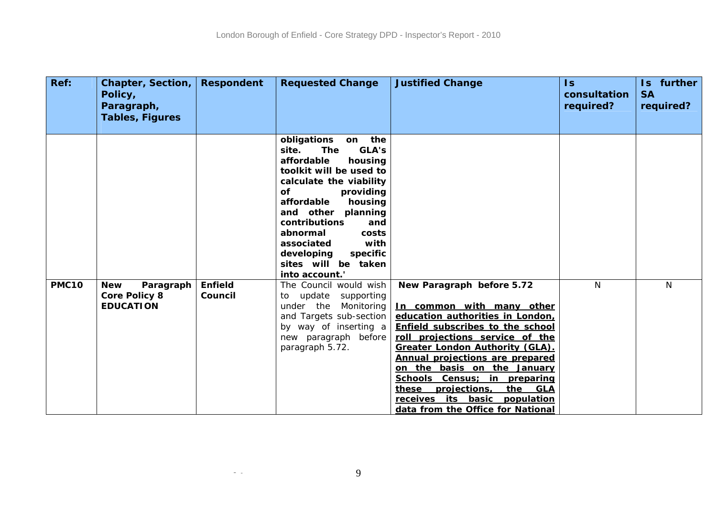| Ref:         | Chapter, Section,<br>Policy,<br>Paragraph,<br><b>Tables, Figures</b> | <b>Respondent</b>         | <b>Requested Change</b>                                                                                                                                                                                                                                                                                                                         | <b>Justified Change</b>                                                                                                                                                                                                                                                                                                                                                                              | $\mathsf{Is}$<br>consultation<br>required? | Is further<br><b>SA</b><br>required? |
|--------------|----------------------------------------------------------------------|---------------------------|-------------------------------------------------------------------------------------------------------------------------------------------------------------------------------------------------------------------------------------------------------------------------------------------------------------------------------------------------|------------------------------------------------------------------------------------------------------------------------------------------------------------------------------------------------------------------------------------------------------------------------------------------------------------------------------------------------------------------------------------------------------|--------------------------------------------|--------------------------------------|
|              |                                                                      |                           | obligations<br>on the<br>GLA's<br><b>The</b><br>site.<br>affordable<br>housing<br>toolkit will be used to<br>calculate the viability<br>of<br>providing<br>affordable<br>housing<br>and other<br>planning<br>contributions<br>and<br>abnormal<br>costs<br>with<br>associated<br>developing<br>specific<br>sites will be taken<br>into account." |                                                                                                                                                                                                                                                                                                                                                                                                      |                                            |                                      |
| <b>PMC10</b> | <b>New</b><br>Paragraph<br><b>Core Policy 8</b>                      | <b>Enfield</b><br>Council | The Council would wish<br>to update supporting                                                                                                                                                                                                                                                                                                  | New Paragraph before 5.72                                                                                                                                                                                                                                                                                                                                                                            | N                                          | $\mathsf{N}$                         |
|              | <b>EDUCATION</b>                                                     |                           | Monitoring<br>under the<br>and Targets sub-section<br>by way of inserting a<br>new paragraph before<br>paragraph 5.72.                                                                                                                                                                                                                          | In common with many other<br>education authorities in London,<br>Enfield subscribes to the school<br>roll projections service of the<br><b>Greater London Authority (GLA).</b><br>Annual projections are prepared<br>on the basis on the January<br>Schools Census; in preparing<br>projections,<br>the<br><u>GLA</u><br>these<br>receives its basic population<br>data from the Office for National |                                            |                                      |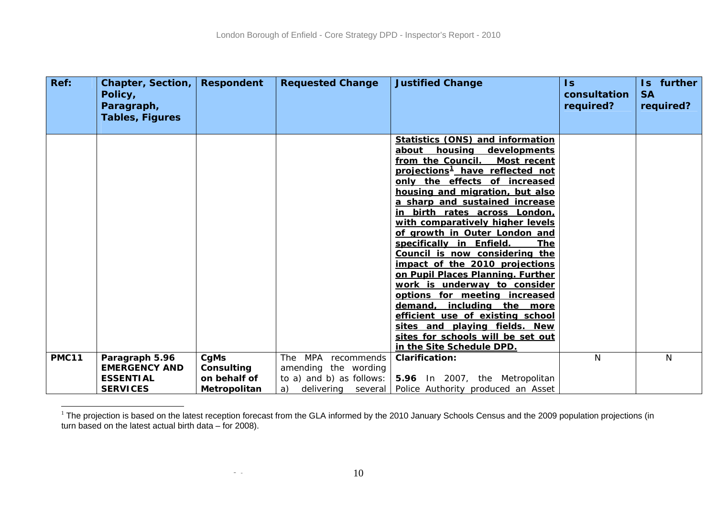| Ref:         | Chapter, Section,<br>Policy,<br>Paragraph,<br><b>Tables, Figures</b>          | <b>Respondent</b>                                  | <b>Requested Change</b>                                                                | <b>Justified Change</b>                                                                                                                                                                                                                                                                                                                                                                                                                                                                                                                                                                                                                                                                                                                                                   | $\mathsf{ls}$<br>consultation<br>required? | Is further<br><b>SA</b><br>required? |
|--------------|-------------------------------------------------------------------------------|----------------------------------------------------|----------------------------------------------------------------------------------------|---------------------------------------------------------------------------------------------------------------------------------------------------------------------------------------------------------------------------------------------------------------------------------------------------------------------------------------------------------------------------------------------------------------------------------------------------------------------------------------------------------------------------------------------------------------------------------------------------------------------------------------------------------------------------------------------------------------------------------------------------------------------------|--------------------------------------------|--------------------------------------|
|              |                                                                               |                                                    |                                                                                        | <b>Statistics (ONS) and information</b><br>housing<br>developments<br>about<br>from the Council.<br>Most recent<br>projections <sup>1</sup> have reflected not<br>only the effects of increased<br>housing and migration, but also<br>a sharp and sustained increase<br>in birth rates across London,<br>with comparatively higher levels<br>of growth in Outer London and<br>specifically in Enfield.<br><b>The</b><br>Council is now considering the<br>impact of the 2010 projections<br>on Pupil Places Planning. Further<br>work is underway to consider<br>options for meeting increased<br>including<br>demand,<br>the more<br>efficient use of existing school<br>sites and playing fields. New<br>sites for schools will be set out<br>in the Site Schedule DPD. |                                            |                                      |
| <b>PMC11</b> | Paragraph 5.96<br><b>EMERGENCY AND</b><br><b>ESSENTIAL</b><br><b>SERVICES</b> | CgMs<br>Consulting<br>on behalf of<br>Metropolitan | MPA recommends<br><b>The</b><br>amending the wording<br>to a) and b) as follows:<br>a) | <b>Clarification:</b><br>5.96 In 2007, the Metropolitan<br>delivering several   Police Authority produced an Asset                                                                                                                                                                                                                                                                                                                                                                                                                                                                                                                                                                                                                                                        | N                                          | $\mathsf{N}$                         |

<span id="page-31-0"></span> $^1$  The projection is based on the latest reception forecast from the GLA informed by the 2010 January Schools Census and the 2009 population projections (in turn based on the latest actual birth data – for 2008).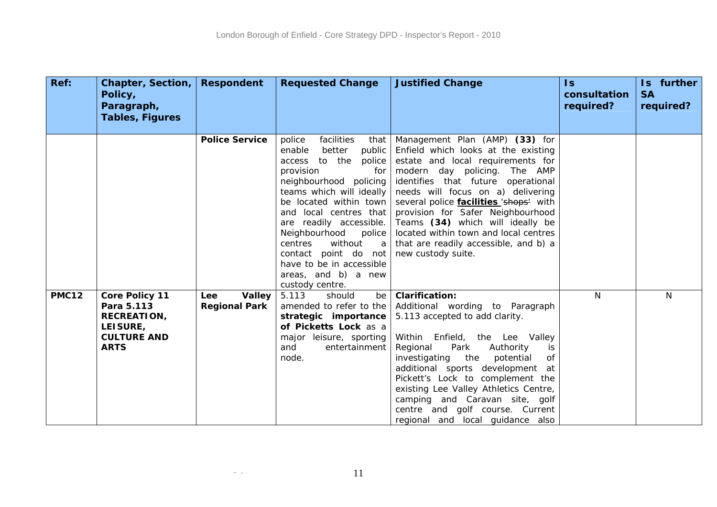| Ref:         | Chapter, Section,<br>Policy,<br>Paragraph,<br><b>Tables, Figures</b>                                       | <b>Respondent</b>                                   | <b>Requested Change</b>                                                                                                                                                                                                                                                                                                                                                                            | <b>Justified Change</b>                                                                                                                                                                                                                                                                                                                                                                                                                                 | $\overline{\mathsf{ls}}$<br>consultation<br>required? | Is further<br><b>SA</b><br>required? |
|--------------|------------------------------------------------------------------------------------------------------------|-----------------------------------------------------|----------------------------------------------------------------------------------------------------------------------------------------------------------------------------------------------------------------------------------------------------------------------------------------------------------------------------------------------------------------------------------------------------|---------------------------------------------------------------------------------------------------------------------------------------------------------------------------------------------------------------------------------------------------------------------------------------------------------------------------------------------------------------------------------------------------------------------------------------------------------|-------------------------------------------------------|--------------------------------------|
|              |                                                                                                            |                                                     |                                                                                                                                                                                                                                                                                                                                                                                                    |                                                                                                                                                                                                                                                                                                                                                                                                                                                         |                                                       |                                      |
|              |                                                                                                            | <b>Police Service</b>                               | facilities<br>police<br>that<br>enable<br>better<br>public<br>access to the<br>police<br>provision<br>for<br>neighbourhood policing<br>teams which will ideally<br>be located within town<br>and local centres that<br>are readily accessible.<br>Neighbourhood<br>police<br>without<br>centres<br>a<br>contact point do not<br>have to be in accessible<br>areas, and b) a new<br>custody centre. | Management Plan (AMP) (33) for<br>Enfield which looks at the existing<br>estate and local requirements for<br>modern day policing. The AMP<br>identifies that future operational<br>needs will focus on a) delivering<br>several police <i>facilities</i> 'shops' with<br>provision for Safer Neighbourhood<br>Teams (34) which will ideally be<br>located within town and local centres<br>that are readily accessible, and b) a<br>new custody suite. |                                                       |                                      |
| <b>PMC12</b> | <b>Core Policy 11</b><br>Para 5.113<br><b>RECREATION,</b><br>LEISURE,<br><b>CULTURE AND</b><br><b>ARTS</b> | <b>Valley</b><br><b>Lee</b><br><b>Regional Park</b> | 5.113<br>should<br>be<br>amended to refer to the<br>strategic importance<br>of Picketts Lock as a<br>major leisure, sporting<br>entertainment<br>and<br>node.                                                                                                                                                                                                                                      | <b>Clarification:</b><br>Additional wording to Paragraph<br>5.113 accepted to add clarity.<br>Within Enfield, the Lee Valley<br>Park<br>Regional<br>Authority<br>is<br>investigating the<br>potential<br>0f<br>additional sports development at<br>Pickett's Lock to complement the<br>existing Lee Valley Athletics Centre,<br>camping and Caravan site, golf<br>centre and golf course. Current<br>regional and local guidance also                   | N                                                     | N                                    |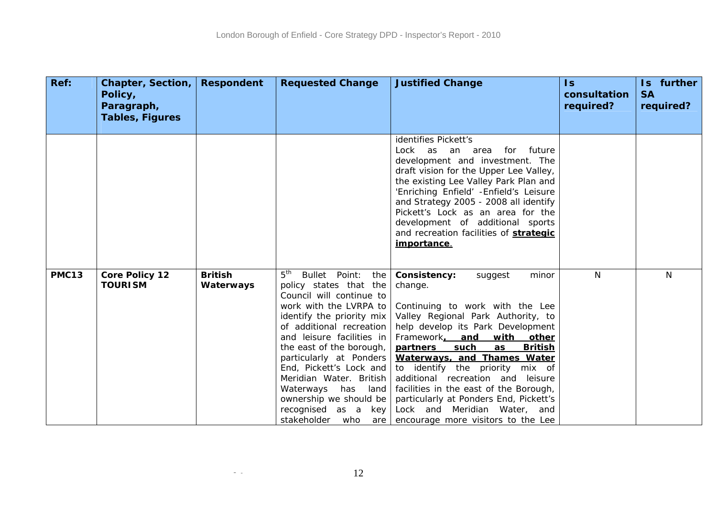| Ref:         | Chapter, Section,<br>Policy,<br>Paragraph, | <b>Respondent</b>           | <b>Requested Change</b>                                                                                                                                                                                                                                                                                                                                                                                              | <b>Justified Change</b>                                                                                                                                                                                                                                                                                                                                                                                                                                                                                      | $\overline{\mathsf{ls}}$<br>consultation<br>required? | Is further<br><b>SA</b><br>required? |
|--------------|--------------------------------------------|-----------------------------|----------------------------------------------------------------------------------------------------------------------------------------------------------------------------------------------------------------------------------------------------------------------------------------------------------------------------------------------------------------------------------------------------------------------|--------------------------------------------------------------------------------------------------------------------------------------------------------------------------------------------------------------------------------------------------------------------------------------------------------------------------------------------------------------------------------------------------------------------------------------------------------------------------------------------------------------|-------------------------------------------------------|--------------------------------------|
|              | <b>Tables, Figures</b>                     |                             |                                                                                                                                                                                                                                                                                                                                                                                                                      |                                                                                                                                                                                                                                                                                                                                                                                                                                                                                                              |                                                       |                                      |
|              |                                            |                             |                                                                                                                                                                                                                                                                                                                                                                                                                      | identifies Pickett's<br>future<br>Lock as an area<br>for<br>development and investment. The<br>draft vision for the Upper Lee Valley,<br>the existing Lee Valley Park Plan and<br>'Enriching Enfield' - Enfield's Leisure<br>and Strategy 2005 - 2008 all identify<br>Pickett's Lock as an area for the<br>development of additional sports<br>and recreation facilities of strategic<br>importance.                                                                                                         |                                                       |                                      |
| <b>PMC13</b> | <b>Core Policy 12</b><br><b>TOURISM</b>    | <b>British</b><br>Waterways | $5^{\text{th}}$<br>Bullet Point: the<br>policy states that the<br>Council will continue to<br>work with the LVRPA to<br>identify the priority mix<br>of additional recreation<br>and leisure facilities in<br>the east of the borough,<br>particularly at Ponders<br>End, Pickett's Lock and<br>Meridian Water. British<br>Waterways has<br>land<br>ownership we should be<br>recognised as a key<br>stakeholder who | Consistency:<br>suggest<br>minor<br>change.<br>Continuing to work with the Lee<br>Valley Regional Park Authority, to<br>help develop its Park Development<br>Framework. and<br>with other<br>partners<br>such<br>as<br><b>British</b><br>Waterways, and Thames Water<br>to identify the priority mix of<br>additional recreation and leisure<br>facilities in the east of the Borough,<br>particularly at Ponders End, Pickett's<br>Lock and Meridian Water, and<br>are   encourage more visitors to the Lee | N.                                                    | N                                    |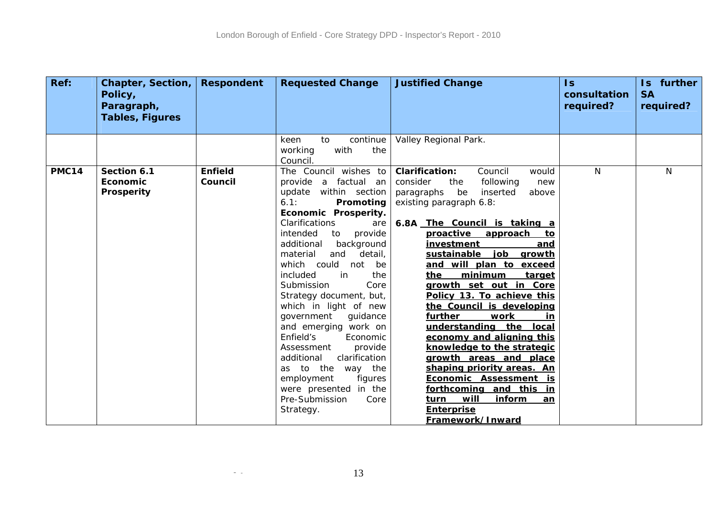| Ref:         | <b>Chapter, Section,</b><br>Policy,<br>Paragraph, | <b>Respondent</b>         | <b>Requested Change</b>                                                                                                                                                                                                                                                                                                                                                                                                                                                                                                                                                                                          | <b>Justified Change</b>                                                                                                                                                                                                                                                                                                                                                                                                                                                                                                                                                                                                                                                                                                                  | $\sf{ls}$<br>consultation<br>required? | Is further<br><b>SA</b><br>required? |
|--------------|---------------------------------------------------|---------------------------|------------------------------------------------------------------------------------------------------------------------------------------------------------------------------------------------------------------------------------------------------------------------------------------------------------------------------------------------------------------------------------------------------------------------------------------------------------------------------------------------------------------------------------------------------------------------------------------------------------------|------------------------------------------------------------------------------------------------------------------------------------------------------------------------------------------------------------------------------------------------------------------------------------------------------------------------------------------------------------------------------------------------------------------------------------------------------------------------------------------------------------------------------------------------------------------------------------------------------------------------------------------------------------------------------------------------------------------------------------------|----------------------------------------|--------------------------------------|
|              | <b>Tables, Figures</b>                            |                           |                                                                                                                                                                                                                                                                                                                                                                                                                                                                                                                                                                                                                  |                                                                                                                                                                                                                                                                                                                                                                                                                                                                                                                                                                                                                                                                                                                                          |                                        |                                      |
|              |                                                   |                           | to<br>continue<br>keen<br>with<br>working<br>the<br>Council.                                                                                                                                                                                                                                                                                                                                                                                                                                                                                                                                                     | Valley Regional Park.                                                                                                                                                                                                                                                                                                                                                                                                                                                                                                                                                                                                                                                                                                                    |                                        |                                      |
| <b>PMC14</b> | Section 6.1<br>Economic<br>Prosperity             | <b>Enfield</b><br>Council | The Council wishes to<br>provide a factual an<br>update within section<br>6.1:<br>Promoting<br>Economic Prosperity.<br>Clarifications<br>are<br>intended<br>provide<br>to<br>additional<br>background<br>material<br>and<br>detail,<br>which could not<br>be<br>included<br>the<br>in<br>Submission<br>Core<br>Strategy document, but,<br>which in light of new<br>government<br>guidance<br>and emerging work on<br>Enfield's<br>Economic<br>Assessment<br>provide<br>clarification<br>additional<br>as to the way the<br>employment<br>figures<br>were presented in the<br>Pre-Submission<br>Core<br>Strategy. | <b>Clarification:</b><br>Council<br>would<br>consider<br>the<br>following<br>new<br>be<br>inserted<br>paragraphs<br>above<br>existing paragraph 6.8:<br>6.8A The Council is taking a<br>approach<br><u>proactive</u><br>to<br><i>investment</i><br>and<br>sustainable<br>job growth<br>and will plan to exceed<br>minimum<br>the<br>target<br>growth set out in Core<br>Policy 13. To achieve this<br>the Council is developing<br>further<br>work<br>in<br>understanding the local<br>economy and aligning this<br>knowledge to the strategic<br>growth areas and place<br>shaping priority areas. An<br>Economic Assessment is<br>forthcoming and this<br>in.<br>will<br>inform<br>turn<br>an<br><b>Enterprise</b><br>Framework/Inward | N                                      | N                                    |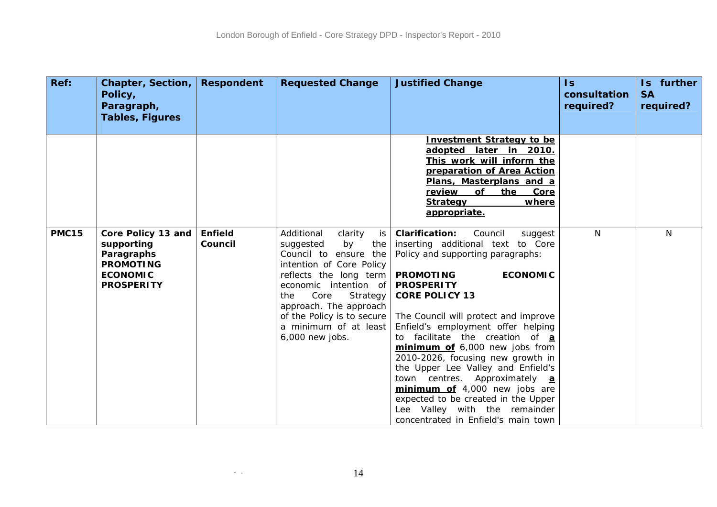| Ref:         | Chapter, Section,<br>Policy,<br>Paragraph,<br><b>Tables, Figures</b>                                       | <b>Respondent</b>         | <b>Requested Change</b>                                                                                                                                                                                                                                                                      | <b>Justified Change</b>                                                                                                                                                                                                                                                                                                                                                                                                                                                                                                                                                                                                   | $\overline{\mathsf{ls}}$<br>consultation<br>required? | Is further<br><b>SA</b><br>required? |
|--------------|------------------------------------------------------------------------------------------------------------|---------------------------|----------------------------------------------------------------------------------------------------------------------------------------------------------------------------------------------------------------------------------------------------------------------------------------------|---------------------------------------------------------------------------------------------------------------------------------------------------------------------------------------------------------------------------------------------------------------------------------------------------------------------------------------------------------------------------------------------------------------------------------------------------------------------------------------------------------------------------------------------------------------------------------------------------------------------------|-------------------------------------------------------|--------------------------------------|
|              |                                                                                                            |                           |                                                                                                                                                                                                                                                                                              | <b>Investment Strategy to be</b><br>adopted later in 2010.<br>This work will inform the<br>preparation of Area Action<br>Plans, Masterplans and a<br>of<br>review<br>the<br>Core<br>where<br><b>Strategy</b><br>appropriate.                                                                                                                                                                                                                                                                                                                                                                                              |                                                       |                                      |
| <b>PMC15</b> | Core Policy 13 and<br>supporting<br>Paragraphs<br><b>PROMOTING</b><br><b>ECONOMIC</b><br><b>PROSPERITY</b> | <b>Enfield</b><br>Council | Additional<br>clarity<br>is<br>the<br>suggested<br>by<br>Council to ensure the<br>intention of Core Policy<br>reflects the long term<br>economic intention of<br>Core<br>Strategy<br>the<br>approach. The approach<br>of the Policy is to secure<br>a minimum of at least<br>6,000 new jobs. | <b>Clarification:</b><br>Council<br>suggest<br>inserting additional text to Core<br>Policy and supporting paragraphs:<br><b>PROMOTING</b><br><b>ECONOMIC</b><br><b>PROSPERITY</b><br><b>CORE POLICY 13</b><br>The Council will protect and improve<br>Enfield's employment offer helping<br>to facilitate the creation of a<br>minimum of 6,000 new jobs from<br>2010-2026, focusing new growth in<br>the Upper Lee Valley and Enfield's<br>town centres. Approximately a<br>minimum of 4,000 new jobs are<br>expected to be created in the Upper<br>Lee Valley with the remainder<br>concentrated in Enfield's main town | N                                                     | N                                    |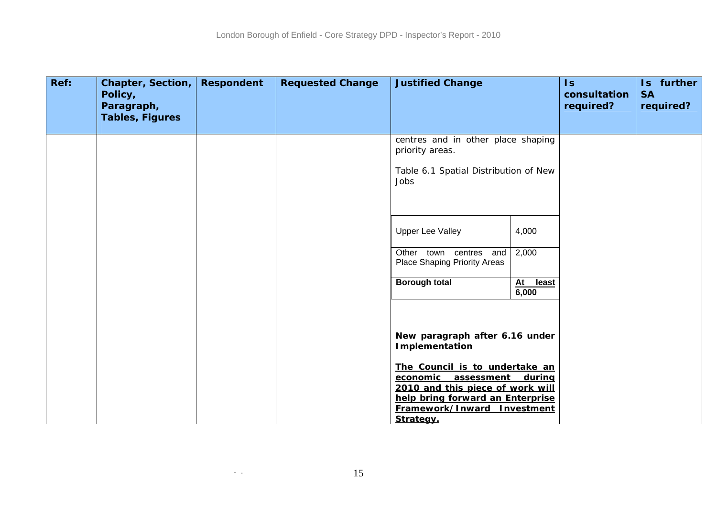| Ref: | <b>Chapter, Section,</b><br>Policy,<br>Paragraph,<br>Tables, Figures | <b>Respondent</b> | <b>Requested Change</b> | <b>Justified Change</b>                                                                                                                                                                     |                      | $\mathsf{Is}$<br>consultation<br>required? | Is further<br><b>SA</b><br>required? |
|------|----------------------------------------------------------------------|-------------------|-------------------------|---------------------------------------------------------------------------------------------------------------------------------------------------------------------------------------------|----------------------|--------------------------------------------|--------------------------------------|
|      |                                                                      |                   |                         | centres and in other place shaping<br>priority areas.<br>Table 6.1 Spatial Distribution of New<br>Jobs                                                                                      |                      |                                            |                                      |
|      |                                                                      |                   |                         | <b>Upper Lee Valley</b><br>Other town centres and<br>Place Shaping Priority Areas                                                                                                           | 4,000<br>2,000       |                                            |                                      |
|      |                                                                      |                   |                         | <b>Borough total</b><br>New paragraph after 6.16 under                                                                                                                                      | least<br>At<br>6,000 |                                            |                                      |
|      |                                                                      |                   |                         | Implementation<br>The Council is to undertake an<br>economic assessment<br>2010 and this piece of work will<br>help bring forward an Enterprise<br>Framework/Inward Investment<br>Strategy. | during               |                                            |                                      |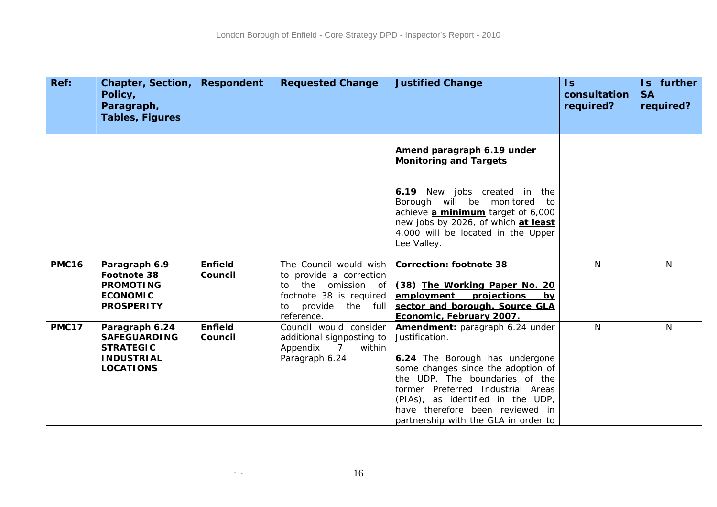| Ref:         | Chapter, Section,<br>Policy,<br>Paragraph,<br><b>Tables, Figures</b>                               | <b>Respondent</b>         | <b>Requested Change</b>                                                                                                                       | <b>Justified Change</b>                                                                                                                                                                                                                                                                                          | $\overline{\mathsf{ls}}$<br>consultation<br>required? | Is further<br><b>SA</b><br>required? |
|--------------|----------------------------------------------------------------------------------------------------|---------------------------|-----------------------------------------------------------------------------------------------------------------------------------------------|------------------------------------------------------------------------------------------------------------------------------------------------------------------------------------------------------------------------------------------------------------------------------------------------------------------|-------------------------------------------------------|--------------------------------------|
|              |                                                                                                    |                           |                                                                                                                                               |                                                                                                                                                                                                                                                                                                                  |                                                       |                                      |
|              |                                                                                                    |                           |                                                                                                                                               | Amend paragraph 6.19 under<br><b>Monitoring and Targets</b>                                                                                                                                                                                                                                                      |                                                       |                                      |
|              |                                                                                                    |                           |                                                                                                                                               | 6.19 New jobs created in the<br>Borough will be monitored to<br>achieve <b>a minimum</b> target of 6,000<br>new jobs by 2026, of which at least<br>4,000 will be located in the Upper<br>Lee Valley.                                                                                                             |                                                       |                                      |
| <b>PMC16</b> | Paragraph 6.9<br>Footnote 38<br><b>PROMOTING</b><br><b>ECONOMIC</b><br><b>PROSPERITY</b>           | <b>Enfield</b><br>Council | The Council would wish<br>to provide a correction<br>the omission of<br>to<br>footnote 38 is required<br>provide the full<br>to<br>reference. | <b>Correction: footnote 38</b><br>(38) The Working Paper No. 20<br>employment projections<br>bv<br>sector and borough, Source GLA<br>Economic, February 2007.                                                                                                                                                    | N                                                     | N                                    |
| <b>PMC17</b> | Paragraph 6.24<br><b>SAFEGUARDING</b><br><b>STRATEGIC</b><br><b>INDUSTRIAL</b><br><b>LOCATIONS</b> | <b>Enfield</b><br>Council | Council would consider<br>additional signposting to<br>Appendix<br>within<br>7<br>Paragraph 6.24.                                             | Amendment: paragraph 6.24 under<br>Justification.<br>6.24 The Borough has undergone<br>some changes since the adoption of<br>the UDP. The boundaries of the<br>former Preferred Industrial Areas<br>(PIAs), as identified in the UDP,<br>have therefore been reviewed in<br>partnership with the GLA in order to | N                                                     | N                                    |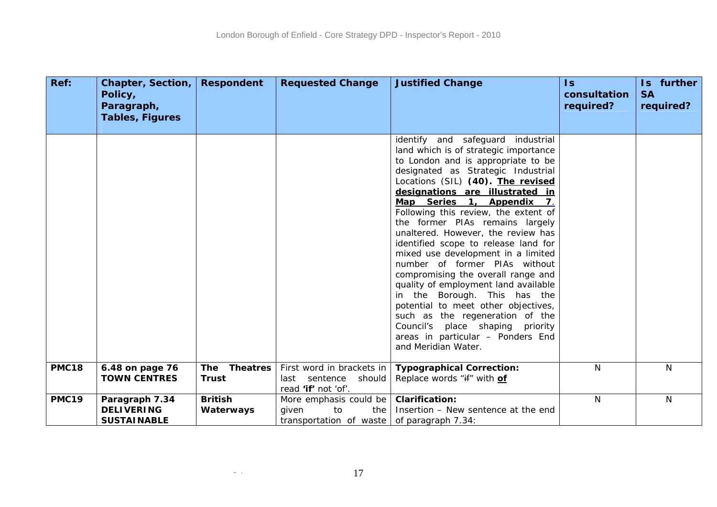| Ref:         | Chapter, Section,<br>Policy,<br>Paragraph,                | <b>Respondent</b>                             | <b>Requested Change</b>                                                                       | <b>Justified Change</b>                                                                                                                                                                                                                                                                                                                                                                                                                                                                                                                                                                                                                                                                                                                                                             | $\overline{\mathsf{ls}}$<br>consultation<br>required? | Is further<br><b>SA</b><br>required? |
|--------------|-----------------------------------------------------------|-----------------------------------------------|-----------------------------------------------------------------------------------------------|-------------------------------------------------------------------------------------------------------------------------------------------------------------------------------------------------------------------------------------------------------------------------------------------------------------------------------------------------------------------------------------------------------------------------------------------------------------------------------------------------------------------------------------------------------------------------------------------------------------------------------------------------------------------------------------------------------------------------------------------------------------------------------------|-------------------------------------------------------|--------------------------------------|
|              | <b>Tables, Figures</b>                                    |                                               |                                                                                               |                                                                                                                                                                                                                                                                                                                                                                                                                                                                                                                                                                                                                                                                                                                                                                                     |                                                       |                                      |
|              |                                                           |                                               |                                                                                               | identify and safeguard industrial<br>land which is of strategic importance<br>to London and is appropriate to be<br>designated as Strategic Industrial<br>Locations (SIL) (40). The revised<br>designations are illustrated in<br>Map Series 1, Appendix 7,<br>Following this review, the extent of<br>the former PIAs remains largely<br>unaltered. However, the review has<br>identified scope to release land for<br>mixed use development in a limited<br>number of former PIAs without<br>compromising the overall range and<br>quality of employment land available<br>in the Borough. This has the<br>potential to meet other objectives,<br>such as the regeneration of the<br>Council's place shaping priority<br>areas in particular - Ponders End<br>and Meridian Water. |                                                       |                                      |
| <b>PMC18</b> | 6.48 on page 76<br><b>TOWN CENTRES</b>                    | <b>Theatres</b><br><b>The</b><br><b>Trust</b> | First word in brackets in<br>last sentence<br>should<br>read 'if' not 'of'.                   | <b>Typographical Correction:</b><br>Replace words "if" with of                                                                                                                                                                                                                                                                                                                                                                                                                                                                                                                                                                                                                                                                                                                      | N                                                     | N                                    |
| <b>PMC19</b> | Paragraph 7.34<br><b>DELIVERING</b><br><b>SUSTAINABLE</b> | <b>British</b><br>Waterways                   | More emphasis could be<br>given<br>to<br>the<br>transportation of waste of paragraph $7.34$ : | <b>Clarification:</b><br>Insertion - New sentence at the end                                                                                                                                                                                                                                                                                                                                                                                                                                                                                                                                                                                                                                                                                                                        | $\mathsf{N}$                                          | N                                    |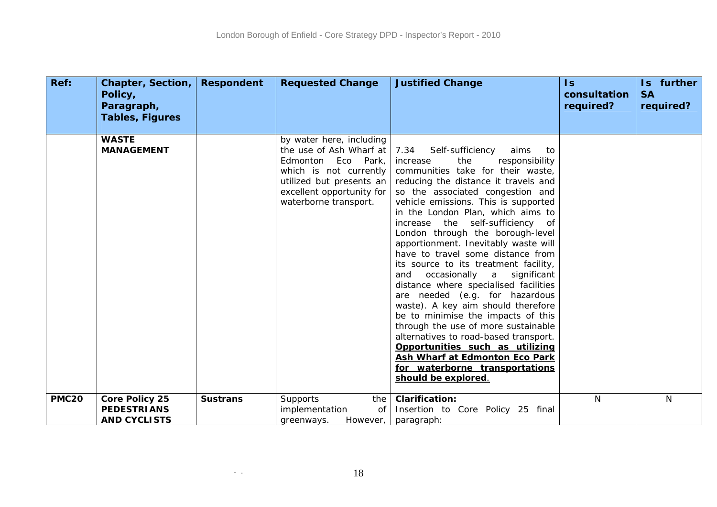| Ref:         | <b>Chapter, Section,</b><br>Policy,<br>Paragraph,           | <b>Respondent</b> | <b>Requested Change</b>                                                                                                                                                               | <b>Justified Change</b>                                                                                                                                                                                                                                                                                                                                                                                                                                                                                                                                                                                                                                                                                                                                                                                                                                                        | $\overline{\mathsf{ls}}$<br>consultation<br>required? | Is further<br><b>SA</b><br>required? |
|--------------|-------------------------------------------------------------|-------------------|---------------------------------------------------------------------------------------------------------------------------------------------------------------------------------------|--------------------------------------------------------------------------------------------------------------------------------------------------------------------------------------------------------------------------------------------------------------------------------------------------------------------------------------------------------------------------------------------------------------------------------------------------------------------------------------------------------------------------------------------------------------------------------------------------------------------------------------------------------------------------------------------------------------------------------------------------------------------------------------------------------------------------------------------------------------------------------|-------------------------------------------------------|--------------------------------------|
|              | <b>Tables, Figures</b>                                      |                   |                                                                                                                                                                                       |                                                                                                                                                                                                                                                                                                                                                                                                                                                                                                                                                                                                                                                                                                                                                                                                                                                                                |                                                       |                                      |
|              | <b>WASTE</b><br><b>MANAGEMENT</b>                           |                   | by water here, including<br>the use of Ash Wharf at<br>Edmonton Eco Park,<br>which is not currently<br>utilized but presents an<br>excellent opportunity for<br>waterborne transport. | 7.34<br>Self-sufficiency<br>aims<br>to<br>the<br>responsibility<br>increase<br>communities take for their waste,<br>reducing the distance it travels and<br>so the associated congestion and<br>vehicle emissions. This is supported<br>in the London Plan, which aims to<br>increase the self-sufficiency of<br>London through the borough-level<br>apportionment. Inevitably waste will<br>have to travel some distance from<br>its source to its treatment facility,<br>and occasionally a significant<br>distance where specialised facilities<br>are needed (e.g. for hazardous<br>waste). A key aim should therefore<br>be to minimise the impacts of this<br>through the use of more sustainable<br>alternatives to road-based transport.<br>Opportunities such as utilizing<br>Ash Wharf at Edmonton Eco Park<br>for waterborne transportations<br>should be explored. |                                                       |                                      |
| <b>PMC20</b> | Core Policy 25<br><b>PEDESTRIANS</b><br><b>AND CYCLISTS</b> | <b>Sustrans</b>   | Supports<br>the<br>implementation<br><b>of</b><br>However,<br>greenways.                                                                                                              | <b>Clarification:</b><br>Insertion to Core Policy 25 final<br>paragraph:                                                                                                                                                                                                                                                                                                                                                                                                                                                                                                                                                                                                                                                                                                                                                                                                       | N                                                     | N                                    |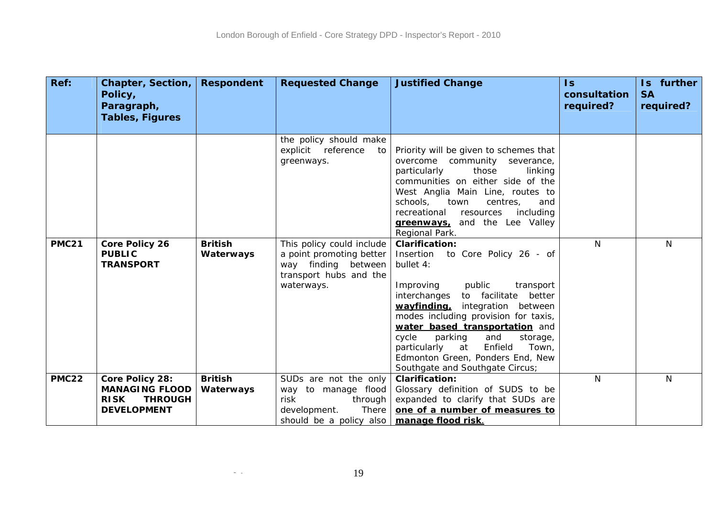| Ref:         | Chapter, Section,<br>Policy,<br>Paragraph,                                                      | <b>Respondent</b>           | <b>Requested Change</b>                                                                                                                  | <b>Justified Change</b>                                                                                                                                                                                                                                                                                                                                                                                                          | $\mathsf{ls}$<br>consultation<br>required? | Is further<br><b>SA</b><br>required? |
|--------------|-------------------------------------------------------------------------------------------------|-----------------------------|------------------------------------------------------------------------------------------------------------------------------------------|----------------------------------------------------------------------------------------------------------------------------------------------------------------------------------------------------------------------------------------------------------------------------------------------------------------------------------------------------------------------------------------------------------------------------------|--------------------------------------------|--------------------------------------|
|              | <b>Tables, Figures</b>                                                                          |                             |                                                                                                                                          |                                                                                                                                                                                                                                                                                                                                                                                                                                  |                                            |                                      |
|              |                                                                                                 |                             | the policy should make<br>explicit reference<br>to<br>greenways.                                                                         | Priority will be given to schemes that<br>overcome community<br>severance,<br>particularly<br>those<br>linking<br>communities on either side of the<br>West Anglia Main Line, routes to<br>schools,<br>town<br>centres,<br>and<br>recreational<br>resources<br>including<br>greenways, and the Lee Valley<br>Regional Park.                                                                                                      |                                            |                                      |
| <b>PMC21</b> | Core Policy 26<br><b>PUBLIC</b><br><b>TRANSPORT</b>                                             | <b>British</b><br>Waterways | This policy could include<br>a point promoting better<br>way finding between<br>transport hubs and the<br>waterways.                     | <b>Clarification:</b><br>Insertion<br>to Core Policy 26 - of<br>bullet 4:<br>public<br>Improving<br>transport<br>interchanges<br>to facilitate<br>better<br>wayfinding,<br>integration between<br>modes including provision for taxis,<br>water based transportation and<br>cycle<br>parking<br>and<br>storage,<br>Enfield<br>Town,<br>particularly<br>at<br>Edmonton Green, Ponders End, New<br>Southgate and Southgate Circus; | N                                          | N                                    |
| <b>PMC22</b> | Core Policy 28:<br><b>MANAGING FLOOD</b><br><b>RISK</b><br><b>THROUGH</b><br><b>DEVELOPMENT</b> | <b>British</b><br>Waterways | SUDs are not the only<br>way to manage flood<br>risk<br>through<br>There<br>development.<br>should be a policy also   manage flood risk. | <b>Clarification:</b><br>Glossary definition of SUDS to be<br>expanded to clarify that SUDs are<br>one of a number of measures to                                                                                                                                                                                                                                                                                                | N.                                         | N                                    |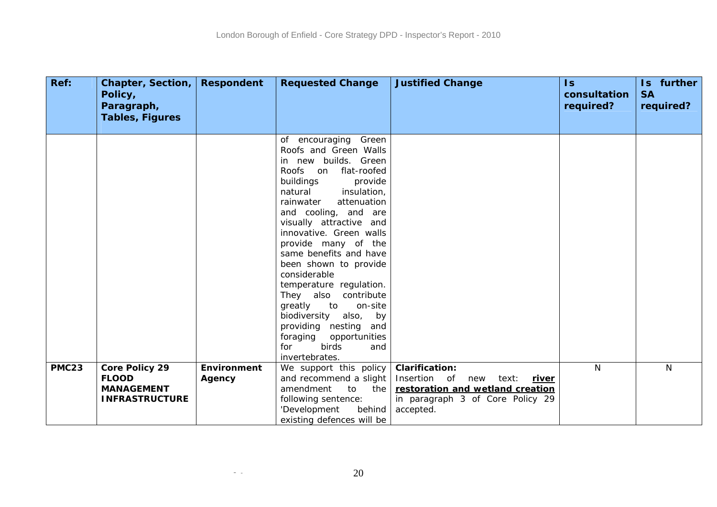| Ref:         | <b>Chapter, Section,</b><br>Policy,<br>Paragraph, | <b>Respondent</b>  | <b>Requested Change</b>                                                                                                                                                                                                                                                                                                                                                                                                                                                                                                                                              | <b>Justified Change</b>                                   | $\overline{\mathsf{ls}}$<br>consultation<br>required? | Is further<br><b>SA</b><br>required? |
|--------------|---------------------------------------------------|--------------------|----------------------------------------------------------------------------------------------------------------------------------------------------------------------------------------------------------------------------------------------------------------------------------------------------------------------------------------------------------------------------------------------------------------------------------------------------------------------------------------------------------------------------------------------------------------------|-----------------------------------------------------------|-------------------------------------------------------|--------------------------------------|
|              | <b>Tables, Figures</b>                            |                    |                                                                                                                                                                                                                                                                                                                                                                                                                                                                                                                                                                      |                                                           |                                                       |                                      |
|              |                                                   |                    | of encouraging Green<br>Roofs and Green Walls<br>in new builds. Green<br>flat-roofed<br>Roofs on<br>buildings<br>provide<br>insulation,<br>natural<br>attenuation<br>rainwater<br>and cooling, and are<br>visually attractive and<br>innovative. Green walls<br>provide many of the<br>same benefits and have<br>been shown to provide<br>considerable<br>temperature regulation.<br>They also contribute<br>greatly<br>to<br>on-site<br>biodiversity also,<br>by<br>providing nesting and<br>foraging opportunities<br><b>birds</b><br>for<br>and<br>invertebrates. |                                                           |                                                       |                                      |
| <b>PMC23</b> | Core Policy 29<br><b>FLOOD</b>                    | <b>Environment</b> | We support this policy<br>and recommend a slight                                                                                                                                                                                                                                                                                                                                                                                                                                                                                                                     | <b>Clarification:</b><br>Insertion of new                 | N.                                                    | N                                    |
|              | <b>MANAGEMENT</b>                                 | Agency             | amendment<br>the<br>$t_{\Omega}$                                                                                                                                                                                                                                                                                                                                                                                                                                                                                                                                     | text:<br><u>river</u><br>restoration and wetland creation |                                                       |                                      |
|              | <b>INFRASTRUCTURE</b>                             |                    | following sentence:                                                                                                                                                                                                                                                                                                                                                                                                                                                                                                                                                  | in paragraph 3 of Core Policy 29                          |                                                       |                                      |
|              |                                                   |                    | 'Development<br>behind<br>existing defences will be                                                                                                                                                                                                                                                                                                                                                                                                                                                                                                                  | accepted.                                                 |                                                       |                                      |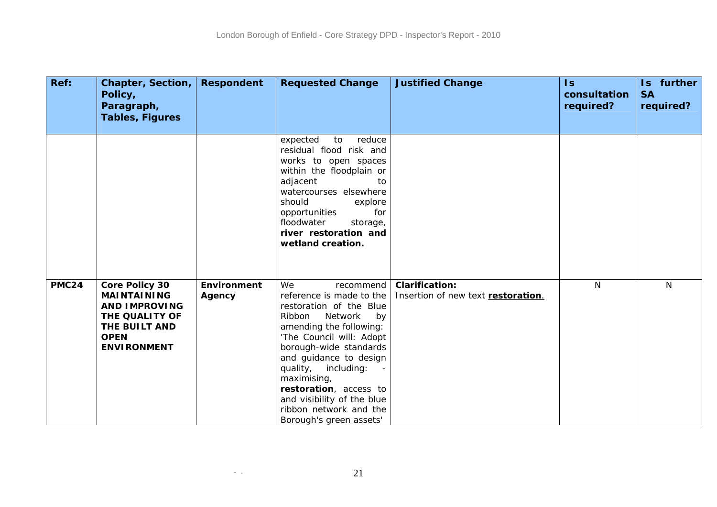| Ref:         | Chapter, Section,<br>Policy,<br>Paragraph,<br><b>Tables, Figures</b>                                                                        | <b>Respondent</b>            | <b>Requested Change</b>                                                                                                                                                                                                                                                                                                                                         | <b>Justified Change</b>                                     | $\overline{1s}$<br>consultation<br>required? | Is further<br><b>SA</b><br>required? |
|--------------|---------------------------------------------------------------------------------------------------------------------------------------------|------------------------------|-----------------------------------------------------------------------------------------------------------------------------------------------------------------------------------------------------------------------------------------------------------------------------------------------------------------------------------------------------------------|-------------------------------------------------------------|----------------------------------------------|--------------------------------------|
|              |                                                                                                                                             |                              | expected<br>reduce<br>to<br>residual flood risk and<br>works to open spaces<br>within the floodplain or<br>adjacent<br>to<br>watercourses elsewhere<br>should<br>explore<br>opportunities<br>for<br>floodwater<br>storage,<br>river restoration and<br>wetland creation.                                                                                        |                                                             |                                              |                                      |
| <b>PMC24</b> | <b>Core Policy 30</b><br><b>MAINTAINING</b><br><b>AND IMPROVING</b><br>THE QUALITY OF<br>THE BUILT AND<br><b>OPEN</b><br><b>ENVIRONMENT</b> | <b>Environment</b><br>Agency | We<br>recommend<br>reference is made to the<br>restoration of the Blue<br>Ribbon<br>Network<br>by<br>amending the following:<br>'The Council will: Adopt<br>borough-wide standards<br>and guidance to design<br>quality, including:<br>maximising,<br>restoration, access to<br>and visibility of the blue<br>ribbon network and the<br>Borough's green assets' | <b>Clarification:</b><br>Insertion of new text restoration. | N                                            | N                                    |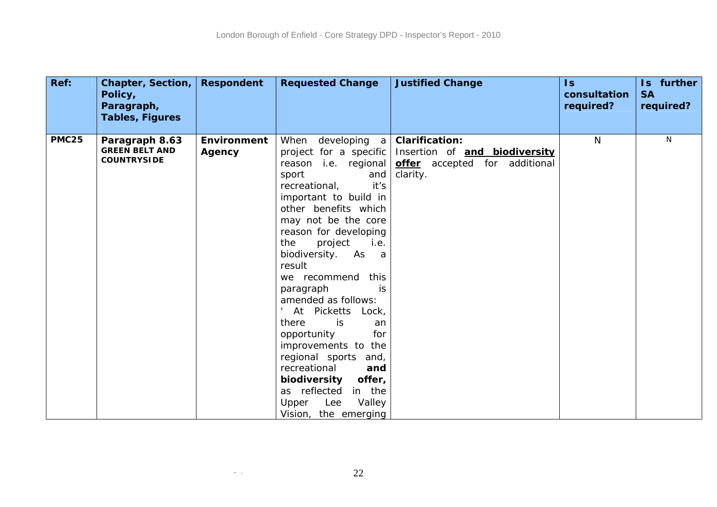| Ref:         | <b>Chapter, Section,</b><br>Policy,<br>Paragraph,             | <b>Respondent</b>            | <b>Requested Change</b>                                                                                                                                                                                                                                                                                                                                                                                                                                                                                                                                                                         | <b>Justified Change</b>                                                                             | $\mathsf{ls}$<br>consultation<br>required? | Is further<br><b>SA</b><br>required? |
|--------------|---------------------------------------------------------------|------------------------------|-------------------------------------------------------------------------------------------------------------------------------------------------------------------------------------------------------------------------------------------------------------------------------------------------------------------------------------------------------------------------------------------------------------------------------------------------------------------------------------------------------------------------------------------------------------------------------------------------|-----------------------------------------------------------------------------------------------------|--------------------------------------------|--------------------------------------|
|              | <b>Tables, Figures</b>                                        |                              |                                                                                                                                                                                                                                                                                                                                                                                                                                                                                                                                                                                                 |                                                                                                     |                                            |                                      |
| <b>PMC25</b> | Paragraph 8.63<br><b>GREEN BELT AND</b><br><b>COUNTRYSIDE</b> | <b>Environment</b><br>Agency | When developing<br>a l<br>project for a specific<br>reason i.e. regional<br>sport<br>and<br>it's<br>recreational,<br>important to build in<br>other benefits which<br>may not be the core<br>reason for developing<br>the<br>project<br>i.e.<br>biodiversity. As<br>a a<br>result<br>we recommend<br>this<br>paragraph<br>is<br>amended as follows:<br>At Picketts Lock,<br>is<br>there<br>an<br>for<br>opportunity<br>improvements to the<br>regional sports and,<br>recreational<br>and<br>biodiversity<br>offer,<br>as reflected<br>in the<br>Lee<br>Valley<br>Upper<br>Vision, the emerging | <b>Clarification:</b><br>Insertion of and biodiversity<br>offer accepted for additional<br>clarity. | N                                          | N                                    |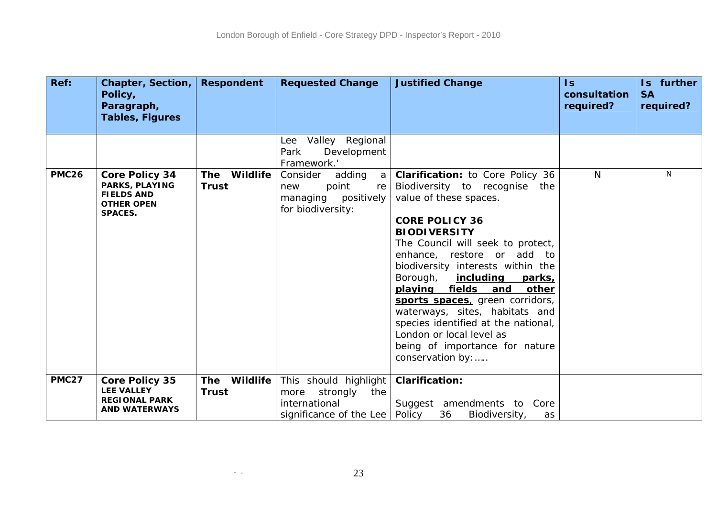| Ref:         | Chapter, Section,<br>Policy,<br>Paragraph,                                                                 | <b>Respondent</b>                      | <b>Requested Change</b>                                                                            | <b>Justified Change</b>                                                                                                                                                                                                                                                                                                                                                                                                                                                                                                              | $\mathsf{Is}$<br>consultation<br>required? | Is further<br><b>SA</b><br>required? |
|--------------|------------------------------------------------------------------------------------------------------------|----------------------------------------|----------------------------------------------------------------------------------------------------|--------------------------------------------------------------------------------------------------------------------------------------------------------------------------------------------------------------------------------------------------------------------------------------------------------------------------------------------------------------------------------------------------------------------------------------------------------------------------------------------------------------------------------------|--------------------------------------------|--------------------------------------|
|              | <b>Tables, Figures</b>                                                                                     |                                        |                                                                                                    |                                                                                                                                                                                                                                                                                                                                                                                                                                                                                                                                      |                                            |                                      |
|              |                                                                                                            |                                        | Lee Valley Regional<br>Development<br>Park<br>Framework.'                                          |                                                                                                                                                                                                                                                                                                                                                                                                                                                                                                                                      |                                            |                                      |
| <b>PMC26</b> | <b>Core Policy 34</b><br><b>PARKS, PLAYING</b><br><b>FIELDS AND</b><br><b>OTHER OPEN</b><br><b>SPACES.</b> | Wildlife<br><b>The</b><br><b>Trust</b> | Consider<br>adding<br>a l<br>point<br>new<br>re<br>managing positively<br>for biodiversity:        | <b>Clarification:</b> to Core Policy 36<br>Biodiversity to recognise<br>the<br>value of these spaces.<br><b>CORE POLICY 36</b><br><b>BIODIVERSITY</b><br>The Council will seek to protect,<br>enhance, restore or add to<br>biodiversity interests within the<br>Borough,<br><u>including</u><br>parks,<br>playing fields and<br>other<br>sports spaces, green corridors,<br>waterways, sites, habitats and<br>species identified at the national,<br>London or local level as<br>being of importance for nature<br>conservation by: | N                                          | N                                    |
| <b>PMC27</b> | <b>Core Policy 35</b><br><b>LEE VALLEY</b><br><b>REGIONAL PARK</b><br><b>AND WATERWAYS</b>                 | Wildlife<br><b>The</b><br><b>Trust</b> | This should highlight<br>more strongly<br>the<br>international<br>significance of the Lee   Policy | <b>Clarification:</b><br>Suggest amendments to Core<br>36<br>Biodiversity,<br>as                                                                                                                                                                                                                                                                                                                                                                                                                                                     |                                            |                                      |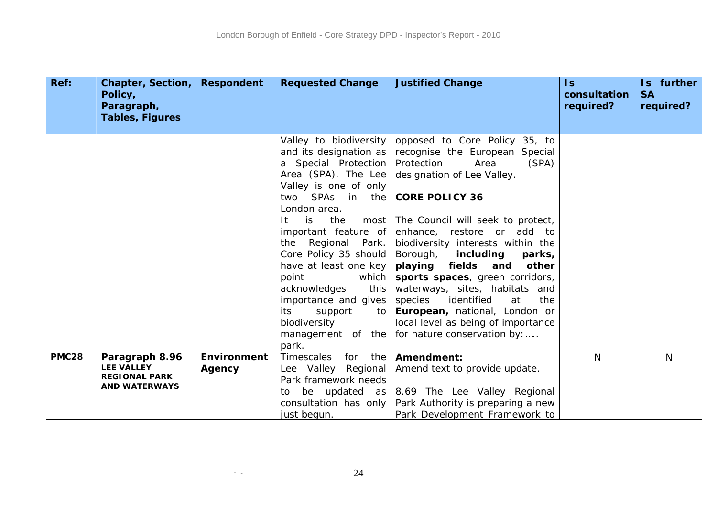| Ref:         | <b>Chapter, Section,</b><br>Policy,                               | <b>Respondent</b> | <b>Requested Change</b>                                                                                                                                                                                                                                       | <b>Justified Change</b>                                                                                                                                                                                                                                                                                                                                                                         | $\overline{\mathsf{S}}$<br>consultation | Is further<br><b>SA</b> |
|--------------|-------------------------------------------------------------------|-------------------|---------------------------------------------------------------------------------------------------------------------------------------------------------------------------------------------------------------------------------------------------------------|-------------------------------------------------------------------------------------------------------------------------------------------------------------------------------------------------------------------------------------------------------------------------------------------------------------------------------------------------------------------------------------------------|-----------------------------------------|-------------------------|
|              | Paragraph,                                                        |                   |                                                                                                                                                                                                                                                               |                                                                                                                                                                                                                                                                                                                                                                                                 | required?                               | required?               |
|              | <b>Tables, Figures</b>                                            |                   |                                                                                                                                                                                                                                                               |                                                                                                                                                                                                                                                                                                                                                                                                 |                                         |                         |
|              |                                                                   |                   | Valley to biodiversity<br>and its designation as<br>a Special Protection<br>Area (SPA). The Lee<br>Valley is one of only                                                                                                                                      | opposed to Core Policy 35, to<br>recognise the European Special<br>Protection<br>(SPA)<br>Area<br>designation of Lee Valley.                                                                                                                                                                                                                                                                    |                                         |                         |
|              |                                                                   |                   | two<br>London area.                                                                                                                                                                                                                                           | SPAs in the <b>CORE POLICY 36</b>                                                                                                                                                                                                                                                                                                                                                               |                                         |                         |
|              |                                                                   |                   | the<br>is.<br>-lt<br>important feature of<br>Regional Park.<br>the<br>Core Policy 35 should<br>have at least one key<br>point<br>which<br>acknowledges<br>this<br>importance and gives<br>support<br>its.<br>to<br>biodiversity<br>management of the<br>park. | most The Council will seek to protect,<br>enhance, restore or add to<br>biodiversity interests within the<br>Borough,<br>including<br>parks,<br>playing<br>fields and<br>other<br>sports spaces, green corridors,<br>waterways, sites, habitats and<br>identified<br>species<br>the<br>at<br>European, national, London or<br>local level as being of importance<br>for nature conservation by: |                                         |                         |
| <b>PMC28</b> | Paragraph 8.96                                                    | Environment       | Timescales<br>for<br>the                                                                                                                                                                                                                                      | Amendment:                                                                                                                                                                                                                                                                                                                                                                                      | $\mathsf{N}$                            | $\mathsf{N}$            |
|              | <b>LEE VALLEY</b><br><b>REGIONAL PARK</b><br><b>AND WATERWAYS</b> | Agency            | Lee Valley Regional<br>Park framework needs<br>to<br>consultation has only                                                                                                                                                                                    | Amend text to provide update.<br>be updated as $8.69$ The Lee Valley Regional<br>Park Authority is preparing a new                                                                                                                                                                                                                                                                              |                                         |                         |
|              |                                                                   |                   | just begun.                                                                                                                                                                                                                                                   | Park Development Framework to                                                                                                                                                                                                                                                                                                                                                                   |                                         |                         |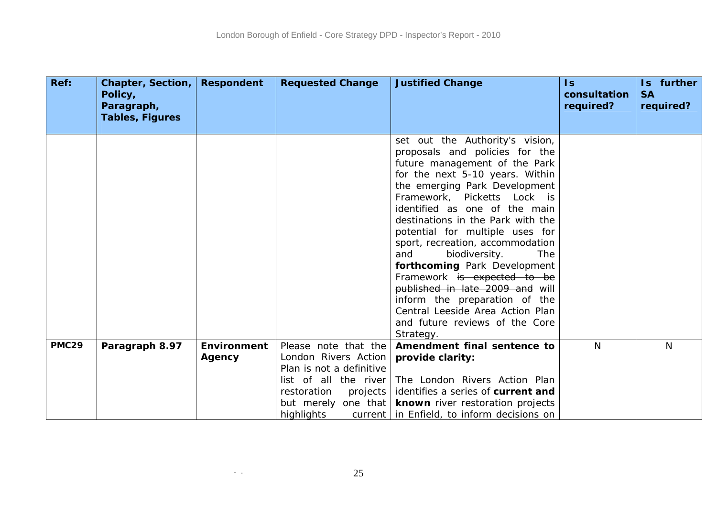| Ref:         | <b>Chapter, Section,</b><br>Policy, | <b>Respondent</b>  | <b>Requested Change</b>                           | <b>Justified Change</b>                                                                                                                                                                                                                                                                                                                                                                                                                                                                                                                                                                           | $\mathsf{ls}$<br>consultation | Is further<br><b>SA</b> |
|--------------|-------------------------------------|--------------------|---------------------------------------------------|---------------------------------------------------------------------------------------------------------------------------------------------------------------------------------------------------------------------------------------------------------------------------------------------------------------------------------------------------------------------------------------------------------------------------------------------------------------------------------------------------------------------------------------------------------------------------------------------------|-------------------------------|-------------------------|
|              | Paragraph,                          |                    |                                                   |                                                                                                                                                                                                                                                                                                                                                                                                                                                                                                                                                                                                   | required?                     | required?               |
|              | <b>Tables, Figures</b>              |                    |                                                   |                                                                                                                                                                                                                                                                                                                                                                                                                                                                                                                                                                                                   |                               |                         |
|              |                                     |                    |                                                   | set out the Authority's vision,<br>proposals and policies for the<br>future management of the Park<br>for the next 5-10 years. Within<br>the emerging Park Development<br>Framework, Picketts Lock is<br>identified as one of the main<br>destinations in the Park with the<br>potential for multiple uses for<br>sport, recreation, accommodation<br>biodiversity.<br><b>The</b><br>and<br>forthcoming Park Development<br>Framework is expected to be<br>published in late 2009 and will<br>inform the preparation of the<br>Central Leeside Area Action Plan<br>and future reviews of the Core |                               |                         |
|              |                                     |                    |                                                   | Strategy.                                                                                                                                                                                                                                                                                                                                                                                                                                                                                                                                                                                         |                               |                         |
| <b>PMC29</b> | Paragraph 8.97                      | <b>Environment</b> | Please note that the                              | Amendment final sentence to                                                                                                                                                                                                                                                                                                                                                                                                                                                                                                                                                                       | N                             | N                       |
|              |                                     | Agency             | London Rivers Action                              | provide clarity:                                                                                                                                                                                                                                                                                                                                                                                                                                                                                                                                                                                  |                               |                         |
|              |                                     |                    | Plan is not a definitive<br>list of all the river | The London Rivers Action Plan                                                                                                                                                                                                                                                                                                                                                                                                                                                                                                                                                                     |                               |                         |
|              |                                     |                    | restoration<br>projects                           | identifies a series of current and                                                                                                                                                                                                                                                                                                                                                                                                                                                                                                                                                                |                               |                         |
|              |                                     |                    | but merely one that                               | known river restoration projects                                                                                                                                                                                                                                                                                                                                                                                                                                                                                                                                                                  |                               |                         |
|              |                                     |                    | highlights                                        | current   in Enfield, to inform decisions on                                                                                                                                                                                                                                                                                                                                                                                                                                                                                                                                                      |                               |                         |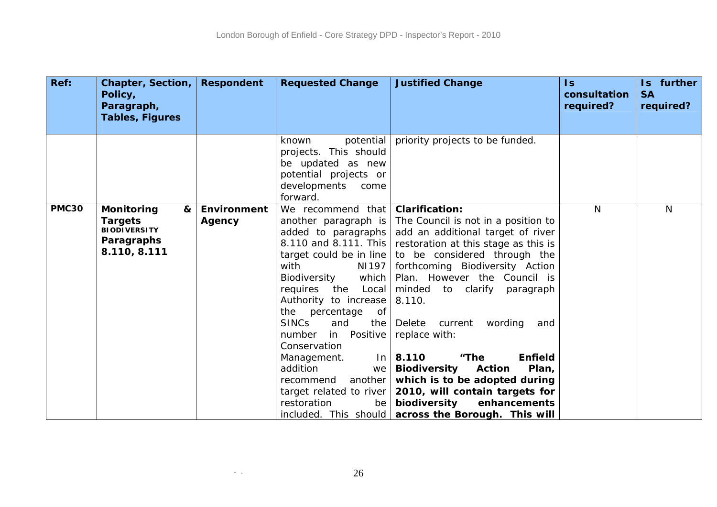| Ref:         | <b>Chapter, Section,</b><br>Policy,<br>Paragraph,<br><b>Tables, Figures</b>            | <b>Respondent</b>     | <b>Requested Change</b>                                                                                                                                                                                                                                                                                                                                                                                                           | <b>Justified Change</b>                                                                                                                                                                                                                                                                                                                                                                                                                                                                                                                                                                             | $\mathsf{Is}$<br>consultation<br>required? | Is further<br><b>SA</b><br>required? |
|--------------|----------------------------------------------------------------------------------------|-----------------------|-----------------------------------------------------------------------------------------------------------------------------------------------------------------------------------------------------------------------------------------------------------------------------------------------------------------------------------------------------------------------------------------------------------------------------------|-----------------------------------------------------------------------------------------------------------------------------------------------------------------------------------------------------------------------------------------------------------------------------------------------------------------------------------------------------------------------------------------------------------------------------------------------------------------------------------------------------------------------------------------------------------------------------------------------------|--------------------------------------------|--------------------------------------|
|              |                                                                                        |                       | potential<br>known<br>projects. This should<br>be updated as new<br>potential projects or<br>developments<br>come<br>forward.                                                                                                                                                                                                                                                                                                     | priority projects to be funded.                                                                                                                                                                                                                                                                                                                                                                                                                                                                                                                                                                     |                                            |                                      |
| <b>PMC30</b> | Monitoring<br>&<br><b>Targets</b><br><b>BIODIVERSITY</b><br>Paragraphs<br>8.110, 8.111 | Environment<br>Agency | We recommend that<br>another paragraph is<br>added to paragraphs<br>8.110 and 8.111. This<br>target could be in line<br>with<br>NI197<br>Biodiversity<br>which<br>requires the<br>Local<br>Authority to increase<br>the percentage<br>0f<br><b>SINCs</b><br>and<br>the<br>in Positive<br>number<br>Conservation<br>Management.<br>$\ln$<br>addition<br>we<br>another<br>recommend<br>target related to river<br>restoration<br>be | <b>Clarification:</b><br>The Council is not in a position to<br>add an additional target of river<br>restoration at this stage as this is<br>to be considered through the<br>forthcoming Biodiversity Action<br>Plan. However the Council is<br>minded<br>to clarify<br>paragraph<br>8.110.<br>Delete<br>current<br>wording<br>and<br>replace with:<br><b>Enfield</b><br>8.110<br>"The<br><b>Biodiversity</b><br><b>Action</b><br>Plan,<br>which is to be adopted during<br>2010, will contain targets for<br>biodiversity<br>enhancements<br>included. This should   across the Borough. This will | N                                          | N                                    |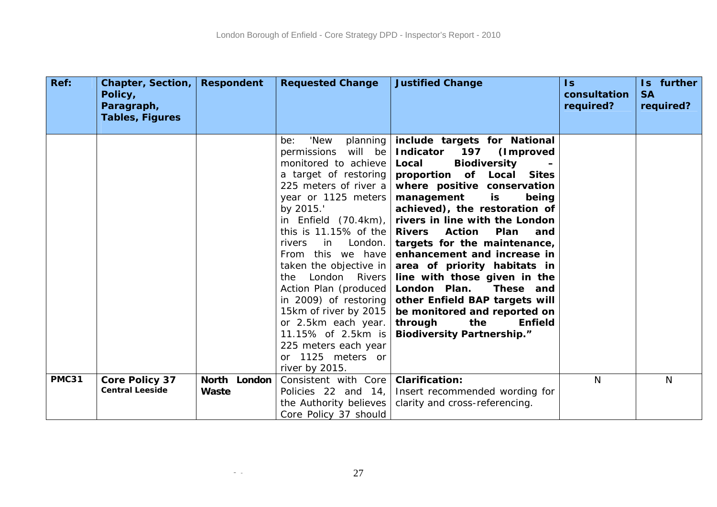| Ref:         | Chapter, Section,<br>Policy,<br>Paragraph,      | <b>Respondent</b>     | <b>Requested Change</b>                                                                                                                                                                                                                                                                                                                                                                                                                                                                                  | <b>Justified Change</b>                                                                                                                                                                                                                                                                                                                                                                                                                                                                                                                                                                                               | Is.<br>consultation<br>required? | Is further<br><b>SA</b><br>required? |
|--------------|-------------------------------------------------|-----------------------|----------------------------------------------------------------------------------------------------------------------------------------------------------------------------------------------------------------------------------------------------------------------------------------------------------------------------------------------------------------------------------------------------------------------------------------------------------------------------------------------------------|-----------------------------------------------------------------------------------------------------------------------------------------------------------------------------------------------------------------------------------------------------------------------------------------------------------------------------------------------------------------------------------------------------------------------------------------------------------------------------------------------------------------------------------------------------------------------------------------------------------------------|----------------------------------|--------------------------------------|
|              | <b>Tables, Figures</b>                          |                       |                                                                                                                                                                                                                                                                                                                                                                                                                                                                                                          |                                                                                                                                                                                                                                                                                                                                                                                                                                                                                                                                                                                                                       |                                  |                                      |
|              |                                                 |                       | 'New<br>planning<br>be:<br>permissions will be<br>monitored to achieve<br>a target of restoring<br>225 meters of river a<br>year or 1125 meters<br>by 2015.<br>in Enfield $(70.4km)$ ,<br>this is 11.15% of the<br>in<br>London.<br>rivers<br>From this we have<br>taken the objective in<br>London Rivers<br>the<br>Action Plan (produced<br>in 2009) of restoring<br>15km of river by 2015<br>or 2.5km each year.<br>11.15% of 2.5km is<br>225 meters each year<br>or 1125 meters or<br>river by 2015. | include targets for National<br>Indicator 197<br>(Improved<br><b>Biodiversity</b><br>Local<br>proportion of Local Sites<br>where positive conservation<br>management<br>is<br>being<br>achieved), the restoration of<br>rivers in line with the London<br><b>Rivers</b><br><b>Action</b><br><b>Plan</b><br>and<br>targets for the maintenance,<br>enhancement and increase in<br>area of priority habitats in<br>line with those given in the<br>London Plan.<br>These and<br>other Enfield BAP targets will<br>be monitored and reported on<br>through<br>the<br><b>Enfield</b><br><b>Biodiversity Partnership."</b> |                                  |                                      |
| <b>PMC31</b> | <b>Core Policy 37</b><br><b>Central Leeside</b> | North London<br>Waste | Consistent with Core<br>Policies 22 and 14,<br>the Authority believes<br>Core Policy 37 should                                                                                                                                                                                                                                                                                                                                                                                                           | <b>Clarification:</b><br>Insert recommended wording for<br>clarity and cross-referencing.                                                                                                                                                                                                                                                                                                                                                                                                                                                                                                                             | N <sub>1</sub>                   | N                                    |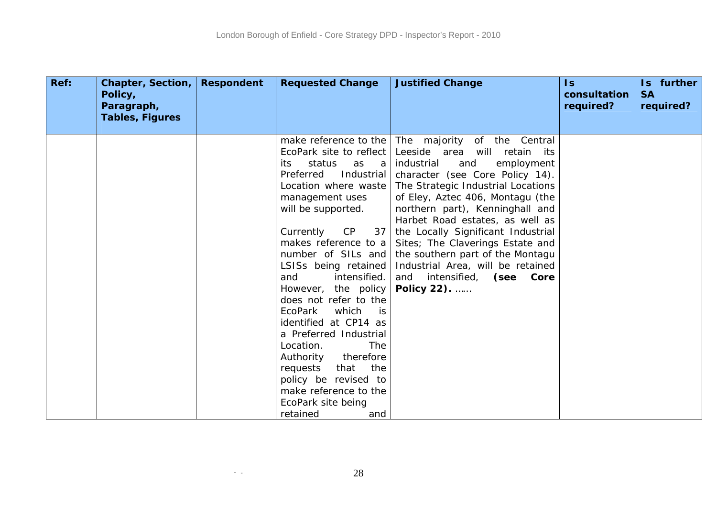| Ref: | Chapter, Section,<br>Policy,<br>Paragraph,<br><b>Tables, Figures</b> | <b>Respondent</b> | <b>Requested Change</b>                               | <b>Justified Change</b>                                                                                                | $\overline{1s}$<br>consultation<br>required? | Is further<br><b>SA</b><br>required? |
|------|----------------------------------------------------------------------|-------------------|-------------------------------------------------------|------------------------------------------------------------------------------------------------------------------------|----------------------------------------------|--------------------------------------|
|      |                                                                      |                   | EcoPark site to reflect<br>status<br>as<br>a a<br>its | make reference to the   The majority of the Central<br>Leeside area will retain its<br>industrial<br>and<br>employment |                                              |                                      |
|      |                                                                      |                   | Industrial<br>Preferred                               | character (see Core Policy 14).                                                                                        |                                              |                                      |
|      |                                                                      |                   | Location where waste<br>management uses               | The Strategic Industrial Locations<br>of Eley, Aztec 406, Montagu (the                                                 |                                              |                                      |
|      |                                                                      |                   | will be supported.                                    | northern part), Kenninghall and                                                                                        |                                              |                                      |
|      |                                                                      |                   |                                                       | Harbet Road estates, as well as                                                                                        |                                              |                                      |
|      |                                                                      |                   | Currently<br>CP<br>37                                 | the Locally Significant Industrial                                                                                     |                                              |                                      |
|      |                                                                      |                   | makes reference to a                                  | Sites; The Claverings Estate and                                                                                       |                                              |                                      |
|      |                                                                      |                   | number of SILs and                                    | the southern part of the Montagu                                                                                       |                                              |                                      |
|      |                                                                      |                   | LSISs being retained<br>intensified.<br>and           | Industrial Area, will be retained<br>and intensified, (see Core                                                        |                                              |                                      |
|      |                                                                      |                   | However, the policy                                   | Policy 22).                                                                                                            |                                              |                                      |
|      |                                                                      |                   | does not refer to the                                 |                                                                                                                        |                                              |                                      |
|      |                                                                      |                   | EcoPark<br>which<br>is is                             |                                                                                                                        |                                              |                                      |
|      |                                                                      |                   | identified at CP14 as                                 |                                                                                                                        |                                              |                                      |
|      |                                                                      |                   | a Preferred Industrial                                |                                                                                                                        |                                              |                                      |
|      |                                                                      |                   | <b>The</b><br>Location.                               |                                                                                                                        |                                              |                                      |
|      |                                                                      |                   | Authority<br>therefore                                |                                                                                                                        |                                              |                                      |
|      |                                                                      |                   | the<br>requests<br>that                               |                                                                                                                        |                                              |                                      |
|      |                                                                      |                   | policy be revised to                                  |                                                                                                                        |                                              |                                      |
|      |                                                                      |                   | make reference to the                                 |                                                                                                                        |                                              |                                      |
|      |                                                                      |                   | EcoPark site being                                    |                                                                                                                        |                                              |                                      |
|      |                                                                      |                   | retained<br>and                                       |                                                                                                                        |                                              |                                      |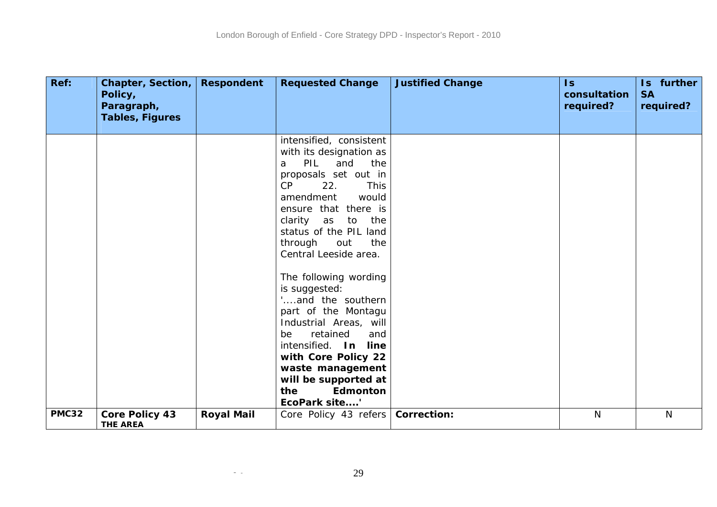| Ref:         | Chapter, Section,<br>Policy,<br>Paragraph,<br><b>Tables, Figures</b> | <b>Respondent</b> | <b>Requested Change</b>                                                                                                                                                                                                                                                                                     | <b>Justified Change</b> | $\mathsf{ls}$<br>consultation<br>required? | Is further<br><b>SA</b><br>required? |
|--------------|----------------------------------------------------------------------|-------------------|-------------------------------------------------------------------------------------------------------------------------------------------------------------------------------------------------------------------------------------------------------------------------------------------------------------|-------------------------|--------------------------------------------|--------------------------------------|
|              |                                                                      |                   |                                                                                                                                                                                                                                                                                                             |                         |                                            |                                      |
|              |                                                                      |                   | intensified, consistent<br>with its designation as<br>PIL<br>and<br>the<br>a<br>proposals set out in<br>CP<br>22.<br><b>This</b><br>amendment<br>would<br>ensure that there is<br>clarity as to<br>the<br>status of the PIL land<br>the<br>through<br>out<br>Central Leeside area.<br>The following wording |                         |                                            |                                      |
|              |                                                                      |                   | is suggested:<br>and the southern                                                                                                                                                                                                                                                                           |                         |                                            |                                      |
|              |                                                                      |                   | part of the Montagu<br>Industrial Areas, will<br>retained<br>be<br>and<br>intensified. In line<br>with Core Policy 22<br>waste management                                                                                                                                                                   |                         |                                            |                                      |
|              |                                                                      |                   | will be supported at                                                                                                                                                                                                                                                                                        |                         |                                            |                                      |
|              |                                                                      |                   | Edmonton<br>the<br>EcoPark site'                                                                                                                                                                                                                                                                            |                         |                                            |                                      |
| <b>PMC32</b> | <b>Core Policy 43</b><br><b>THE AREA</b>                             | <b>Royal Mail</b> | Core Policy 43 refers                                                                                                                                                                                                                                                                                       | <b>Correction:</b>      | $\mathsf{N}$                               | $\mathsf{N}$                         |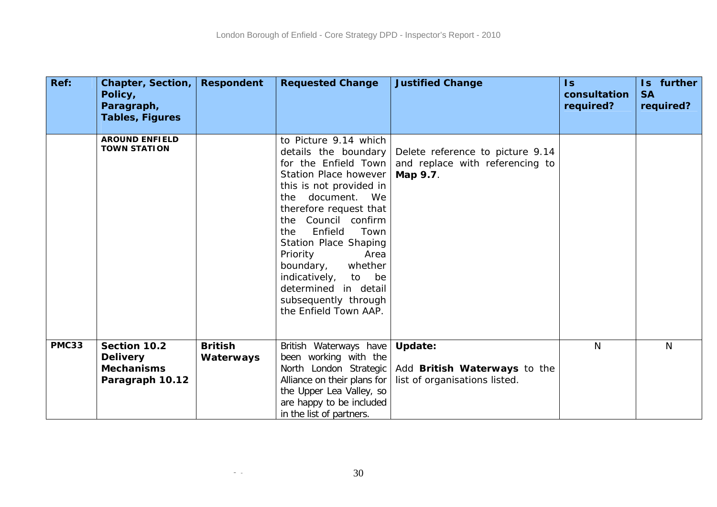| Ref:         | Chapter, Section,<br>Policy,<br>Paragraph,           | <b>Respondent</b>           | <b>Requested Change</b>                                                                                                                                                                                                                                                                                                                                                                                       | <b>Justified Change</b>                                                         | $\overline{\mathsf{S}}$<br>consultation<br>required? | Is further<br><b>SA</b><br>required? |
|--------------|------------------------------------------------------|-----------------------------|---------------------------------------------------------------------------------------------------------------------------------------------------------------------------------------------------------------------------------------------------------------------------------------------------------------------------------------------------------------------------------------------------------------|---------------------------------------------------------------------------------|------------------------------------------------------|--------------------------------------|
|              | <b>Tables, Figures</b>                               |                             |                                                                                                                                                                                                                                                                                                                                                                                                               |                                                                                 |                                                      |                                      |
|              | <b>AROUND ENFIELD</b><br><b>TOWN STATION</b>         |                             | to Picture 9.14 which<br>details the boundary<br>for the Enfield Town<br><b>Station Place however</b><br>this is not provided in<br>document. We<br>the<br>therefore request that<br>the Council confirm<br>Enfield<br>Town<br>the<br>Station Place Shaping<br>Area<br>Priority<br>boundary,<br>whether<br>indicatively,<br>be<br>to<br>determined in detail<br>subsequently through<br>the Enfield Town AAP. | Delete reference to picture 9.14<br>and replace with referencing to<br>Map 9.7. |                                                      |                                      |
| <b>PMC33</b> | Section 10.2<br><b>Delivery</b><br><b>Mechanisms</b> | <b>British</b><br>Waterways | British Waterways have<br>been working with the<br>North London Strategic                                                                                                                                                                                                                                                                                                                                     | <b>Update:</b><br>Add British Waterways to the                                  | $\mathsf{N}$                                         | $\mathsf{N}$                         |
|              | Paragraph 10.12                                      |                             | Alliance on their plans for<br>the Upper Lea Valley, so<br>are happy to be included<br>in the list of partners.                                                                                                                                                                                                                                                                                               | list of organisations listed.                                                   |                                                      |                                      |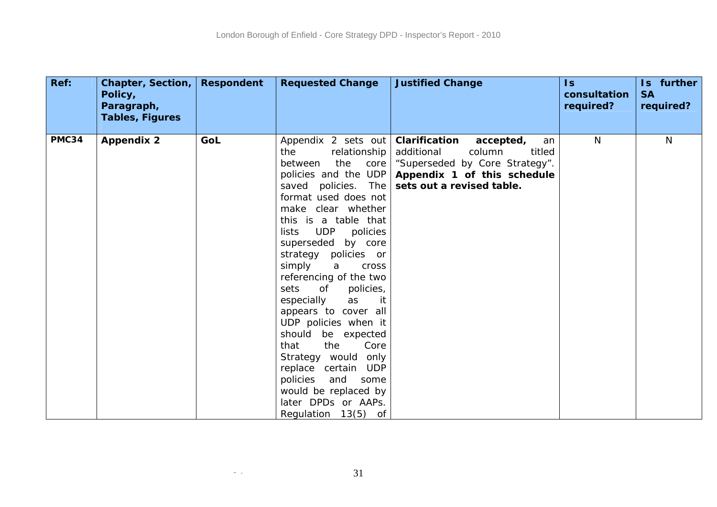| Ref:  | Chapter, Section, Respondent<br>Policy,<br>Paragraph, |     | <b>Requested Change</b>                                                                                                                                                                                                                                                                                                                                                                                                                                                                                                                                                                                                       | <b>Justified Change</b>                                                                                                                                          | $\overline{\mathsf{ls}}$<br>consultation<br>required? | Is further<br><b>SA</b><br>required? |
|-------|-------------------------------------------------------|-----|-------------------------------------------------------------------------------------------------------------------------------------------------------------------------------------------------------------------------------------------------------------------------------------------------------------------------------------------------------------------------------------------------------------------------------------------------------------------------------------------------------------------------------------------------------------------------------------------------------------------------------|------------------------------------------------------------------------------------------------------------------------------------------------------------------|-------------------------------------------------------|--------------------------------------|
|       | <b>Tables, Figures</b>                                |     |                                                                                                                                                                                                                                                                                                                                                                                                                                                                                                                                                                                                                               |                                                                                                                                                                  |                                                       |                                      |
| PMC34 | <b>Appendix 2</b>                                     | GoL | Appendix 2 sets out<br>the<br>relationship<br>the<br>between<br>core<br>policies and the UDP<br>saved policies. The<br>format used does not<br>make clear whether<br>this is a table that<br><b>UDP</b><br>lists<br>policies<br>superseded by core<br>strategy policies or<br>simply<br>a<br>cross<br>referencing of the two<br>sets<br>policies,<br>of<br>it<br>especially<br>as<br>appears to cover all<br>UDP policies when it<br>should be expected<br>that<br>the<br>Core<br>Strategy would only<br>replace certain UDP<br>policies<br>and<br>some<br>would be replaced by<br>later DPDs or AAPs.<br>Regulation 13(5) of | Clarification<br>accepted,<br>an<br>additional<br>column<br>titled<br>"Superseded by Core Strategy".<br>Appendix 1 of this schedule<br>sets out a revised table. | N <sub>1</sub>                                        | $\mathsf{N}$                         |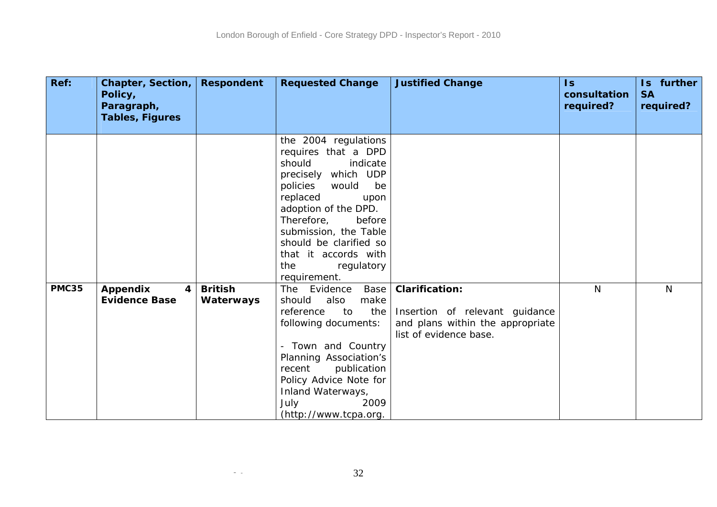| Ref:         | Chapter, Section,<br>Policy,<br>Paragraph, | <b>Respondent</b> | <b>Requested Change</b>                                                                                                                                                                                                                                                                                 | <b>Justified Change</b>                                                                      | $\mathsf{ls}$<br>consultation<br>required? | Is further<br><b>SA</b><br>required? |
|--------------|--------------------------------------------|-------------------|---------------------------------------------------------------------------------------------------------------------------------------------------------------------------------------------------------------------------------------------------------------------------------------------------------|----------------------------------------------------------------------------------------------|--------------------------------------------|--------------------------------------|
|              | <b>Tables, Figures</b>                     |                   |                                                                                                                                                                                                                                                                                                         |                                                                                              |                                            |                                      |
|              |                                            |                   | the 2004 regulations<br>requires that a DPD<br>should<br>indicate<br>precisely which UDP<br>policies<br>would<br>be<br>replaced<br>upon<br>adoption of the DPD.<br>Therefore,<br>before<br>submission, the Table<br>should be clarified so<br>that it accords with<br>the<br>regulatory<br>requirement. |                                                                                              |                                            |                                      |
| <b>PMC35</b> | <b>Appendix</b><br>4                       | <b>British</b>    | Evidence Base<br>The                                                                                                                                                                                                                                                                                    | <b>Clarification:</b>                                                                        | N <sub>1</sub>                             | N                                    |
|              | <b>Evidence Base</b>                       | Waterways         | also<br>make<br>should<br>reference<br>to<br>the<br>following documents:<br>- Town and Country<br>Planning Association's<br>publication<br>recent<br>Policy Advice Note for<br>Inland Waterways,<br>July<br>2009<br>(http://www.tcpa.org.                                                               | Insertion of relevant guidance<br>and plans within the appropriate<br>list of evidence base. |                                            |                                      |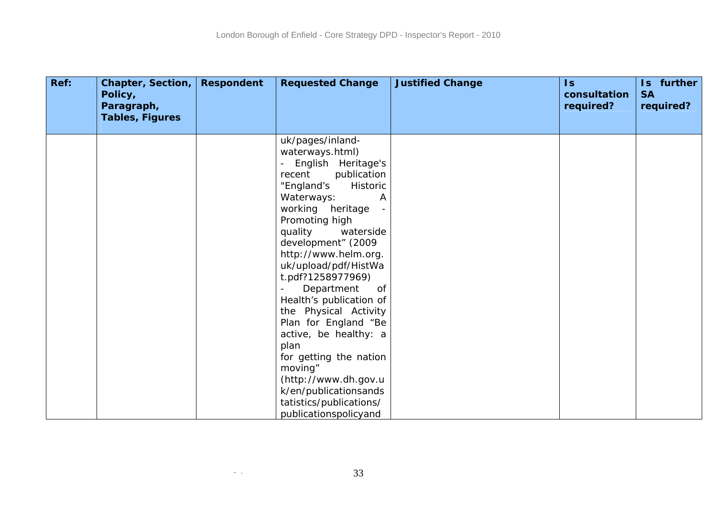| Ref: | <b>Chapter, Section,</b><br>Policy,<br>Paragraph,<br><b>Tables, Figures</b> | <b>Respondent</b> | <b>Requested Change</b>                                                                                                                                                                                                                                                                                                                                                                                                                                                                                                                    | <b>Justified Change</b> | $\mathsf{ls}$<br>consultation<br>required? | Is further<br><b>SA</b><br>required? |
|------|-----------------------------------------------------------------------------|-------------------|--------------------------------------------------------------------------------------------------------------------------------------------------------------------------------------------------------------------------------------------------------------------------------------------------------------------------------------------------------------------------------------------------------------------------------------------------------------------------------------------------------------------------------------------|-------------------------|--------------------------------------------|--------------------------------------|
|      |                                                                             |                   |                                                                                                                                                                                                                                                                                                                                                                                                                                                                                                                                            |                         |                                            |                                      |
|      |                                                                             |                   | uk/pages/inland-<br>waterways.html)<br>English Heritage's<br>publication<br>recent<br>"England's<br>Historic<br>Waterways:<br>A<br>working heritage<br>Promoting high<br>quality<br>waterside<br>development" (2009<br>http://www.helm.org.<br>uk/upload/pdf/HistWa<br>t.pdf?1258977969)<br>Department<br>0f<br>Health's publication of<br>the Physical Activity<br>Plan for England "Be<br>active, be healthy: a<br>plan<br>for getting the nation<br>moving"<br>(http://www.dh.gov.u<br>k/en/publicationsands<br>tatistics/publications/ |                         |                                            |                                      |
|      |                                                                             |                   | publicationspolicyand                                                                                                                                                                                                                                                                                                                                                                                                                                                                                                                      |                         |                                            |                                      |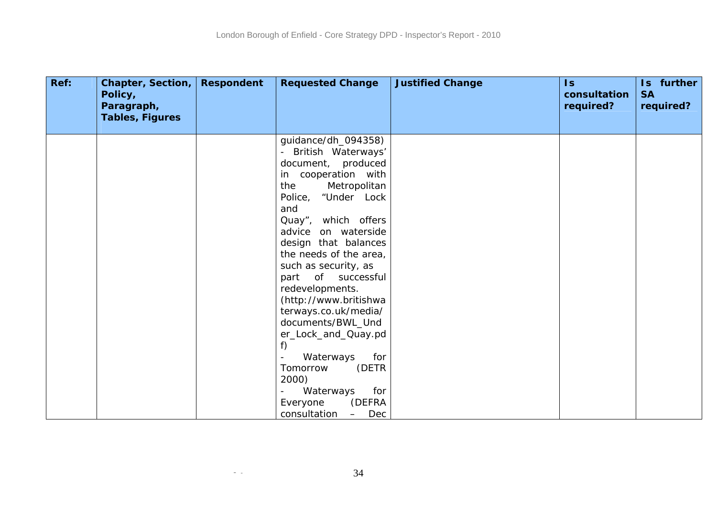| Ref: | Chapter, Section,<br>Policy,<br>Paragraph,<br><b>Tables, Figures</b> | <b>Respondent</b> | <b>Requested Change</b>                                                                                                                                                                                                                                                                   | <b>Justified Change</b> | $\mathsf{Is}$<br>consultation<br>required? | Is further<br><b>SA</b><br>required? |
|------|----------------------------------------------------------------------|-------------------|-------------------------------------------------------------------------------------------------------------------------------------------------------------------------------------------------------------------------------------------------------------------------------------------|-------------------------|--------------------------------------------|--------------------------------------|
|      |                                                                      |                   | guidance/dh_094358)<br>British Waterways'<br>document, produced<br>in cooperation with<br>Metropolitan<br>the<br>Police, "Under Lock<br>and<br>Quay", which offers<br>advice on waterside<br>design that balances<br>the needs of the area,<br>such as security, as<br>part of successful |                         |                                            |                                      |
|      |                                                                      |                   | redevelopments.<br>(http://www.britishwa<br>terways.co.uk/media/<br>documents/BWL_Und<br>er_Lock_and_Quay.pd<br>f)<br>Waterways<br>for<br>(DETR<br>Tomorrow<br>2000)<br>for<br>Waterways<br>(DEFRA<br>Everyone<br>consultation<br>Dec<br>$\qquad \qquad -$                                |                         |                                            |                                      |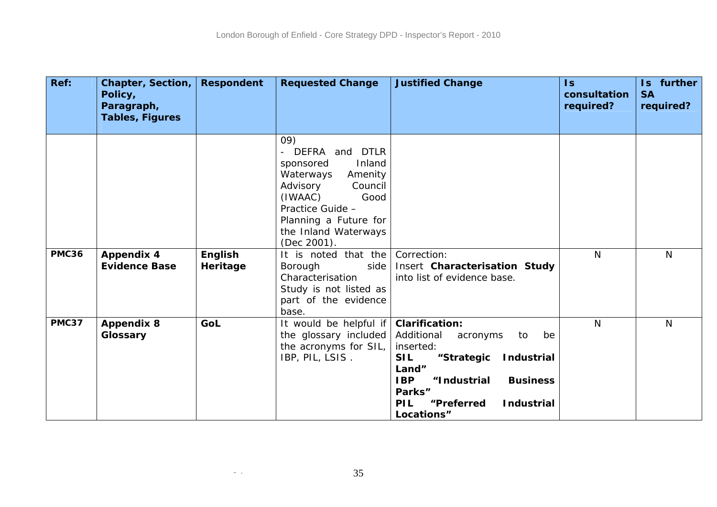| Ref:         | Chapter, Section,<br>Policy,<br>Paragraph,<br>Tables, Figures | <b>Respondent</b> | <b>Requested Change</b>                                                                                                                                                                                                       | <b>Justified Change</b>                                                                                                                                                                                                                                     | $\mathsf{Is}$<br>consultation<br>required? | Is further<br><b>SA</b><br>required? |
|--------------|---------------------------------------------------------------|-------------------|-------------------------------------------------------------------------------------------------------------------------------------------------------------------------------------------------------------------------------|-------------------------------------------------------------------------------------------------------------------------------------------------------------------------------------------------------------------------------------------------------------|--------------------------------------------|--------------------------------------|
| <b>PMC36</b> | <b>Appendix 4</b>                                             | English           | 09)<br>DEFRA<br>and DTLR<br>Inland<br>sponsored<br>Waterways<br>Amenity<br>Advisory<br>Council<br>(IWAAC)<br>Good<br>Practice Guide -<br>Planning a Future for<br>the Inland Waterways<br>(Dec 2001).<br>It is noted that the | Correction:                                                                                                                                                                                                                                                 | $\mathsf{N}$                               | N                                    |
|              | <b>Evidence Base</b>                                          | Heritage          | Borough<br>side<br>Characterisation<br>Study is not listed as<br>part of the evidence<br>base.                                                                                                                                | Insert Characterisation Study<br>into list of evidence base.                                                                                                                                                                                                |                                            |                                      |
| <b>PMC37</b> | <b>Appendix 8</b><br>Glossary                                 | GoL               | It would be helpful if<br>the glossary included<br>the acronyms for SIL,<br>IBP, PIL, LSIS.                                                                                                                                   | <b>Clarification:</b><br>Additional<br>acronyms<br>to<br>be<br>inserted:<br><b>SIL</b><br>"Strategic<br><b>Industrial</b><br>Land"<br><b>IBP</b><br>"Industrial<br><b>Business</b><br>Parks"<br><b>PIL</b><br>"Preferred<br><b>Industrial</b><br>Locations" | $\mathsf{N}$                               | N                                    |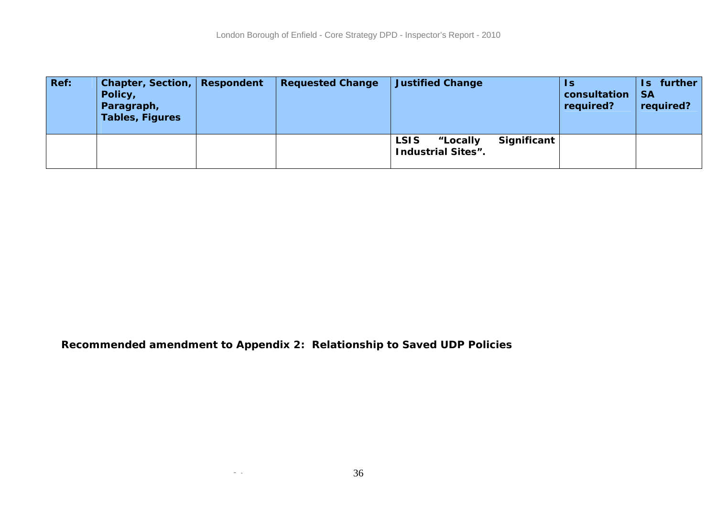| Ref: | Chapter, Section, Respondent<br>Policy,<br>Paragraph,<br><b>Tables, Figures</b> | <b>Requested Change</b> | <b>Justified Change</b>                              |             | 1s<br>consultation<br>required? | further<br>Is.<br><b>SA</b><br>required? |
|------|---------------------------------------------------------------------------------|-------------------------|------------------------------------------------------|-------------|---------------------------------|------------------------------------------|
|      |                                                                                 |                         | <b>LSIS</b><br>"Locally<br><b>Industrial Sites".</b> | Significant |                                 |                                          |

**Recommended amendment to Appendix 2: Relationship to Saved UDP Policies**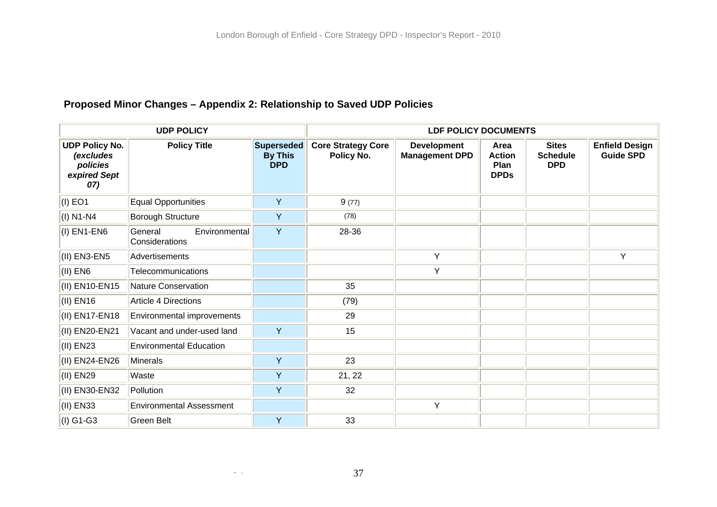## **Proposed Minor Changes – Appendix 2: Relationship to Saved UDP Policies**

|                                                                       | <b>UDP POLICY</b>                          |                                            | <b>LDF POLICY DOCUMENTS</b>             |                                             |                                              |                                               |                                           |  |  |
|-----------------------------------------------------------------------|--------------------------------------------|--------------------------------------------|-----------------------------------------|---------------------------------------------|----------------------------------------------|-----------------------------------------------|-------------------------------------------|--|--|
| <b>UDP Policy No.</b><br>(excludes<br>policies<br>expired Sept<br>07) | <b>Policy Title</b>                        | Superseded<br><b>By This</b><br><b>DPD</b> | <b>Core Strategy Core</b><br>Policy No. | <b>Development</b><br><b>Management DPD</b> | Area<br><b>Action</b><br>Plan<br><b>DPDs</b> | <b>Sites</b><br><b>Schedule</b><br><b>DPD</b> | <b>Enfield Design</b><br><b>Guide SPD</b> |  |  |
| $(I)$ EO1                                                             | <b>Equal Opportunities</b>                 | Y                                          | 9(77)                                   |                                             |                                              |                                               |                                           |  |  |
| $(I)$ N1-N4                                                           | <b>Borough Structure</b>                   | Y                                          | (78)                                    |                                             |                                              |                                               |                                           |  |  |
| $(I)$ EN1-EN6                                                         | Environmental<br>General<br>Considerations | Y                                          | 28-36                                   |                                             |                                              |                                               |                                           |  |  |
| $(II)$ EN3-EN5                                                        | Advertisements                             |                                            |                                         | Y                                           |                                              |                                               | Y                                         |  |  |
| $(II)$ EN6                                                            | Telecommunications                         |                                            |                                         | Y                                           |                                              |                                               |                                           |  |  |
| (II) EN10-EN15                                                        | Nature Conservation                        |                                            | 35                                      |                                             |                                              |                                               |                                           |  |  |
| $( I )$ EN16                                                          | Article 4 Directions                       |                                            | (79)                                    |                                             |                                              |                                               |                                           |  |  |
| (II) EN17-EN18                                                        | Environmental improvements                 |                                            | 29                                      |                                             |                                              |                                               |                                           |  |  |
| (II) EN20-EN21                                                        | Vacant and under-used land                 | Y                                          | 15                                      |                                             |                                              |                                               |                                           |  |  |
| $(II)$ EN23                                                           | <b>Environmental Education</b>             |                                            |                                         |                                             |                                              |                                               |                                           |  |  |
| (II) EN24-EN26                                                        | Minerals                                   | Y                                          | 23                                      |                                             |                                              |                                               |                                           |  |  |
| (II) EN29                                                             | Waste                                      | Υ                                          | 21, 22                                  |                                             |                                              |                                               |                                           |  |  |
| (II) EN30-EN32                                                        | Pollution                                  | Y                                          | 32                                      |                                             |                                              |                                               |                                           |  |  |
| (II) EN33                                                             | <b>Environmental Assessment</b>            |                                            |                                         | Y                                           |                                              |                                               |                                           |  |  |
| $(I)$ G1-G3                                                           | Green Belt                                 | Y                                          | 33                                      |                                             |                                              |                                               |                                           |  |  |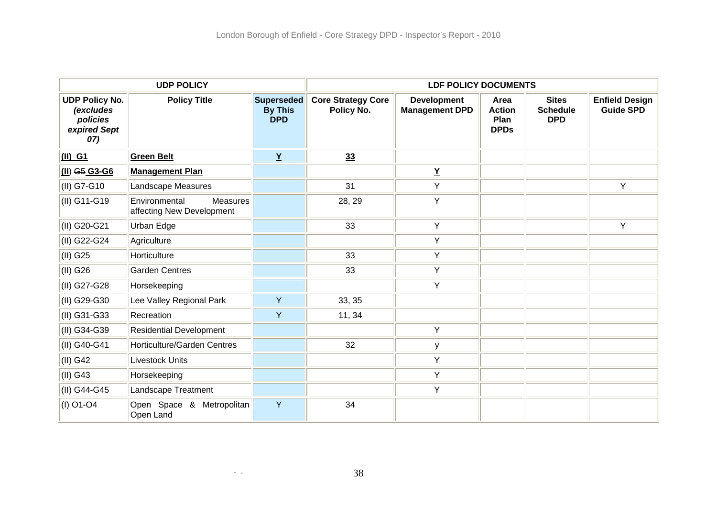|                                                                              | <b>UDP POLICY</b>                                             |                                                   | <b>LDF POLICY DOCUMENTS</b>             |                                             |                                              |                                               |                                           |  |
|------------------------------------------------------------------------------|---------------------------------------------------------------|---------------------------------------------------|-----------------------------------------|---------------------------------------------|----------------------------------------------|-----------------------------------------------|-------------------------------------------|--|
| <b>UDP Policy No.</b><br><i>(excludes</i><br>policies<br>expired Sept<br>07) | <b>Policy Title</b>                                           | <b>Superseded</b><br><b>By This</b><br><b>DPD</b> | <b>Core Strategy Core</b><br>Policy No. | <b>Development</b><br><b>Management DPD</b> | Area<br><b>Action</b><br>Plan<br><b>DPDs</b> | <b>Sites</b><br><b>Schedule</b><br><b>DPD</b> | <b>Enfield Design</b><br><b>Guide SPD</b> |  |
| $(II)$ G1                                                                    | <b>Green Belt</b>                                             | $\underline{Y}$                                   | 33                                      |                                             |                                              |                                               |                                           |  |
| $\underline{(II)}$ G <sub>5</sub> G <sub>3</sub> -G <sub>6</sub>             | <b>Management Plan</b>                                        |                                                   |                                         | $\underline{\mathbf{Y}}$                    |                                              |                                               |                                           |  |
| (II) G7-G10                                                                  | Landscape Measures                                            |                                                   | 31                                      | Υ                                           |                                              |                                               | Y                                         |  |
| (II) G11-G19                                                                 | Environmental<br><b>Measures</b><br>affecting New Development |                                                   | 28, 29                                  | Y                                           |                                              |                                               |                                           |  |
| (II) G20-G21                                                                 | Urban Edge                                                    |                                                   | 33                                      | Y                                           |                                              |                                               | Y                                         |  |
| (II) G22-G24                                                                 | Agriculture                                                   |                                                   |                                         | Υ                                           |                                              |                                               |                                           |  |
| $(II)$ G25                                                                   | Horticulture                                                  |                                                   | 33                                      | Υ                                           |                                              |                                               |                                           |  |
| $(II)$ G26                                                                   | <b>Garden Centres</b>                                         |                                                   | 33                                      | Υ                                           |                                              |                                               |                                           |  |
| (II) G27-G28                                                                 | Horsekeeping                                                  |                                                   |                                         | Y                                           |                                              |                                               |                                           |  |
| (II) G29-G30                                                                 | Lee Valley Regional Park                                      | Y                                                 | 33, 35                                  |                                             |                                              |                                               |                                           |  |
| (II) G31-G33                                                                 | Recreation                                                    | Y                                                 | 11, 34                                  |                                             |                                              |                                               |                                           |  |
| (II) G34-G39                                                                 | <b>Residential Development</b>                                |                                                   |                                         | Y                                           |                                              |                                               |                                           |  |
| (II) G40-G41                                                                 | <b>Horticulture/Garden Centres</b>                            |                                                   | 32                                      | у                                           |                                              |                                               |                                           |  |
| $(II)$ G42                                                                   | <b>Livestock Units</b>                                        |                                                   |                                         | Υ                                           |                                              |                                               |                                           |  |
| $\vert$ (II) G43                                                             | Horsekeeping                                                  |                                                   |                                         | Υ                                           |                                              |                                               |                                           |  |
| (II) G44-G45                                                                 | Landscape Treatment                                           |                                                   |                                         | Υ                                           |                                              |                                               |                                           |  |
| (I) O1-O4                                                                    | Open Space & Metropolitan<br>Open Land                        | Y                                                 | 34                                      |                                             |                                              |                                               |                                           |  |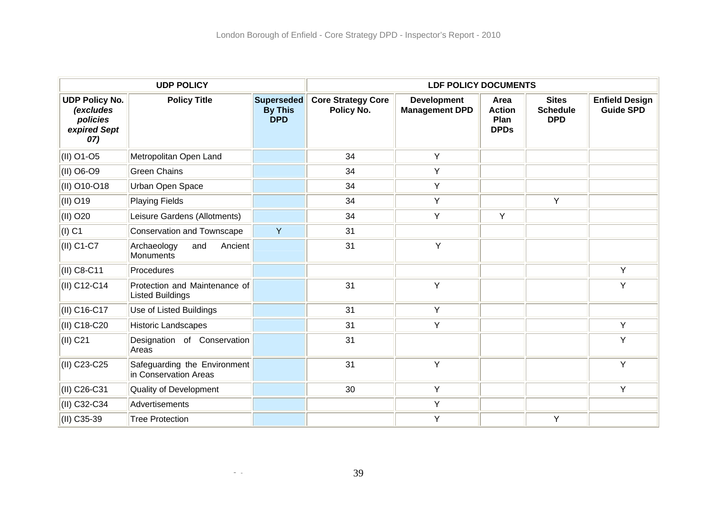| <b>UDP POLICY</b>                                                            |                                                          |                                            | <b>LDF POLICY DOCUMENTS</b>             |                                             |                                              |                                               |                                           |
|------------------------------------------------------------------------------|----------------------------------------------------------|--------------------------------------------|-----------------------------------------|---------------------------------------------|----------------------------------------------|-----------------------------------------------|-------------------------------------------|
| <b>UDP Policy No.</b><br><i>(excludes</i><br>policies<br>expired Sept<br>07) | <b>Policy Title</b>                                      | Superseded<br><b>By This</b><br><b>DPD</b> | <b>Core Strategy Core</b><br>Policy No. | <b>Development</b><br><b>Management DPD</b> | Area<br><b>Action</b><br>Plan<br><b>DPDs</b> | <b>Sites</b><br><b>Schedule</b><br><b>DPD</b> | <b>Enfield Design</b><br><b>Guide SPD</b> |
| (II) O1-O5                                                                   | Metropolitan Open Land                                   |                                            | 34                                      | Y                                           |                                              |                                               |                                           |
| (II) O6-O9                                                                   | <b>Green Chains</b>                                      |                                            | 34                                      | Y                                           |                                              |                                               |                                           |
| (II) O10-O18                                                                 | Urban Open Space                                         |                                            | 34                                      | Y                                           |                                              |                                               |                                           |
| (II) O19                                                                     | <b>Playing Fields</b>                                    |                                            | 34                                      | Y                                           |                                              | Υ                                             |                                           |
| (II) O20                                                                     | Leisure Gardens (Allotments)                             |                                            | 34                                      | Y                                           | Y                                            |                                               |                                           |
| $(1)$ C1                                                                     | <b>Conservation and Townscape</b>                        | Y                                          | 31                                      |                                             |                                              |                                               |                                           |
| (II) C1-C7                                                                   | Archaeology<br>and<br>Ancient<br>Monuments               |                                            | 31                                      | Y                                           |                                              |                                               |                                           |
| (II) C8-C11                                                                  | Procedures                                               |                                            |                                         |                                             |                                              |                                               | Y                                         |
| (II) C12-C14                                                                 | Protection and Maintenance of<br><b>Listed Buildings</b> |                                            | 31                                      | Y                                           |                                              |                                               | Y                                         |
| (II) C16-C17                                                                 | Use of Listed Buildings                                  |                                            | 31                                      | Y                                           |                                              |                                               |                                           |
| (II) C18-C20                                                                 | <b>Historic Landscapes</b>                               |                                            | 31                                      | Y                                           |                                              |                                               | Y                                         |
| (II) C21                                                                     | Designation of Conservation<br>Areas                     |                                            | 31                                      |                                             |                                              |                                               | Y                                         |
| (II) C23-C25                                                                 | Safeguarding the Environment<br>in Conservation Areas    |                                            | 31                                      | Y                                           |                                              |                                               | Y                                         |
| (II) C26-C31                                                                 | Quality of Development                                   |                                            | 30                                      | Y                                           |                                              |                                               | Y                                         |
| (II) C32-C34                                                                 | Advertisements                                           |                                            |                                         | Y                                           |                                              |                                               |                                           |
| (II) C35-39                                                                  | <b>Tree Protection</b>                                   |                                            |                                         | Y                                           |                                              | Y                                             |                                           |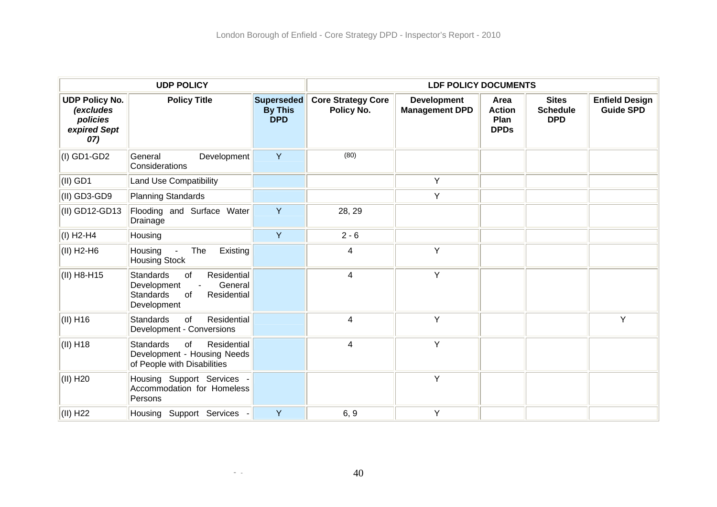| <b>UDP POLICY</b>                                                            |                                                                                                                         |                                                   | <b>LDF POLICY DOCUMENTS</b>             |                                             |                                                     |                                               |                                           |
|------------------------------------------------------------------------------|-------------------------------------------------------------------------------------------------------------------------|---------------------------------------------------|-----------------------------------------|---------------------------------------------|-----------------------------------------------------|-----------------------------------------------|-------------------------------------------|
| <b>UDP Policy No.</b><br><i>(excludes</i><br>policies<br>expired Sept<br>07) | <b>Policy Title</b>                                                                                                     | <b>Superseded</b><br><b>By This</b><br><b>DPD</b> | <b>Core Strategy Core</b><br>Policy No. | <b>Development</b><br><b>Management DPD</b> | Area<br><b>Action</b><br><b>Plan</b><br><b>DPDs</b> | <b>Sites</b><br><b>Schedule</b><br><b>DPD</b> | <b>Enfield Design</b><br><b>Guide SPD</b> |
| $(1)$ GD1-GD2                                                                | General<br>Development<br>Considerations                                                                                | Y                                                 | (80)                                    |                                             |                                                     |                                               |                                           |
| $(II)$ GD1                                                                   | <b>Land Use Compatibility</b>                                                                                           |                                                   |                                         | Y                                           |                                                     |                                               |                                           |
| (II) GD3-GD9                                                                 | <b>Planning Standards</b>                                                                                               |                                                   |                                         | Y                                           |                                                     |                                               |                                           |
| (II) GD12-GD13                                                               | Flooding and Surface Water<br>Drainage                                                                                  | Y                                                 | 28, 29                                  |                                             |                                                     |                                               |                                           |
| $(1)$ H <sub>2</sub> -H <sub>4</sub>                                         | Housing                                                                                                                 | Y                                                 | $2 - 6$                                 |                                             |                                                     |                                               |                                           |
| (II) H2-H6                                                                   | Existing<br>The<br>Housing<br><b>Housing Stock</b>                                                                      |                                                   | 4                                       | Y                                           |                                                     |                                               |                                           |
| (II) H8-H15                                                                  | Residential<br><b>Standards</b><br>of<br>General<br>Development<br>Residential<br>of<br><b>Standards</b><br>Development |                                                   | 4                                       | Y                                           |                                                     |                                               |                                           |
| $(II)$ H <sub>16</sub>                                                       | of<br>Residential<br><b>Standards</b><br>Development - Conversions                                                      |                                                   | $\overline{\mathbf{4}}$                 | Y                                           |                                                     |                                               | Y                                         |
| $(II)$ H <sub>18</sub>                                                       | <b>Standards</b><br>of<br>Residential<br>Development - Housing Needs<br>of People with Disabilities                     |                                                   | 4                                       | Y                                           |                                                     |                                               |                                           |
| (II) H20                                                                     | Housing Support Services -<br>Accommodation for Homeless<br>Persons                                                     |                                                   |                                         | Y                                           |                                                     |                                               |                                           |
| $(II)$ H22                                                                   | Housing Support Services -                                                                                              | Y                                                 | 6, 9                                    | Y                                           |                                                     |                                               |                                           |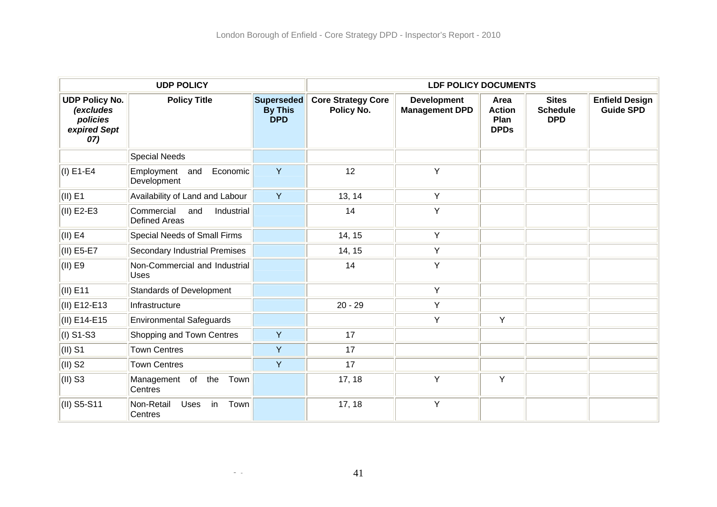| <b>UDP POLICY</b>                                                     |                                                         |                                            | <b>LDF POLICY DOCUMENTS</b>             |                                             |                                              |                                               |                                           |
|-----------------------------------------------------------------------|---------------------------------------------------------|--------------------------------------------|-----------------------------------------|---------------------------------------------|----------------------------------------------|-----------------------------------------------|-------------------------------------------|
| <b>UDP Policy No.</b><br>(excludes<br>policies<br>expired Sept<br>07) | <b>Policy Title</b>                                     | Superseded<br><b>By This</b><br><b>DPD</b> | <b>Core Strategy Core</b><br>Policy No. | <b>Development</b><br><b>Management DPD</b> | Area<br><b>Action</b><br>Plan<br><b>DPDs</b> | <b>Sites</b><br><b>Schedule</b><br><b>DPD</b> | <b>Enfield Design</b><br><b>Guide SPD</b> |
|                                                                       | <b>Special Needs</b>                                    |                                            |                                         |                                             |                                              |                                               |                                           |
| $(I)$ E1-E4                                                           | Employment<br>Economic<br>and<br>Development            | Y                                          | 12                                      | Y                                           |                                              |                                               |                                           |
| $(II)$ E1                                                             | Availability of Land and Labour                         | Y                                          | 13, 14                                  | Y                                           |                                              |                                               |                                           |
| $(II)$ E2-E3                                                          | Commercial<br>and<br>Industrial<br><b>Defined Areas</b> |                                            | 14                                      | Y                                           |                                              |                                               |                                           |
| $\vert$ (II) E4                                                       | Special Needs of Small Firms                            |                                            | 14, 15                                  | Y                                           |                                              |                                               |                                           |
| $(II)$ E5-E7                                                          | <b>Secondary Industrial Premises</b>                    |                                            | 14, 15                                  | Y                                           |                                              |                                               |                                           |
| $(II)$ E9                                                             | Non-Commercial and Industrial<br><b>Uses</b>            |                                            | 14                                      | Y                                           |                                              |                                               |                                           |
| $\vert$ (II) E11                                                      | <b>Standards of Development</b>                         |                                            |                                         | Y                                           |                                              |                                               |                                           |
| $(II)$ E12-E13                                                        | Infrastructure                                          |                                            | $20 - 29$                               | Y                                           |                                              |                                               |                                           |
| (II) E14-E15                                                          | <b>Environmental Safeguards</b>                         |                                            |                                         | Y                                           | Υ                                            |                                               |                                           |
| $(1)$ S1-S3                                                           | Shopping and Town Centres                               | Y                                          | 17                                      |                                             |                                              |                                               |                                           |
| $\vert$ (II) S1                                                       | <b>Town Centres</b>                                     | Y                                          | 17                                      |                                             |                                              |                                               |                                           |
| $(II)$ S2                                                             | <b>Town Centres</b>                                     | Y                                          | 17                                      |                                             |                                              |                                               |                                           |
| $(II)$ S3                                                             | Management of the<br>Town<br>Centres                    |                                            | 17, 18                                  | Y                                           | Υ                                            |                                               |                                           |
| (II) S5-S11                                                           | Non-Retail<br>in<br>Town<br>Uses<br>Centres             |                                            | 17, 18                                  | Y                                           |                                              |                                               |                                           |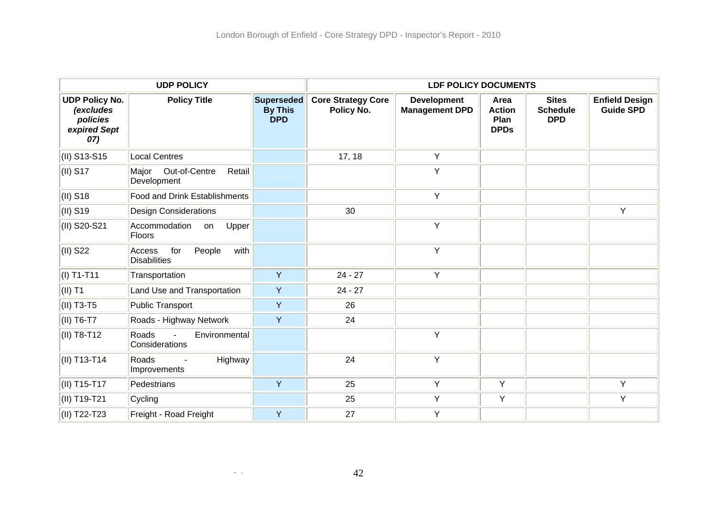|                                                                       | <b>UDP POLICY</b>                                          | <b>LDF POLICY DOCUMENTS</b>                |                                         |                                             |                                              |                                               |                                           |
|-----------------------------------------------------------------------|------------------------------------------------------------|--------------------------------------------|-----------------------------------------|---------------------------------------------|----------------------------------------------|-----------------------------------------------|-------------------------------------------|
| <b>UDP Policy No.</b><br>(excludes<br>policies<br>expired Sept<br>07) | <b>Policy Title</b>                                        | Superseded<br><b>By This</b><br><b>DPD</b> | <b>Core Strategy Core</b><br>Policy No. | <b>Development</b><br><b>Management DPD</b> | Area<br><b>Action</b><br>Plan<br><b>DPDs</b> | <b>Sites</b><br><b>Schedule</b><br><b>DPD</b> | <b>Enfield Design</b><br><b>Guide SPD</b> |
| $\vert$ (II) S13-S15                                                  | <b>Local Centres</b>                                       |                                            | 17, 18                                  | Y                                           |                                              |                                               |                                           |
| $( I )$ S17                                                           | Out-of-Centre<br>Retail<br>Major<br>Development            |                                            |                                         | Y                                           |                                              |                                               |                                           |
| $\vert$ (II) S18                                                      | <b>Food and Drink Establishments</b>                       |                                            |                                         | Y                                           |                                              |                                               |                                           |
| (II) S19                                                              | <b>Design Considerations</b>                               |                                            | 30                                      |                                             |                                              |                                               | Y                                         |
| (II) S20-S21                                                          | Accommodation<br>Upper<br>on<br>Floors                     |                                            |                                         | Y                                           |                                              |                                               |                                           |
| $(II)$ S22                                                            | with<br>for<br>People<br>Access<br><b>Disabilities</b>     |                                            |                                         | Y                                           |                                              |                                               |                                           |
| $(1)$ T1-T11                                                          | Transportation                                             | Y                                          | $24 - 27$                               | Y                                           |                                              |                                               |                                           |
| $\vert$ (II) T1                                                       | Land Use and Transportation                                | Y                                          | $24 - 27$                               |                                             |                                              |                                               |                                           |
| (II) T3-T5                                                            | <b>Public Transport</b>                                    | Y                                          | 26                                      |                                             |                                              |                                               |                                           |
| (II) T6-T7                                                            | Roads - Highway Network                                    | Ÿ                                          | 24                                      |                                             |                                              |                                               |                                           |
| (II) T8-T12                                                           | Roads<br>Environmental<br>$\overline{a}$<br>Considerations |                                            |                                         | Y                                           |                                              |                                               |                                           |
| (II) T13-T14                                                          | Roads<br>Highway<br>$\blacksquare$<br>Improvements         |                                            | 24                                      | Y                                           |                                              |                                               |                                           |
| (II) T15-T17                                                          | Pedestrians                                                | Y                                          | 25                                      | Y                                           | Y                                            |                                               | Y                                         |
| $(II)$ T19-T21                                                        | Cycling                                                    |                                            | 25                                      | Y                                           | Y                                            |                                               | Y                                         |
| $(II)$ T22-T23                                                        | Freight - Road Freight                                     | Ÿ                                          | 27                                      | Y                                           |                                              |                                               |                                           |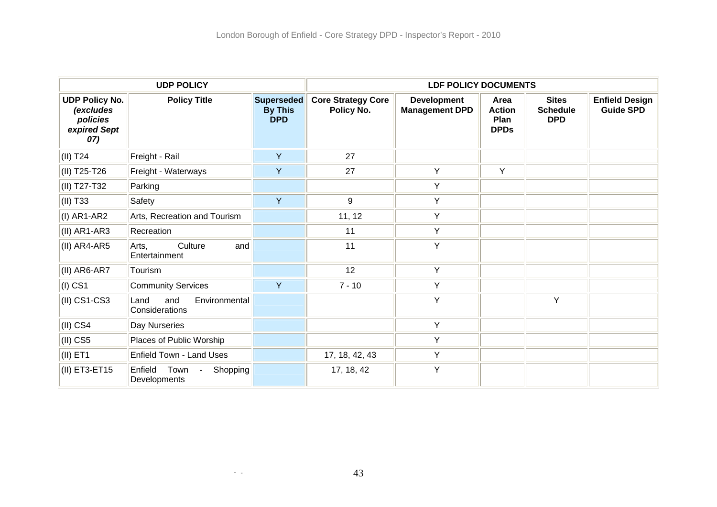|                                                                       | <b>UDP POLICY</b>                              | <b>LDF POLICY DOCUMENTS</b>                |                                         |                                             |                                              |                                               |                                           |
|-----------------------------------------------------------------------|------------------------------------------------|--------------------------------------------|-----------------------------------------|---------------------------------------------|----------------------------------------------|-----------------------------------------------|-------------------------------------------|
| <b>UDP Policy No.</b><br>(excludes<br>policies<br>expired Sept<br>07) | <b>Policy Title</b>                            | Superseded<br><b>By This</b><br><b>DPD</b> | <b>Core Strategy Core</b><br>Policy No. | <b>Development</b><br><b>Management DPD</b> | Area<br><b>Action</b><br>Plan<br><b>DPDs</b> | <b>Sites</b><br><b>Schedule</b><br><b>DPD</b> | <b>Enfield Design</b><br><b>Guide SPD</b> |
| $(II)$ T <sub>24</sub>                                                | Freight - Rail                                 | Y                                          | 27                                      |                                             |                                              |                                               |                                           |
| (II) T25-T26                                                          | Freight - Waterways                            | Y                                          | 27                                      | Y                                           | Y                                            |                                               |                                           |
| (II) T27-T32                                                          | Parking                                        |                                            |                                         | Y                                           |                                              |                                               |                                           |
| (II) T33                                                              | Safety                                         | Y                                          | 9                                       | Y                                           |                                              |                                               |                                           |
| $(I)$ AR1-AR2                                                         | Arts, Recreation and Tourism                   |                                            | 11, 12                                  | Y                                           |                                              |                                               |                                           |
| $(II)$ AR1-AR3                                                        | Recreation                                     |                                            | 11                                      | Y                                           |                                              |                                               |                                           |
| $(II)$ AR4-AR5                                                        | Culture<br>Arts,<br>and<br>Entertainment       |                                            | 11                                      | Y                                           |                                              |                                               |                                           |
| (II) AR6-AR7                                                          | Tourism                                        |                                            | 12                                      | Y                                           |                                              |                                               |                                           |
| $(I)$ CS1                                                             | <b>Community Services</b>                      | Y                                          | $7 - 10$                                | Y                                           |                                              |                                               |                                           |
| $(II)$ CS1-CS3                                                        | Environmental<br>Land<br>and<br>Considerations |                                            |                                         | Y                                           |                                              | Y                                             |                                           |
| $\vert$ (II) CS4                                                      | Day Nurseries                                  |                                            |                                         | Y                                           |                                              |                                               |                                           |
| $(II)$ CS5                                                            | Places of Public Worship                       |                                            |                                         | Y                                           |                                              |                                               |                                           |
| $(II)$ ET1                                                            | Enfield Town - Land Uses                       |                                            | 17, 18, 42, 43                          | Y                                           |                                              |                                               |                                           |
| (II) ET3-ET15                                                         | Enfield<br>Town<br>Shopping<br>Developments    |                                            | 17, 18, 42                              | Y                                           |                                              |                                               |                                           |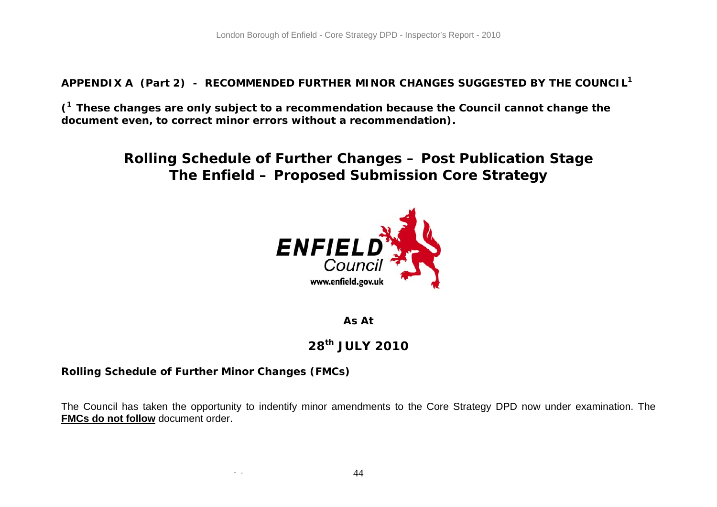**APPENDIX A (Part 2) - RECOMMENDED FURTHER MINOR CHANGES SUGGESTED BY THE COUNCIL<sup>1</sup>**

**(1 These changes are only subject to a recommendation because the Council cannot change the document even, to correct minor errors without a recommendation).** 

> **Rolling Schedule of Further Changes – Post Publication Stage The Enfield – Proposed Submission Core Strategy**



**As At** 

## **28th JULY 2010**

## **Rolling Schedule of Further Minor Changes (FMCs)**

- -

The Council has taken the opportunity to indentify minor amendments to the Core Strategy DPD now under examination. The **FMCs do not follow** document order.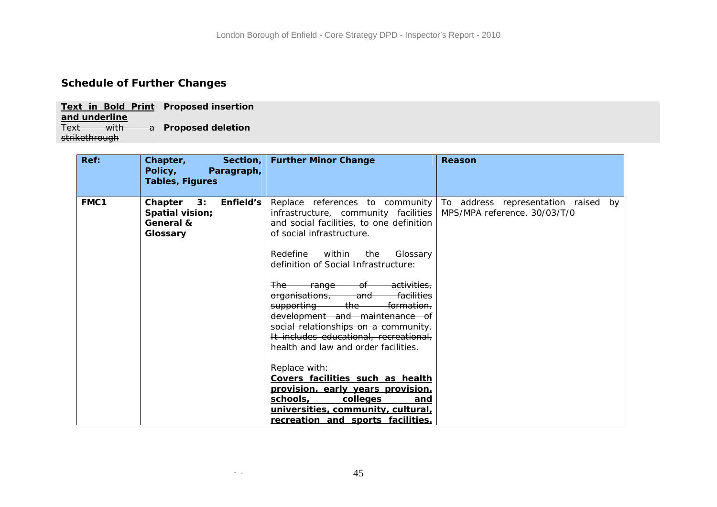## **Schedule of Further Changes**

**Text in Bold Print Proposed insertion and underline** Text with a **Proposed deletion**  strikethrough

| Ref: | Section,<br>Chapter,<br>Policy,<br>Paragraph,<br><b>Tables, Figures</b> | <b>Further Minor Change</b>                                                                                                                                                                                                                                                                                                                                                                                                                                                                                                                                                                                                                                                                                                                                                                                      | Reason                                                              |
|------|-------------------------------------------------------------------------|------------------------------------------------------------------------------------------------------------------------------------------------------------------------------------------------------------------------------------------------------------------------------------------------------------------------------------------------------------------------------------------------------------------------------------------------------------------------------------------------------------------------------------------------------------------------------------------------------------------------------------------------------------------------------------------------------------------------------------------------------------------------------------------------------------------|---------------------------------------------------------------------|
| FMC1 | Enfield's<br>Chapter<br>3:<br>Spatial vision;<br>General &<br>Glossary  | Replace references to community<br>infrastructure, community facilities<br>and social facilities, to one definition<br>of social infrastructure.<br>Redefine<br>within<br>Glossary<br>the<br>definition of Social Infrastructure:<br>activities.<br><del>The -</del><br><del>range —</del><br>-of-<br>facilities<br><del>organisations, whi</del><br><del>and -</del><br><del>supporting ____</del><br><del>the -</del><br><del>formation.</del><br>development and maintenance of<br>social relationships on a community.<br>It includes educational, recreational,<br>health and law and order facilities.<br>Replace with:<br>Covers facilities such as health<br>provision, early years provision,<br>schools,<br>colleges<br>and<br>universities, community, cultural,<br>recreation and sports facilities, | To address representation raised by<br>MPS/MPA reference. 30/03/T/0 |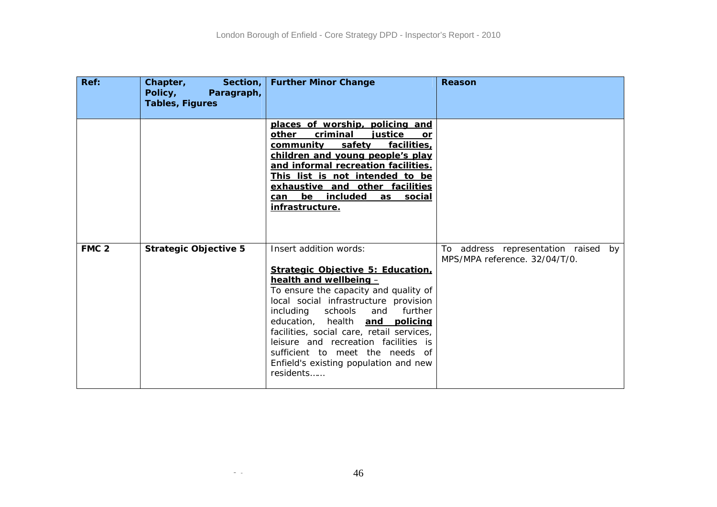| Ref:             | Chapter,<br>Section, $ $<br>Policy,<br>Paragraph,<br><b>Tables, Figures</b> | <b>Further Minor Change</b>                                                                                                                                                                                                                                                                                                                                                                                                    | Reason                                                               |
|------------------|-----------------------------------------------------------------------------|--------------------------------------------------------------------------------------------------------------------------------------------------------------------------------------------------------------------------------------------------------------------------------------------------------------------------------------------------------------------------------------------------------------------------------|----------------------------------------------------------------------|
|                  |                                                                             | places of worship, policing and<br>other<br>criminal<br>iustice<br>or<br>community<br>safety<br>facilities,<br>children and young people's play<br>and informal recreation facilities.<br>This list is not intended to be<br>exhaustive and other facilities<br>be included<br>as social<br>can<br>infrastructure.                                                                                                             |                                                                      |
| FMC <sub>2</sub> | <b>Strategic Objective 5</b>                                                | Insert addition words:<br>Strategic Objective 5: Education.<br>health and wellbeing -<br>To ensure the capacity and quality of<br>local social infrastructure provision<br>including<br>schools and<br>further<br>education, health and policing<br>facilities, social care, retail services,<br>leisure and recreation facilities is<br>sufficient to meet the needs of<br>Enfield's existing population and new<br>residents | To address representation raised by<br>MPS/MPA reference. 32/04/T/0. |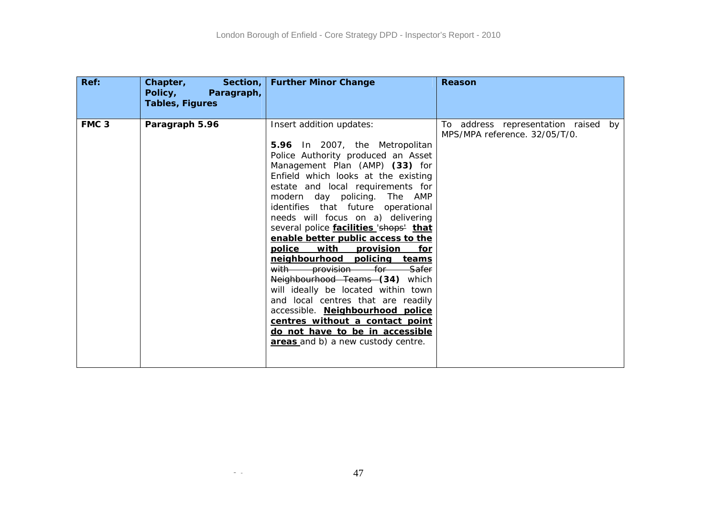| Ref:             | Section, $\vert$<br>Chapter,<br>Policy,<br>Paragraph,<br><b>Tables, Figures</b> | <b>Further Minor Change</b>                                                                                                                                                                                                                                                                                                                                                                                                                                                                                                                                                                                                                                                                                                                                             | <b>Reason</b>                                                        |
|------------------|---------------------------------------------------------------------------------|-------------------------------------------------------------------------------------------------------------------------------------------------------------------------------------------------------------------------------------------------------------------------------------------------------------------------------------------------------------------------------------------------------------------------------------------------------------------------------------------------------------------------------------------------------------------------------------------------------------------------------------------------------------------------------------------------------------------------------------------------------------------------|----------------------------------------------------------------------|
| FMC <sub>3</sub> | Paragraph 5.96                                                                  | Insert addition updates:<br>5.96 In 2007, the Metropolitan<br>Police Authority produced an Asset<br>Management Plan (AMP) (33) for<br>Enfield which looks at the existing<br>estate and local requirements for<br>modern day policing. The AMP<br>identifies that future operational<br>needs will focus on a) delivering<br>several police facilities 'shops' that<br>enable better public access to the<br>police<br>with provision<br>for<br>neighbourhood policing teams<br>with provision for Safer<br>Neighbourhood Teams (34) which<br>will ideally be located within town<br>and local centres that are readily<br>accessible. Neighbourhood police<br>centres without a contact point<br>do not have to be in accessible<br>areas and b) a new custody centre. | To address representation raised by<br>MPS/MPA reference. 32/05/T/0. |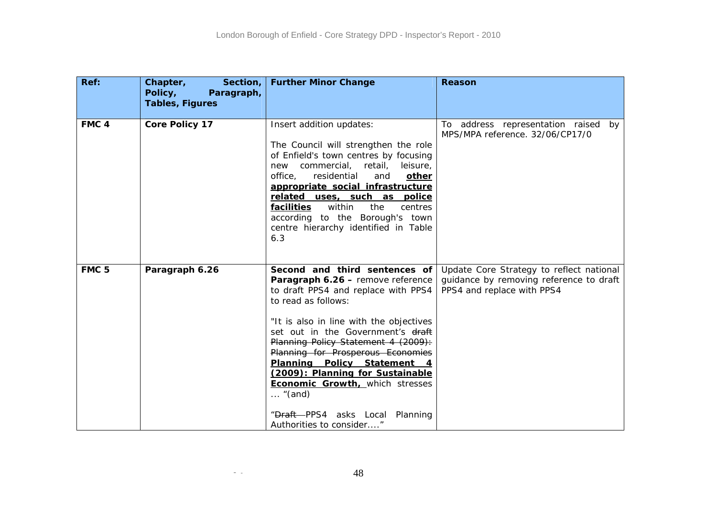| Ref:             | Chapter,<br>Section,<br>Policy,<br>Paragraph,<br><b>Tables, Figures</b> | <b>Further Minor Change</b>                                                                                                                                                                                                                                                                                                                                                                                                                                                                 | Reason                                                                                                            |
|------------------|-------------------------------------------------------------------------|---------------------------------------------------------------------------------------------------------------------------------------------------------------------------------------------------------------------------------------------------------------------------------------------------------------------------------------------------------------------------------------------------------------------------------------------------------------------------------------------|-------------------------------------------------------------------------------------------------------------------|
| FMC <sub>4</sub> | <b>Core Policy 17</b>                                                   | Insert addition updates:<br>The Council will strengthen the role<br>of Enfield's town centres by focusing<br>commercial, retail,<br>leisure,<br>new<br>office,<br>residential<br>and<br>other<br>appropriate social infrastructure<br>related uses, such as police<br><b>facilities</b><br>within<br>the<br>centres<br>according to the Borough's town<br>centre hierarchy identified in Table<br>6.3                                                                                       | To address representation raised by<br>MPS/MPA reference. 32/06/CP17/0                                            |
| FMC <sub>5</sub> | Paragraph 6.26                                                          | Second and third sentences of<br>Paragraph 6.26 - remove reference<br>to draft PPS4 and replace with PPS4<br>to read as follows:<br>"It is also in line with the objectives<br>set out in the Government's draft<br>Planning Policy Statement 4 (2009):<br>Planning for Prosperous Economies<br>Planning Policy Statement 4<br>(2009): Planning for Sustainable<br><b>Economic Growth, which stresses</b><br>$\ldots$ "(and)<br>"Draft-PPS4 asks Local Planning<br>Authorities to consider" | Update Core Strategy to reflect national<br>guidance by removing reference to draft<br>PPS4 and replace with PPS4 |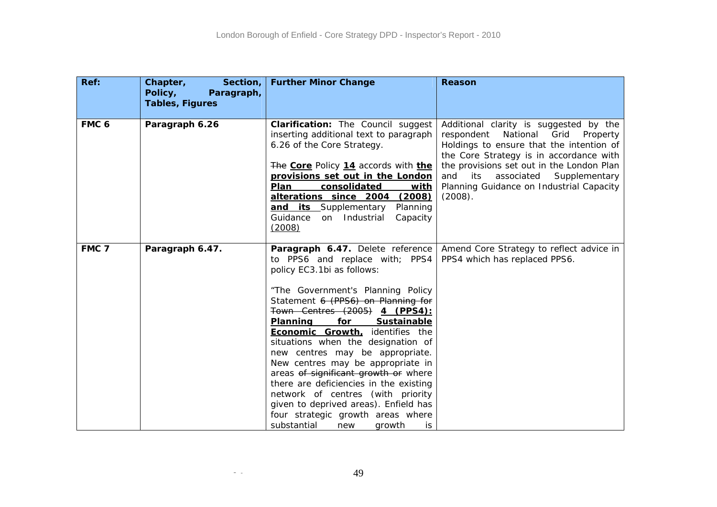| Ref:             | Section,<br>Chapter,<br>Policy,<br>Paragraph,<br><b>Tables, Figures</b> | <b>Further Minor Change</b>                                                                                                                                                                                                                                                                                                                                                                                                                                                                                                                                                                                                                              | Reason                                                                                                                                                                                                                                                                                                              |
|------------------|-------------------------------------------------------------------------|----------------------------------------------------------------------------------------------------------------------------------------------------------------------------------------------------------------------------------------------------------------------------------------------------------------------------------------------------------------------------------------------------------------------------------------------------------------------------------------------------------------------------------------------------------------------------------------------------------------------------------------------------------|---------------------------------------------------------------------------------------------------------------------------------------------------------------------------------------------------------------------------------------------------------------------------------------------------------------------|
| FMC <sub>6</sub> | Paragraph 6.26                                                          | <b>Clarification:</b> The Council suggest<br>inserting additional text to paragraph<br>6.26 of the Core Strategy.<br>The Core Policy 14 accords with the<br>provisions set out in the London<br>Plan<br>consolidated<br>with<br>alterations since 2004<br>(2008)<br>and its Supplementary<br>Planning<br>Guidance<br>on Industrial<br>Capacity<br>(2008)                                                                                                                                                                                                                                                                                                 | Additional clarity is suggested by the<br>National<br>Grid<br>respondent<br>Property<br>Holdings to ensure that the intention of<br>the Core Strategy is in accordance with<br>the provisions set out in the London Plan<br>and its associated Supplementary<br>Planning Guidance on Industrial Capacity<br>(2008). |
| FMC 7            | Paragraph 6.47.                                                         | Paragraph 6.47. Delete reference<br>to PPS6 and replace with; PPS4<br>policy EC3.1bi as follows:<br>"The Government's Planning Policy<br>Statement 6 (PPS6) on Planning for<br>Town Centres (2005) 4 (PPS4):<br>for<br>Sustainable<br><b>Planning</b><br><b>Economic Growth, identifies the</b><br>situations when the designation of<br>new centres may be appropriate.<br>New centres may be appropriate in<br>areas of significant growth or where<br>there are deficiencies in the existing<br>network of centres (with priority<br>given to deprived areas). Enfield has<br>four strategic growth areas where<br>substantial<br>new<br>growth<br>is | Amend Core Strategy to reflect advice in<br>PPS4 which has replaced PPS6.                                                                                                                                                                                                                                           |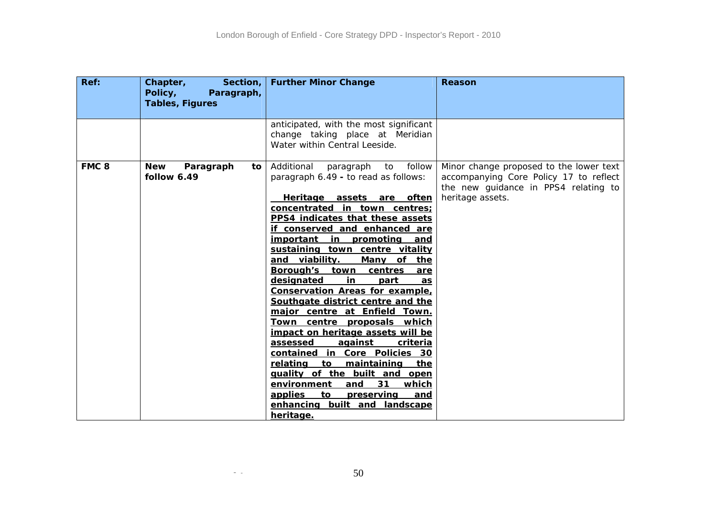| Ref:             | Chapter,<br>Section,  <br>Policy,<br>Paragraph,<br><b>Tables, Figures</b> | <b>Further Minor Change</b>                                                                                                                                                                                                                                                                                                                                                                                                                                                                                                                                                                                                                                                                                                                                                                              | <b>Reason</b>                                                                                                                                 |
|------------------|---------------------------------------------------------------------------|----------------------------------------------------------------------------------------------------------------------------------------------------------------------------------------------------------------------------------------------------------------------------------------------------------------------------------------------------------------------------------------------------------------------------------------------------------------------------------------------------------------------------------------------------------------------------------------------------------------------------------------------------------------------------------------------------------------------------------------------------------------------------------------------------------|-----------------------------------------------------------------------------------------------------------------------------------------------|
|                  |                                                                           |                                                                                                                                                                                                                                                                                                                                                                                                                                                                                                                                                                                                                                                                                                                                                                                                          |                                                                                                                                               |
|                  |                                                                           | anticipated, with the most significant<br>change taking place at Meridian<br>Water within Central Leeside.                                                                                                                                                                                                                                                                                                                                                                                                                                                                                                                                                                                                                                                                                               |                                                                                                                                               |
| FMC <sub>8</sub> | <b>New</b><br>Paragraph<br>to<br>follow 6.49                              | Additional<br>follow<br>paragraph<br>to<br>paragraph 6.49 - to read as follows:<br>Heritage assets are often<br>concentrated in town centres;<br>PPS4 indicates that these assets<br>if conserved and enhanced are<br><u>important</u><br>in<br>promoting<br>and<br>sustaining town centre vitality<br>and viability.<br>Many of<br>the<br>Borough's town<br>centres<br>are<br>designated<br><u>in</u><br>part<br>as<br><b>Conservation Areas for example,</b><br>Southgate district centre and the<br>major centre at Enfield Town.<br><u>Town centre proposals which</u><br>impact on heritage assets will be<br>assessed<br>against<br>criteria<br>contained in Core Policies 30<br>maintaining<br>relating<br>to<br>the<br>guality of the built and open<br>31<br>environment<br>and<br><u>which</u> | Minor change proposed to the lower text<br>accompanying Core Policy 17 to reflect<br>the new guidance in PPS4 relating to<br>heritage assets. |
|                  |                                                                           | applies<br><u>to</u><br>preserving<br><u>and</u><br>enhancing built and landscape<br>heritage.                                                                                                                                                                                                                                                                                                                                                                                                                                                                                                                                                                                                                                                                                                           |                                                                                                                                               |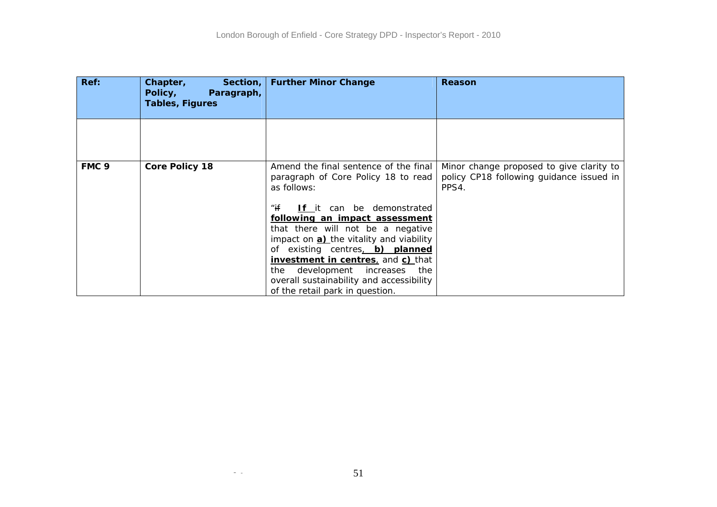| Ref:             | Chapter,<br>Policy,<br>Paragraph,<br><b>Tables, Figures</b> | Section,   Further Minor Change                                                             | Reason                                                                                        |
|------------------|-------------------------------------------------------------|---------------------------------------------------------------------------------------------|-----------------------------------------------------------------------------------------------|
|                  |                                                             |                                                                                             |                                                                                               |
|                  |                                                             |                                                                                             |                                                                                               |
|                  |                                                             |                                                                                             |                                                                                               |
| FMC <sub>9</sub> | <b>Core Policy 18</b>                                       | Amend the final sentence of the final<br>paragraph of Core Policy 18 to read<br>as follows: | Minor change proposed to give clarity to<br>policy CP18 following guidance issued in<br>PPS4. |
|                  |                                                             | " $if$<br>If it can be demonstrated                                                         |                                                                                               |
|                  |                                                             | following an impact assessment                                                              |                                                                                               |
|                  |                                                             | that there will not be a negative<br>impact on a) the vitality and viability                |                                                                                               |
|                  |                                                             | of existing centres, b) planned                                                             |                                                                                               |
|                  |                                                             | <b>investment in centres</b> , and <b>c)</b> that                                           |                                                                                               |
|                  |                                                             | the development increases the                                                               |                                                                                               |
|                  |                                                             | overall sustainability and accessibility                                                    |                                                                                               |
|                  |                                                             | of the retail park in question.                                                             |                                                                                               |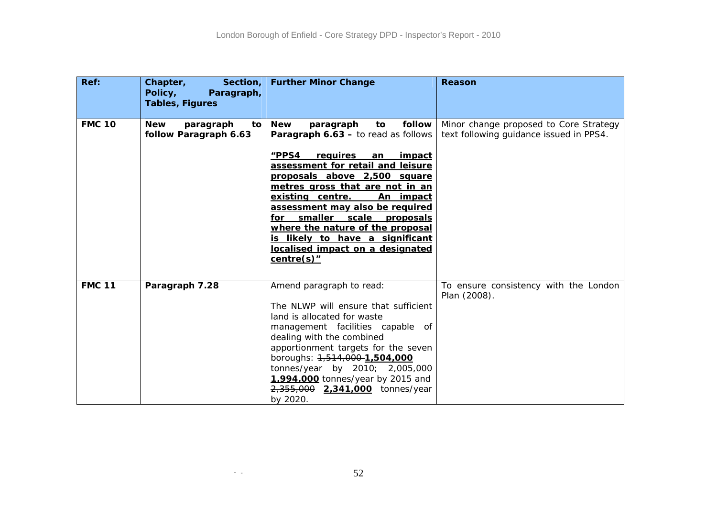| Ref:          | Section,<br>Chapter,<br>Policy,<br>Paragraph,<br><b>Tables, Figures</b> | <b>Further Minor Change</b>                                                                                                                                                                                                                                                                                                                                                                                                                                                                     | Reason                                                                            |
|---------------|-------------------------------------------------------------------------|-------------------------------------------------------------------------------------------------------------------------------------------------------------------------------------------------------------------------------------------------------------------------------------------------------------------------------------------------------------------------------------------------------------------------------------------------------------------------------------------------|-----------------------------------------------------------------------------------|
| <b>FMC 10</b> | <b>New</b><br>paragraph<br>to l<br>follow Paragraph 6.63                | follow<br><b>New</b><br>paragraph<br>to<br><b>Paragraph 6.63 - to read as follows</b><br>"PPS4<br>requires<br><u>impact</u><br>an<br>assessment for retail and leisure<br>proposals above 2,500 square<br>metres gross that are not in an<br>existing centre.<br>An impact<br>assessment may also be required<br>smaller<br><b>scale</b><br>for<br><u>proposals</u><br>where the nature of the proposal<br>is likely to have a significant<br>localised impact on a designated<br>$centre(s)$ " | Minor change proposed to Core Strategy<br>text following guidance issued in PPS4. |
| <b>FMC 11</b> | Paragraph 7.28                                                          | Amend paragraph to read:<br>The NLWP will ensure that sufficient<br>land is allocated for waste<br>management facilities capable of<br>dealing with the combined<br>apportionment targets for the seven<br>boroughs: 1,514,000-1,504,000<br>tonnes/year by 2010; 2,005,000<br>1,994,000 tonnes/year by 2015 and<br>2,355,000 2,341,000 tonnes/year<br>by 2020.                                                                                                                                  | To ensure consistency with the London<br>Plan (2008).                             |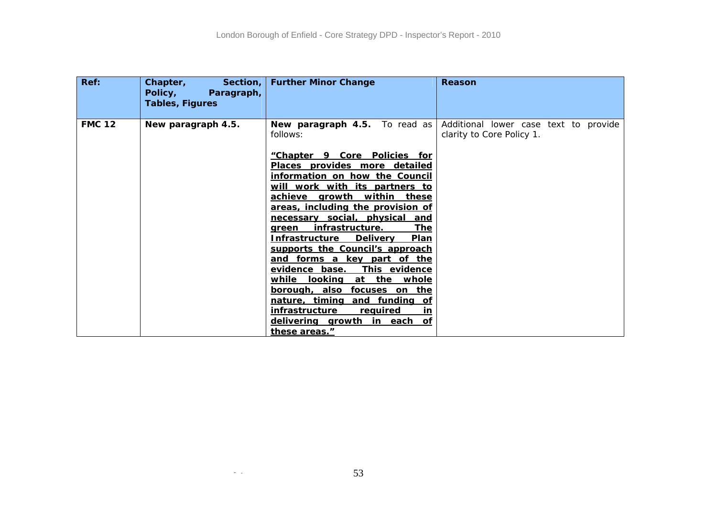| <b>FMC 12</b><br>New paragraph 4.5.<br>New paragraph 4.5. To read as<br>clarity to Core Policy 1.<br>follows:<br>"Chapter 9 Core Policies for<br>Places provides more detailed<br>information on how the Council<br>will work with its partners to<br>achieve growth within these<br>areas, including the provision of<br>necessary social, physical<br>and<br><u>infrastructure.</u><br><u>The</u><br>green<br><b>Infrastructure</b><br><b>Delivery</b><br>Plan<br>supports the Council's approach<br>and forms a key part of the<br>evidence base.<br>This evidence<br>while<br><u>looking</u><br>at the whole<br>borough, also focuses on the<br>nature, timing and funding of | Ref: | Section, $ $<br>Chapter,<br>Policy,<br>Paragraph,<br><b>Tables, Figures</b> | <b>Further Minor Change</b>             | Reason                                |
|-----------------------------------------------------------------------------------------------------------------------------------------------------------------------------------------------------------------------------------------------------------------------------------------------------------------------------------------------------------------------------------------------------------------------------------------------------------------------------------------------------------------------------------------------------------------------------------------------------------------------------------------------------------------------------------|------|-----------------------------------------------------------------------------|-----------------------------------------|---------------------------------------|
| delivering growth in each of<br>these areas."                                                                                                                                                                                                                                                                                                                                                                                                                                                                                                                                                                                                                                     |      |                                                                             | infrastructure<br>required<br><u>in</u> | Additional lower case text to provide |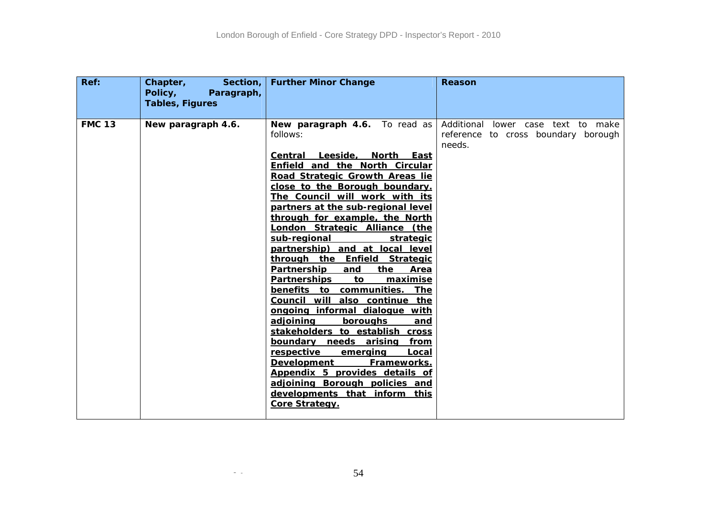| Ref:          | Section,<br>Chapter,<br>Policy,<br>Paragraph,<br><b>Tables, Figures</b> | <b>Further Minor Change</b>                                                                                                                                                                                                                                                                                                                                                                                                                                                                                                                                                                                                                                                                                                                                                                                                                                                                                                                         | Reason                                                                              |
|---------------|-------------------------------------------------------------------------|-----------------------------------------------------------------------------------------------------------------------------------------------------------------------------------------------------------------------------------------------------------------------------------------------------------------------------------------------------------------------------------------------------------------------------------------------------------------------------------------------------------------------------------------------------------------------------------------------------------------------------------------------------------------------------------------------------------------------------------------------------------------------------------------------------------------------------------------------------------------------------------------------------------------------------------------------------|-------------------------------------------------------------------------------------|
| <b>FMC 13</b> | New paragraph 4.6.                                                      | New paragraph 4.6. To read as<br>follows:<br>Central Leeside, North East<br>Enfield and the North Circular<br>Road Strategic Growth Areas lie<br>close to the Borough boundary.<br>The Council will work with its<br>partners at the sub-regional level<br>through for example, the North<br><u>London Strategic Alliance (the </u><br>sub-regional<br><u>strategic</u><br>partnership) and at local level<br>through the Enfield Strategic<br>Partnership<br>and<br>the<br>Area<br><b>Partnerships</b><br><u>maximise</u><br>to<br>benefits to communities. The<br>Council will also continue the<br>ongoing informal dialogue with<br><u>adjoining</u><br>boroughs<br>and<br>stakeholders to establish cross<br>boundary needs arising from<br>respective<br>Local<br><u>emerging</u><br><b>Development</b><br>Frameworks.<br>Appendix 5 provides details of<br>adjoining Borough policies and<br>developments that inform this<br>Core Strategy. | Additional lower case text to make<br>reference to cross boundary borough<br>needs. |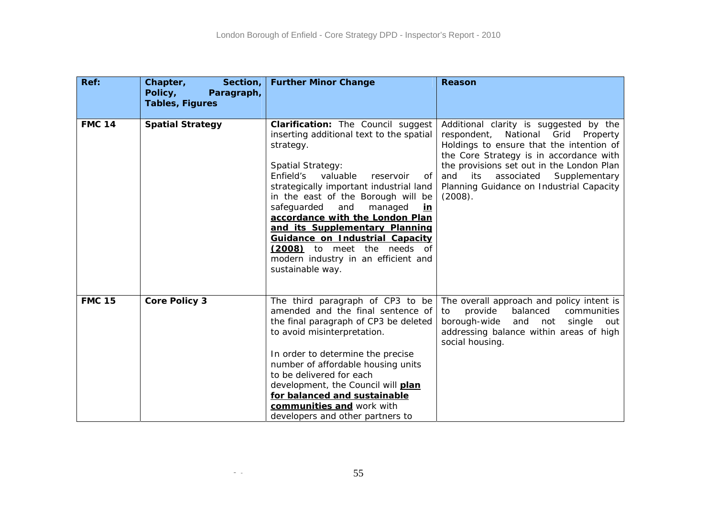| Ref:          | Chapter,<br>Section,<br>Policy,<br>Paragraph,<br><b>Tables, Figures</b> | <b>Further Minor Change</b>                                                                                                                                                                                                                                                                                                                                                                                                                                                                          | Reason                                                                                                                                                                                                                                                                                                                  |
|---------------|-------------------------------------------------------------------------|------------------------------------------------------------------------------------------------------------------------------------------------------------------------------------------------------------------------------------------------------------------------------------------------------------------------------------------------------------------------------------------------------------------------------------------------------------------------------------------------------|-------------------------------------------------------------------------------------------------------------------------------------------------------------------------------------------------------------------------------------------------------------------------------------------------------------------------|
| <b>FMC 14</b> | <b>Spatial Strategy</b>                                                 | <b>Clarification:</b> The Council suggest<br>inserting additional text to the spatial<br>strategy.<br><b>Spatial Strategy:</b><br>valuable<br>Enfield's<br>reservoir<br>of<br>strategically important industrial land<br>in the east of the Borough will be<br>safeguarded<br>managed<br>and<br>in<br>accordance with the London Plan<br>and its Supplementary Planning<br>Guidance on Industrial Capacity<br>(2008) to meet the needs of<br>modern industry in an efficient and<br>sustainable way. | Additional clarity is suggested by the<br>respondent, National Grid<br>Property<br>Holdings to ensure that the intention of<br>the Core Strategy is in accordance with<br>the provisions set out in the London Plan<br>Supplementary<br>and<br>associated<br>its<br>Planning Guidance on Industrial Capacity<br>(2008). |
| <b>FMC 15</b> | <b>Core Policy 3</b>                                                    | The third paragraph of CP3 to be<br>amended and the final sentence of<br>the final paragraph of CP3 be deleted<br>to avoid misinterpretation.<br>In order to determine the precise<br>number of affordable housing units<br>to be delivered for each<br>development, the Council will <b>plan</b><br>for balanced and sustainable<br>communities and work with<br>developers and other partners to                                                                                                   | The overall approach and policy intent is<br>balanced<br>provide<br>communities<br>to<br>borough-wide<br>and not<br>single<br>out<br>addressing balance within areas of high<br>social housing.                                                                                                                         |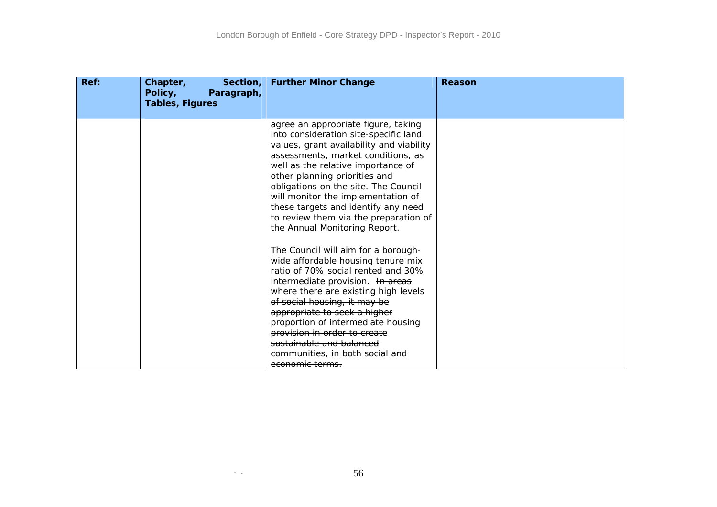| Ref: | Chapter,<br>Section,<br>Policy,<br>Paragraph,<br><b>Tables, Figures</b> | <b>Further Minor Change</b>                                                                                                                                                                                                                                                                                                                                                                                                          | Reason |
|------|-------------------------------------------------------------------------|--------------------------------------------------------------------------------------------------------------------------------------------------------------------------------------------------------------------------------------------------------------------------------------------------------------------------------------------------------------------------------------------------------------------------------------|--------|
|      |                                                                         | agree an appropriate figure, taking<br>into consideration site-specific land<br>values, grant availability and viability<br>assessments, market conditions, as<br>well as the relative importance of<br>other planning priorities and<br>obligations on the site. The Council<br>will monitor the implementation of<br>these targets and identify any need<br>to review them via the preparation of<br>the Annual Monitoring Report. |        |
|      |                                                                         | The Council will aim for a borough-<br>wide affordable housing tenure mix<br>ratio of 70% social rented and 30%<br>intermediate provision. In areas<br>where there are existing high levels<br>of social housing, it may be<br>appropriate to seek a higher<br>proportion of intermediate housing<br>provision in order to create<br>sustainable and balanced<br><del>communities, in both social and</del><br>economic terms.       |        |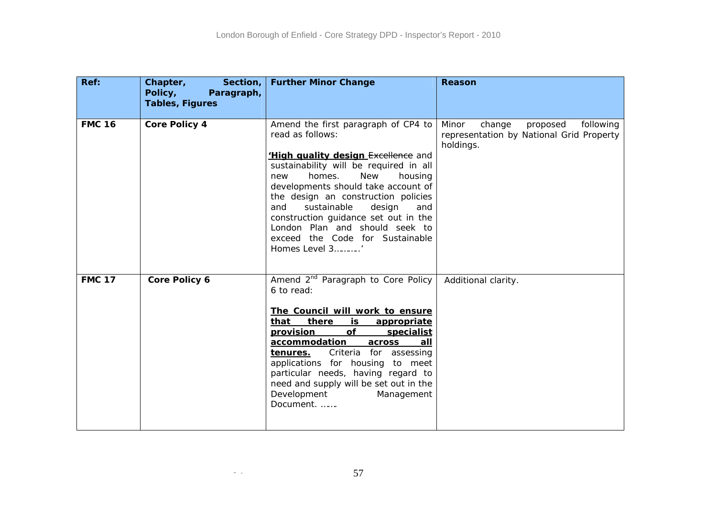| Ref:          | Chapter,<br>Section,<br>Policy,<br>Paragraph,<br><b>Tables, Figures</b> | <b>Further Minor Change</b>                                                                                                                                                                                                                                                                                                                                                                                                            | Reason                                                                                            |
|---------------|-------------------------------------------------------------------------|----------------------------------------------------------------------------------------------------------------------------------------------------------------------------------------------------------------------------------------------------------------------------------------------------------------------------------------------------------------------------------------------------------------------------------------|---------------------------------------------------------------------------------------------------|
| <b>FMC 16</b> | <b>Core Policy 4</b>                                                    | Amend the first paragraph of CP4 to<br>read as follows:<br>'High quality design Excellence and<br>sustainability will be required in all<br>homes.<br><b>New</b><br>housing<br>new<br>developments should take account of<br>the design an construction policies<br>sustainable<br>design<br>and<br>and<br>construction guidance set out in the<br>London Plan and should seek to<br>exceed the Code for Sustainable<br>Homes Level 3' | Minor<br>change<br>proposed<br>following<br>representation by National Grid Property<br>holdings. |
| <b>FMC 17</b> | Core Policy 6                                                           | Amend 2 <sup>nd</sup> Paragraph to Core Policy<br>6 to read:<br>The Council will work to ensure<br>there<br>that<br><u>is</u><br>appropriate<br><b>provision</b><br>Οf<br>specialist<br>accommodation<br>across<br>all<br>Criteria for assessing<br><u>tenures.</u><br>applications for housing to meet<br>particular needs, having regard to<br>need and supply will be set out in the<br>Development<br>Management<br>Document.      | Additional clarity.                                                                               |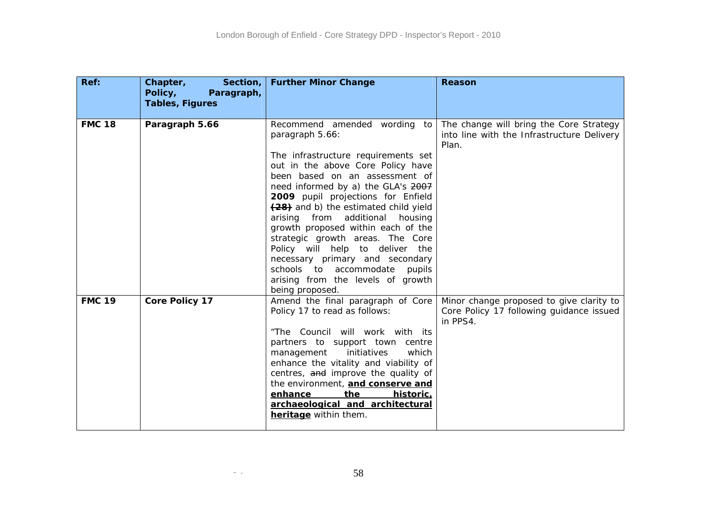| Ref:          | Chapter,<br>Section,<br>Policy,<br>Paragraph,<br><b>Tables, Figures</b> | <b>Further Minor Change</b>                                                                                                                                                                                                                                                                                                                                                                                                                                                                                                                                             | Reason                                                                                           |
|---------------|-------------------------------------------------------------------------|-------------------------------------------------------------------------------------------------------------------------------------------------------------------------------------------------------------------------------------------------------------------------------------------------------------------------------------------------------------------------------------------------------------------------------------------------------------------------------------------------------------------------------------------------------------------------|--------------------------------------------------------------------------------------------------|
| <b>FMC 18</b> | Paragraph 5.66                                                          | Recommend amended wording to<br>paragraph 5.66:<br>The infrastructure requirements set<br>out in the above Core Policy have<br>been based on an assessment of<br>need informed by a) the GLA's 2007<br>2009 pupil projections for Enfield<br>(28) and b) the estimated child yield<br>additional<br>arising from<br>housing<br>growth proposed within each of the<br>strategic growth areas. The Core<br>Policy will help to deliver the<br>necessary primary and secondary<br>schools to accommodate<br>pupils<br>arising from the levels of growth<br>being proposed. | The change will bring the Core Strategy<br>into line with the Infrastructure Delivery<br>Plan.   |
| <b>FMC 19</b> | <b>Core Policy 17</b>                                                   | Amend the final paragraph of Core<br>Policy 17 to read as follows:<br>"The Council will work with its<br>partners to support town centre<br>management<br>initiatives<br>which<br>enhance the vitality and viability of<br>centres, and improve the quality of<br>the environment, and conserve and<br>historic,<br>enhance<br><u>the</u><br>archaeological and architectural<br>heritage within them.                                                                                                                                                                  | Minor change proposed to give clarity to<br>Core Policy 17 following guidance issued<br>in PPS4. |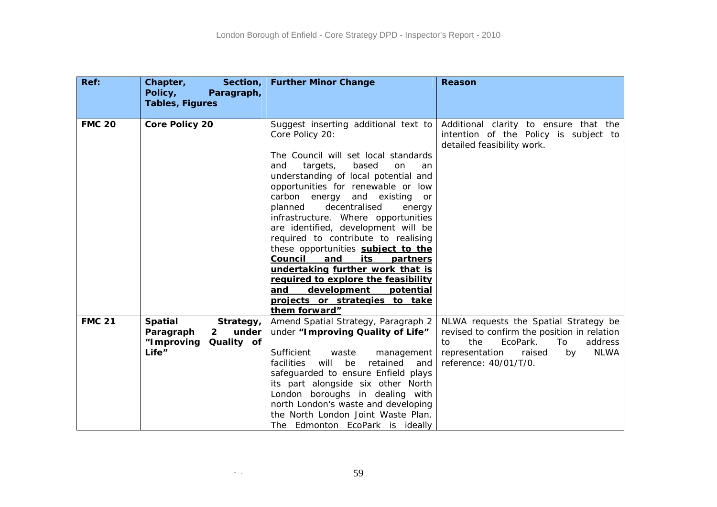| Ref:          | Chapter,<br>Section,<br>Policy,<br>Paragraph,<br><b>Tables, Figures</b>                                | <b>Further Minor Change</b>                                                                                                                                                                                                                                                                                                                                                                                                                                                                                                                                                                                                                                  | Reason                                                                                                                                                                                            |
|---------------|--------------------------------------------------------------------------------------------------------|--------------------------------------------------------------------------------------------------------------------------------------------------------------------------------------------------------------------------------------------------------------------------------------------------------------------------------------------------------------------------------------------------------------------------------------------------------------------------------------------------------------------------------------------------------------------------------------------------------------------------------------------------------------|---------------------------------------------------------------------------------------------------------------------------------------------------------------------------------------------------|
| <b>FMC 20</b> | <b>Core Policy 20</b>                                                                                  | Suggest inserting additional text to<br>Core Policy 20:<br>The Council will set local standards<br>and<br>targets,<br>based<br>on<br>an<br>understanding of local potential and<br>opportunities for renewable or low<br>carbon<br>and existing<br>energy<br><b>or</b><br>decentralised<br>planned<br>energy<br>infrastructure. Where opportunities<br>are identified, development will be<br>required to contribute to realising<br>these opportunities subject to the<br>Council<br>and<br>its<br>partners<br>undertaking further work that is<br>required to explore the feasibility<br>and<br>development<br>potential<br>projects or strategies to take | Additional clarity to ensure that the<br>intention of the Policy is subject to<br>detailed feasibility work.                                                                                      |
|               |                                                                                                        | them forward"                                                                                                                                                                                                                                                                                                                                                                                                                                                                                                                                                                                                                                                |                                                                                                                                                                                                   |
| <b>FMC 21</b> | <b>Spatial</b><br>Strategy,<br>under<br>Paragraph<br>$\mathbf{2}$<br>"Improving<br>Quality of<br>Life" | Amend Spatial Strategy, Paragraph 2<br>under "Improving Quality of Life"<br>Sufficient<br>waste<br>management<br>will<br><b>facilities</b><br>be<br>retained<br>and<br>safeguarded to ensure Enfield plays<br>its part alongside six other North<br>London boroughs in dealing with<br>north London's waste and developing<br>the North London Joint Waste Plan.<br>The Edmonton EcoPark is ideally                                                                                                                                                                                                                                                          | NLWA requests the Spatial Strategy be<br>revised to confirm the position in relation<br>the<br>EcoPark.<br>address<br>To<br>to<br>representation<br>NLWA<br>raised<br>by<br>reference: 40/01/T/0. |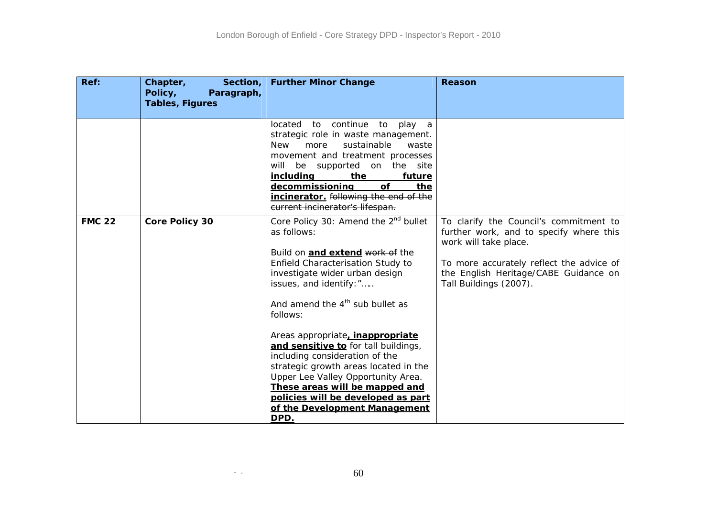| Ref:          | Chapter,<br>Section,<br>Policy,<br>Paragraph,<br><b>Tables, Figures</b> | <b>Further Minor Change</b>                                                                                                                                                                                                                                                                                                                                                                                                                                                                                                                                                       | Reason                                                                                                                                                                                                                    |
|---------------|-------------------------------------------------------------------------|-----------------------------------------------------------------------------------------------------------------------------------------------------------------------------------------------------------------------------------------------------------------------------------------------------------------------------------------------------------------------------------------------------------------------------------------------------------------------------------------------------------------------------------------------------------------------------------|---------------------------------------------------------------------------------------------------------------------------------------------------------------------------------------------------------------------------|
|               |                                                                         | located<br>continue<br>to<br>to<br>play a<br>strategic role in waste management.<br>more<br>sustainable<br><b>New</b><br>waste<br>movement and treatment processes<br>be supported on the site<br>will<br>the<br><i>including</i><br>future<br>decommissioning<br><b>of</b><br>the<br>incinerator. following the end of the<br>current incinerator's lifespan.                                                                                                                                                                                                                    |                                                                                                                                                                                                                           |
| <b>FMC 22</b> | <b>Core Policy 30</b>                                                   | Core Policy 30: Amend the 2 <sup>nd</sup> bullet<br>as follows:<br>Build on <b>and extend work of</b> the<br>Enfield Characterisation Study to<br>investigate wider urban design<br>issues, and identify: "<br>And amend the $4th$ sub bullet as<br>follows:<br>Areas appropriate, <i>inappropriate</i><br>and sensitive to for tall buildings,<br>including consideration of the<br>strategic growth areas located in the<br>Upper Lee Valley Opportunity Area.<br>These areas will be mapped and<br>policies will be developed as part<br>of the Development Management<br>DPD. | To clarify the Council's commitment to<br>further work, and to specify where this<br>work will take place.<br>To more accurately reflect the advice of<br>the English Heritage/CABE Guidance on<br>Tall Buildings (2007). |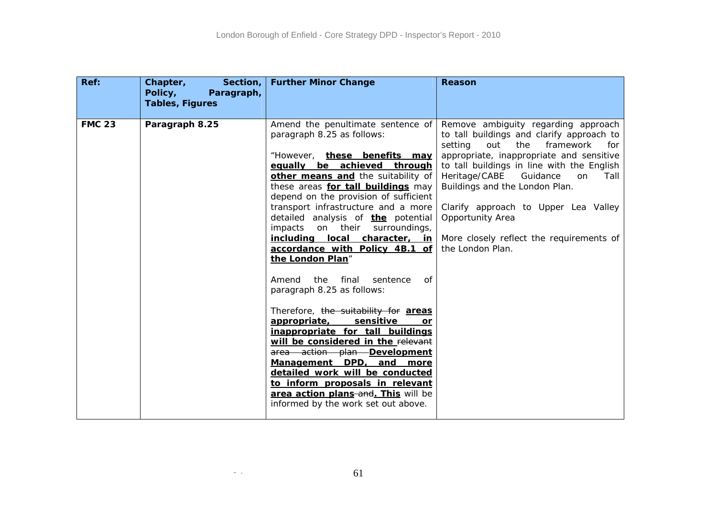| Ref:          | Chapter,<br>Section,<br>Policy,<br>Paragraph,<br><b>Tables, Figures</b> | <b>Further Minor Change</b>                                                                                                                                                                                                                                                                                                                                                                                                                                                                                                                                                                                                                                                                                                                                                                                                                                                                                           | <b>Reason</b>                                                                                                                                                                                                                                                                                                                                                                                                                 |
|---------------|-------------------------------------------------------------------------|-----------------------------------------------------------------------------------------------------------------------------------------------------------------------------------------------------------------------------------------------------------------------------------------------------------------------------------------------------------------------------------------------------------------------------------------------------------------------------------------------------------------------------------------------------------------------------------------------------------------------------------------------------------------------------------------------------------------------------------------------------------------------------------------------------------------------------------------------------------------------------------------------------------------------|-------------------------------------------------------------------------------------------------------------------------------------------------------------------------------------------------------------------------------------------------------------------------------------------------------------------------------------------------------------------------------------------------------------------------------|
| <b>FMC 23</b> | Paragraph 8.25                                                          | Amend the penultimate sentence of<br>paragraph 8.25 as follows:<br>"However, these benefits may<br>equally be achieved through<br>other means and the suitability of<br>these areas for tall buildings may<br>depend on the provision of sufficient<br>transport infrastructure and a more<br>detailed analysis of <b>the</b> potential<br>impacts on their surroundings,<br>including local character, in<br>accordance with Policy 4B.1 of<br>the London Plan"<br>Amend<br>the<br>final<br>sentence<br>0f<br>paragraph 8.25 as follows:<br>Therefore, the suitability for areas<br>appropriate,<br>sensitive<br><b>or</b><br>inappropriate for tall buildings<br>will be considered in the relevant<br>area action plan Development<br>Management DPD, and more<br>detailed work will be conducted<br>to inform proposals in relevant<br>area action plans-and. This will be<br>informed by the work set out above. | Remove ambiguity regarding approach<br>to tall buildings and clarify approach to<br>setting<br>out<br>the<br>framework<br>for<br>appropriate, inappropriate and sensitive<br>to tall buildings in line with the English<br>Heritage/CABE Guidance<br>on<br>Tall<br>Buildings and the London Plan.<br>Clarify approach to Upper Lea Valley<br>Opportunity Area<br>More closely reflect the requirements of<br>the London Plan. |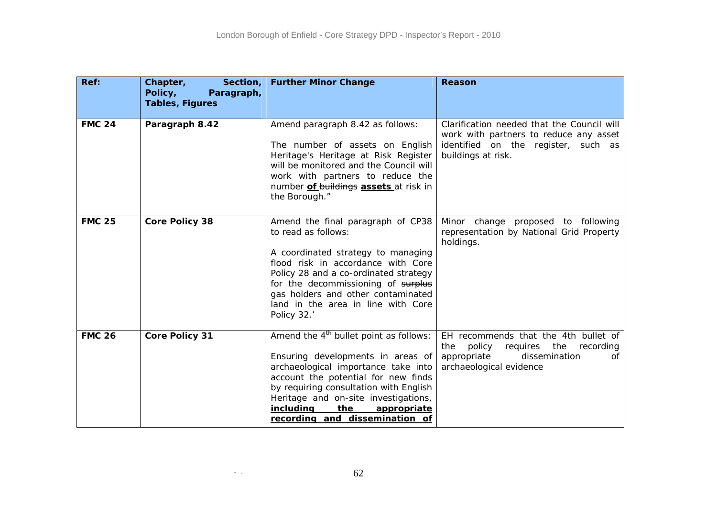| Ref:          | Chapter,<br>Section,<br>Policy,<br>Paragraph,<br><b>Tables, Figures</b> | <b>Further Minor Change</b>                                                                                                                                                                                                                                                                                                         | Reason                                                                                                                                              |
|---------------|-------------------------------------------------------------------------|-------------------------------------------------------------------------------------------------------------------------------------------------------------------------------------------------------------------------------------------------------------------------------------------------------------------------------------|-----------------------------------------------------------------------------------------------------------------------------------------------------|
| <b>FMC 24</b> | Paragraph 8.42                                                          | Amend paragraph 8.42 as follows:<br>The number of assets on English<br>Heritage's Heritage at Risk Register<br>will be monitored and the Council will<br>work with partners to reduce the<br>number of buildings assets at risk in<br>the Borough."                                                                                 | Clarification needed that the Council will<br>work with partners to reduce any asset<br>identified on the register, such as<br>buildings at risk.   |
| <b>FMC 25</b> | <b>Core Policy 38</b>                                                   | Amend the final paragraph of CP38<br>to read as follows:<br>A coordinated strategy to managing<br>flood risk in accordance with Core<br>Policy 28 and a co-ordinated strategy<br>for the decommissioning of surplus<br>gas holders and other contaminated<br>land in the area in line with Core<br>Policy 32.                       | Minor change proposed to following<br>representation by National Grid Property<br>holdings.                                                         |
| <b>FMC 26</b> | <b>Core Policy 31</b>                                                   | Amend the 4 <sup>th</sup> bullet point as follows:<br>Ensuring developments in areas of<br>archaeological importance take into<br>account the potential for new finds<br>by requiring consultation with English<br>Heritage and on-site investigations,<br><u>including</u><br>the<br>appropriate<br>recording and dissemination of | EH recommends that the 4th bullet of<br>requires the<br>policy<br>recording<br>the<br>appropriate<br>dissemination<br>of<br>archaeological evidence |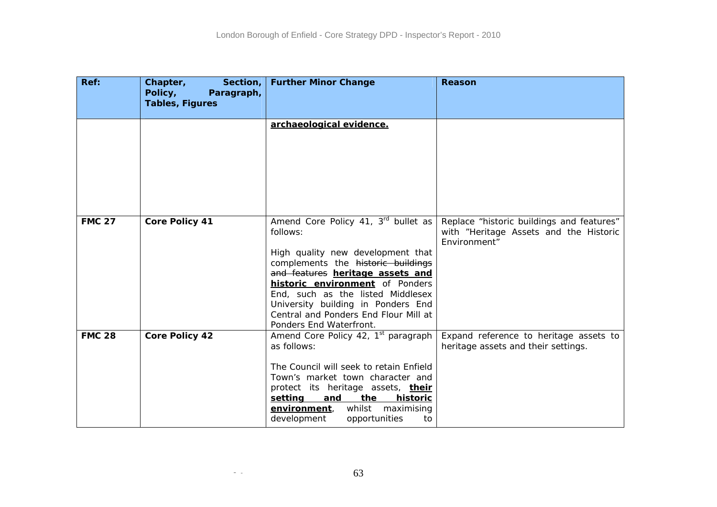| Ref:          | Chapter,<br>Section,<br>Policy,<br>Paragraph,<br><b>Tables, Figures</b> | <b>Further Minor Change</b>                                                                                                                                                                                                                                                                                                                             | Reason                                                                                              |
|---------------|-------------------------------------------------------------------------|---------------------------------------------------------------------------------------------------------------------------------------------------------------------------------------------------------------------------------------------------------------------------------------------------------------------------------------------------------|-----------------------------------------------------------------------------------------------------|
|               |                                                                         | archaeological evidence.                                                                                                                                                                                                                                                                                                                                |                                                                                                     |
| <b>FMC 27</b> | <b>Core Policy 41</b>                                                   | Amend Core Policy 41, 3rd bullet as<br>follows:<br>High quality new development that<br>complements the historic buildings<br>and features heritage assets and<br><b>historic environment</b> of Ponders<br>End, such as the listed Middlesex<br>University building in Ponders End<br>Central and Ponders End Flour Mill at<br>Ponders End Waterfront. | Replace "historic buildings and features"<br>with "Heritage Assets and the Historic<br>Environment" |
| <b>FMC 28</b> | <b>Core Policy 42</b>                                                   | Amend Core Policy 42, 1 <sup>st</sup> paragraph<br>as follows:<br>The Council will seek to retain Enfield<br>Town's market town character and<br>protect its heritage assets, <i>their</i><br>setting<br>the<br>historic<br><u>and</u><br>whilst<br>environment,<br>maximising<br>development<br>opportunities<br>to                                    | Expand reference to heritage assets to<br>heritage assets and their settings.                       |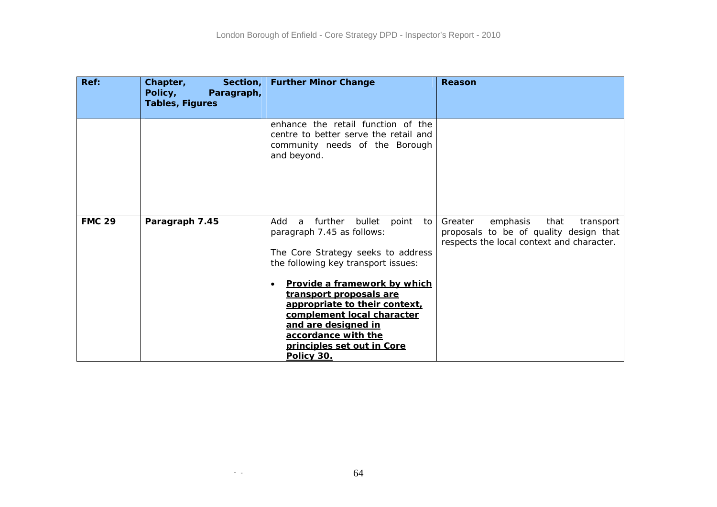| Ref:          | Section,<br>Chapter,<br>Policy,<br>Paragraph,<br><b>Tables, Figures</b> | <b>Further Minor Change</b>                                                                                                                                                                                                                                                                                                                                                 | Reason                                                                                                                          |
|---------------|-------------------------------------------------------------------------|-----------------------------------------------------------------------------------------------------------------------------------------------------------------------------------------------------------------------------------------------------------------------------------------------------------------------------------------------------------------------------|---------------------------------------------------------------------------------------------------------------------------------|
|               |                                                                         | enhance the retail function of the<br>centre to better serve the retail and<br>community needs of the Borough<br>and beyond.                                                                                                                                                                                                                                                |                                                                                                                                 |
| <b>FMC 29</b> | Paragraph 7.45                                                          | further<br>point<br>Add<br>bullet<br>to<br>a<br>paragraph 7.45 as follows:<br>The Core Strategy seeks to address<br>the following key transport issues:<br>Provide a framework by which<br>transport proposals are<br>appropriate to their context,<br>complement local character<br>and are designed in<br>accordance with the<br>principles set out in Core<br>Policy 30. | emphasis<br>that<br>Greater<br>transport<br>proposals to be of quality design that<br>respects the local context and character. |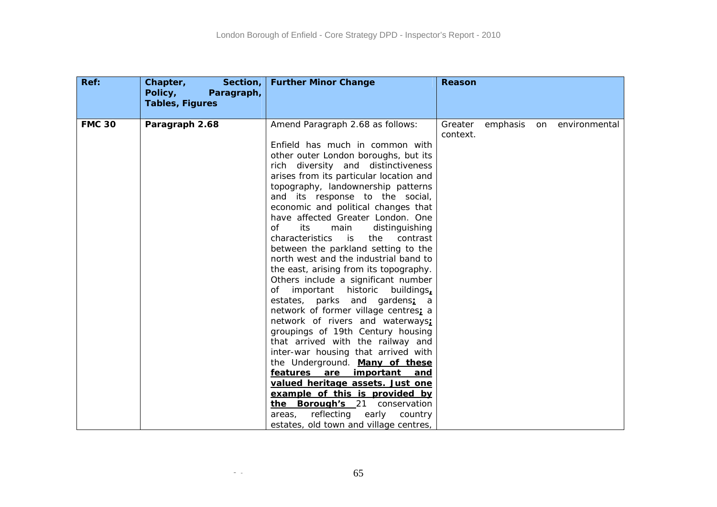| Ref:          | Chapter,<br>Section,<br>Policy,<br>Paragraph,<br><b>Tables, Figures</b> | <b>Further Minor Change</b>                                                                                                                                                                                                                                                                                                                                                                                                                                                                                                                                                                                                                                                                                                                                                                                                                                                                                                                                                                                                                                                                                                                          | <b>Reason</b>                                          |
|---------------|-------------------------------------------------------------------------|------------------------------------------------------------------------------------------------------------------------------------------------------------------------------------------------------------------------------------------------------------------------------------------------------------------------------------------------------------------------------------------------------------------------------------------------------------------------------------------------------------------------------------------------------------------------------------------------------------------------------------------------------------------------------------------------------------------------------------------------------------------------------------------------------------------------------------------------------------------------------------------------------------------------------------------------------------------------------------------------------------------------------------------------------------------------------------------------------------------------------------------------------|--------------------------------------------------------|
| <b>FMC 30</b> | Paragraph 2.68                                                          | Amend Paragraph 2.68 as follows:<br>Enfield has much in common with<br>other outer London boroughs, but its<br>rich diversity and distinctiveness<br>arises from its particular location and<br>topography, landownership patterns<br>and its response to the social,<br>economic and political changes that<br>have affected Greater London. One<br>of<br>its<br>main<br>distinguishing<br>characteristics<br>is<br>the<br>contrast<br>between the parkland setting to the<br>north west and the industrial band to<br>the east, arising from its topography.<br>Others include a significant number<br>important historic<br>of<br>buildings,<br>estates, parks and gardens; a<br>network of former village centres; a<br>network of rivers and waterways;<br>groupings of 19th Century housing<br>that arrived with the railway and<br>inter-war housing that arrived with<br>the Underground. Many of these<br>features are<br>important<br><u>and</u><br>valued heritage assets. Just one<br>example of this is provided by<br>the Borough's 21 conservation<br>reflecting<br>early country<br>areas,<br>estates, old town and village centres, | Greater<br>emphasis<br>environmental<br>on<br>context. |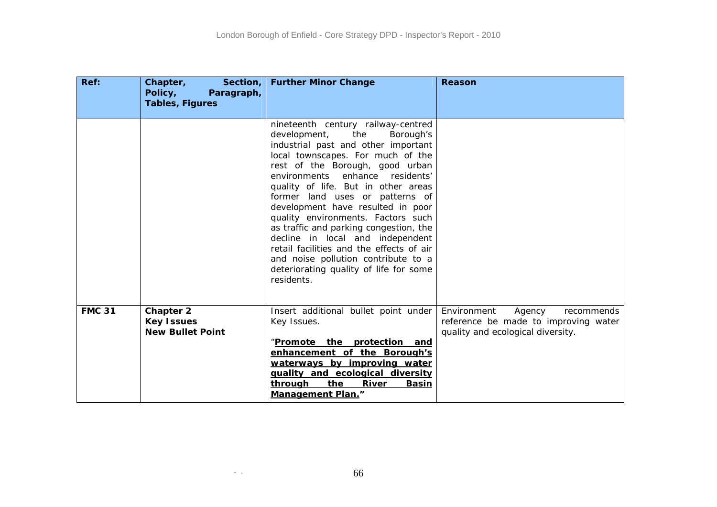| Ref:          | Chapter,<br>Section,<br>Policy,<br>Paragraph,<br><b>Tables, Figures</b> | <b>Further Minor Change</b>                                                                                                                                                                                                                                                                                                                                                                                                                                                                                                                                                                            | Reason                                                                                                           |
|---------------|-------------------------------------------------------------------------|--------------------------------------------------------------------------------------------------------------------------------------------------------------------------------------------------------------------------------------------------------------------------------------------------------------------------------------------------------------------------------------------------------------------------------------------------------------------------------------------------------------------------------------------------------------------------------------------------------|------------------------------------------------------------------------------------------------------------------|
|               |                                                                         | nineteenth century railway-centred<br>development,<br>the<br>Borough's<br>industrial past and other important<br>local townscapes. For much of the<br>rest of the Borough, good urban<br>environments enhance residents'<br>quality of life. But in other areas<br>former land uses or patterns of<br>development have resulted in poor<br>quality environments. Factors such<br>as traffic and parking congestion, the<br>decline in local and independent<br>retail facilities and the effects of air<br>and noise pollution contribute to a<br>deteriorating quality of life for some<br>residents. |                                                                                                                  |
| <b>FMC 31</b> | <b>Chapter 2</b><br><b>Key Issues</b><br><b>New Bullet Point</b>        | Insert additional bullet point under<br>Key Issues.<br>"Promote the protection and<br>enhancement of the Borough's<br>waterways by improving water<br>quality and ecological diversity<br>through<br>the<br>River<br><b>Basin</b><br><b>Management Plan."</b>                                                                                                                                                                                                                                                                                                                                          | Environment<br>recommends<br>Agency<br>reference be made to improving water<br>quality and ecological diversity. |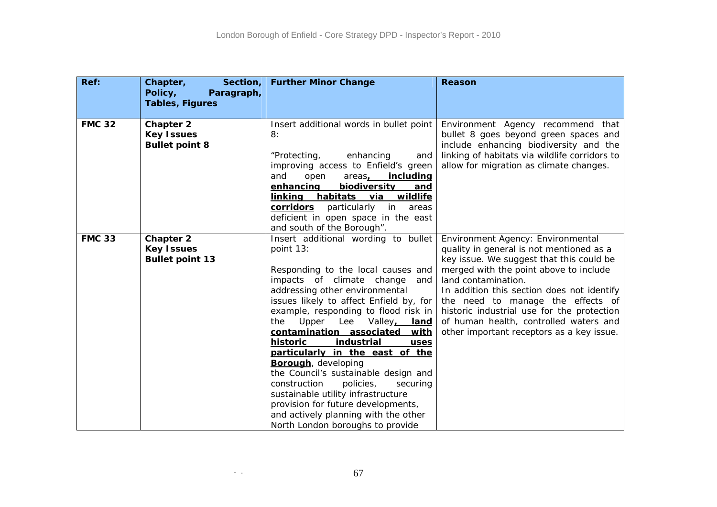| Ref:          | Chapter,<br>Section,<br>Policy,<br>Paragraph,<br><b>Tables, Figures</b> | <b>Further Minor Change</b>                                                                                                                                                                                                                                                                                                                                                                                                                                                                                                                                                                                                                                          | Reason                                                                                                                                                                                                                                                                                                                                                                                                             |
|---------------|-------------------------------------------------------------------------|----------------------------------------------------------------------------------------------------------------------------------------------------------------------------------------------------------------------------------------------------------------------------------------------------------------------------------------------------------------------------------------------------------------------------------------------------------------------------------------------------------------------------------------------------------------------------------------------------------------------------------------------------------------------|--------------------------------------------------------------------------------------------------------------------------------------------------------------------------------------------------------------------------------------------------------------------------------------------------------------------------------------------------------------------------------------------------------------------|
| <b>FMC 32</b> | <b>Chapter 2</b><br><b>Key Issues</b><br><b>Bullet point 8</b>          | Insert additional words in bullet point<br>8:<br>enhancing<br>"Protecting,<br>and<br>improving access to Enfield's green<br>and<br>open<br>areas, including<br>enhancing<br>biodiversity<br>and<br>habitats via wildlife<br><u>linking</u><br>corridors<br>particularly in<br>areas<br>deficient in open space in the east<br>and south of the Borough".                                                                                                                                                                                                                                                                                                             | Environment Agency recommend that<br>bullet 8 goes beyond green spaces and<br>include enhancing biodiversity and the<br>linking of habitats via wildlife corridors to<br>allow for migration as climate changes.                                                                                                                                                                                                   |
| <b>FMC 33</b> | <b>Chapter 2</b><br><b>Key Issues</b><br><b>Bullet point 13</b>         | Insert additional wording to bullet<br>point 13:<br>Responding to the local causes and<br>impacts of climate change<br>and<br>addressing other environmental<br>issues likely to affect Enfield by, for<br>example, responding to flood risk in<br>Upper Lee<br>Valley, land<br>the<br>contamination associated<br>with<br>historic<br>industrial<br>uses<br>particularly in the east of the<br><b>Borough</b> , developing<br>the Council's sustainable design and<br>construction<br>policies,<br>securing<br>sustainable utility infrastructure<br>provision for future developments,<br>and actively planning with the other<br>North London boroughs to provide | Environment Agency: Environmental<br>quality in general is not mentioned as a<br>key issue. We suggest that this could be<br>merged with the point above to include<br>land contamination.<br>In addition this section does not identify<br>the need to manage the effects of<br>historic industrial use for the protection<br>of human health, controlled waters and<br>other important receptors as a key issue. |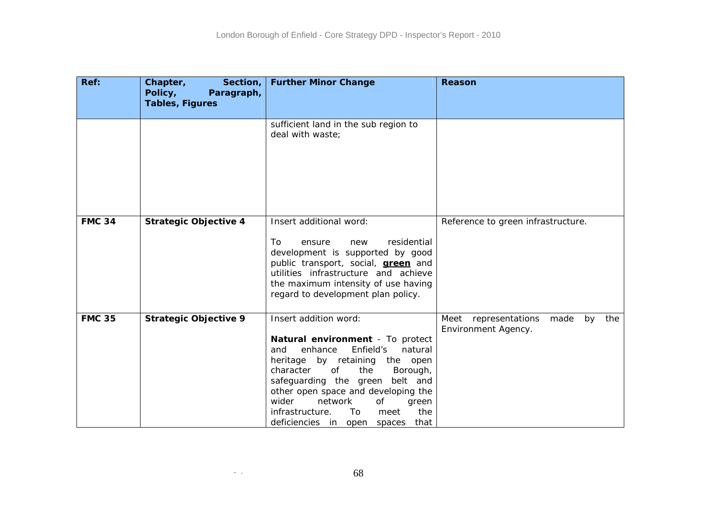| Ref:          | Chapter,<br>Section,<br>Policy,<br>Paragraph,<br><b>Tables, Figures</b> | <b>Further Minor Change</b>                                                                                                                                                                                                                                                                                                                                                   | Reason                                                     |
|---------------|-------------------------------------------------------------------------|-------------------------------------------------------------------------------------------------------------------------------------------------------------------------------------------------------------------------------------------------------------------------------------------------------------------------------------------------------------------------------|------------------------------------------------------------|
|               |                                                                         | sufficient land in the sub region to<br>deal with waste;                                                                                                                                                                                                                                                                                                                      |                                                            |
| <b>FMC 34</b> | <b>Strategic Objective 4</b>                                            | Insert additional word:<br>To<br>residential<br>ensure<br>new<br>development is supported by good<br>public transport, social, <b>green</b> and<br>utilities infrastructure and achieve<br>the maximum intensity of use having<br>regard to development plan policy.                                                                                                          | Reference to green infrastructure.                         |
| <b>FMC 35</b> | <b>Strategic Objective 9</b>                                            | Insert addition word:<br>Natural environment - To protect<br>enhance<br>Enfield's<br>natural<br>and<br>heritage by retaining<br>the open<br>of<br>the<br>character<br>Borough,<br>safeguarding the green<br>belt and<br>other open space and developing the<br>network<br>wider<br>Οf<br>green<br>infrastructure.<br>To<br>the<br>meet<br>deficiencies in open spaces<br>that | Meet representations made<br>by the<br>Environment Agency. |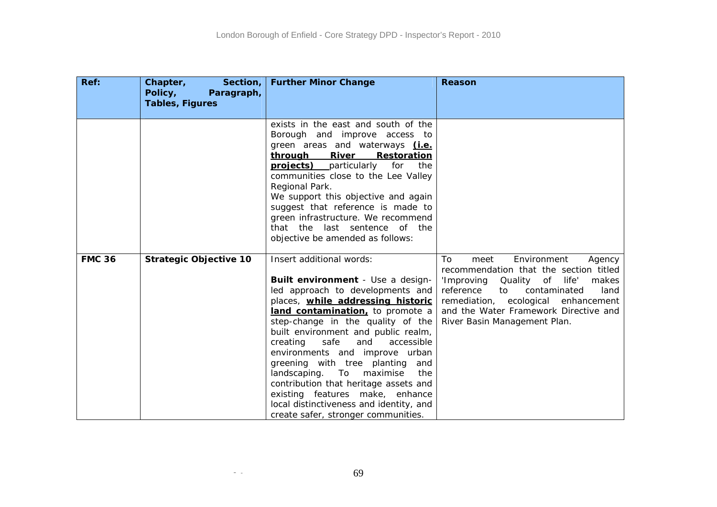| Ref:          | Chapter,<br>Section,<br>Policy,<br>Paragraph,<br><b>Tables, Figures</b> | <b>Further Minor Change</b>                                                                                                                                                                                                                                                                                                                                                                                                                                                                                                                                              | Reason                                                                                                                                                                                                                                                                                 |
|---------------|-------------------------------------------------------------------------|--------------------------------------------------------------------------------------------------------------------------------------------------------------------------------------------------------------------------------------------------------------------------------------------------------------------------------------------------------------------------------------------------------------------------------------------------------------------------------------------------------------------------------------------------------------------------|----------------------------------------------------------------------------------------------------------------------------------------------------------------------------------------------------------------------------------------------------------------------------------------|
|               |                                                                         | exists in the east and south of the<br>Borough and improve access to<br>green areas and waterways <i>(i.e.</i><br>through River<br>Restoration<br><b>projects</b> ) particularly<br>for<br>the<br>communities close to the Lee Valley<br>Regional Park.<br>We support this objective and again<br>suggest that reference is made to<br>green infrastructure. We recommend<br>that the last sentence of the<br>objective be amended as follows:                                                                                                                           |                                                                                                                                                                                                                                                                                        |
| <b>FMC 36</b> | <b>Strategic Objective 10</b>                                           | Insert additional words:<br>Built environment - Use a design-<br>led approach to developments and<br>places, while addressing historic<br>land contamination, to promote a<br>step-change in the quality of the<br>built environment and public realm,<br>safe<br>creating<br>and<br>accessible<br>environments and improve urban<br>greening with tree planting<br>and<br>landscaping. To maximise<br>the<br>contribution that heritage assets and<br>existing features make, enhance<br>local distinctiveness and identity, and<br>create safer, stronger communities. | Environment<br>To<br>meet<br>Agency<br>recommendation that the section titled<br>'Improving<br>of life'<br>makes<br>Quality<br>reference<br>contaminated<br>to<br>land<br>remediation, ecological enhancement<br>and the Water Framework Directive and<br>River Basin Management Plan. |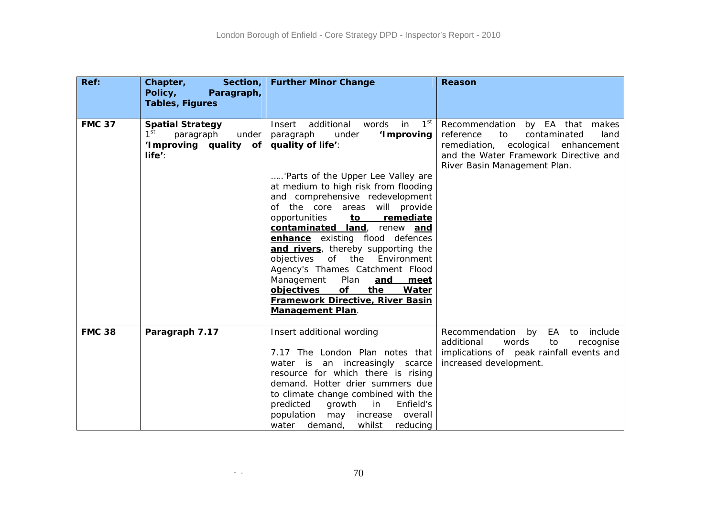| Ref:          | Chapter,<br>Section,<br>Policy,<br>Paragraph,<br><b>Tables, Figures</b>                                | <b>Further Minor Change</b>                                                                                                                                                                                                                                                                                                                                                                                                                                                                                                                                                                                                                          | Reason                                                                                                                                                                                           |
|---------------|--------------------------------------------------------------------------------------------------------|------------------------------------------------------------------------------------------------------------------------------------------------------------------------------------------------------------------------------------------------------------------------------------------------------------------------------------------------------------------------------------------------------------------------------------------------------------------------------------------------------------------------------------------------------------------------------------------------------------------------------------------------------|--------------------------------------------------------------------------------------------------------------------------------------------------------------------------------------------------|
| <b>FMC 37</b> | <b>Spatial Strategy</b><br>1 <sup>st</sup><br>paragraph<br>under<br>'Improving quality of<br>$life'$ : | $1^{\rm st}$<br>Insert<br>additional<br>words<br>in<br>'I mproving<br>paragraph<br>under<br>quality of life':<br>'Parts of the Upper Lee Valley are<br>at medium to high risk from flooding<br>and comprehensive redevelopment<br>of the core areas will provide<br>opportunities<br><u>to</u><br>remediate<br>contaminated land, renew and<br>enhance existing flood defences<br>and rivers, thereby supporting the<br>objectives<br>of<br>the Environment<br>Agency's Thames Catchment Flood<br>Plan<br>Management<br>and<br><u>meet</u><br>objectives<br>of<br>the<br>Water<br><b>Framework Directive, River Basin</b><br><b>Management Plan.</b> | Recommendation by EA that makes<br>reference<br>contaminated<br>land<br>to<br>remediation,<br>ecological<br>enhancement<br>and the Water Framework Directive and<br>River Basin Management Plan. |
| <b>FMC 38</b> | Paragraph 7.17                                                                                         | Insert additional wording<br>7.17 The London Plan notes that<br>water is an increasingly scarce<br>resource for which there is rising<br>demand. Hotter drier summers due<br>to climate change combined with the<br>predicted<br>growth<br>Enfield's<br>in<br>population<br>may increase<br>overall<br>whilst<br>water<br>demand,<br>reducing                                                                                                                                                                                                                                                                                                        | include<br>Recommendation<br>by<br>EA<br>to<br>additional<br>words<br>to<br>recognise<br>implications of peak rainfall events and<br>increased development.                                      |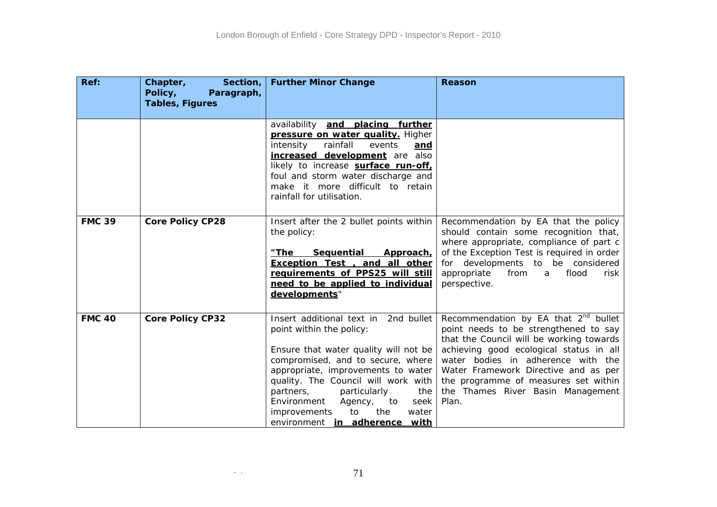| Ref:          | Chapter,<br>Section,<br>Policy,<br>Paragraph,<br><b>Tables, Figures</b> | <b>Further Minor Change</b>                                                                                                                                                                                                                                                                                                                                                       | Reason                                                                                                                                                                                                                                                                                                                                               |
|---------------|-------------------------------------------------------------------------|-----------------------------------------------------------------------------------------------------------------------------------------------------------------------------------------------------------------------------------------------------------------------------------------------------------------------------------------------------------------------------------|------------------------------------------------------------------------------------------------------------------------------------------------------------------------------------------------------------------------------------------------------------------------------------------------------------------------------------------------------|
|               |                                                                         | availability and placing further<br>pressure on water quality. Higher<br>intensity<br>rainfall<br>events<br>and<br>increased development are also<br>likely to increase surface run-off,<br>foul and storm water discharge and<br>make it more difficult to retain<br>rainfall for utilisation.                                                                                   |                                                                                                                                                                                                                                                                                                                                                      |
| <b>FMC 39</b> | <b>Core Policy CP28</b>                                                 | Insert after the 2 bullet points within<br>the policy:<br>"The<br>Sequential<br>Approach,<br>Exception Test, and all other<br>requirements of PPS25 will still<br>need to be applied to individual<br>developments"                                                                                                                                                               | Recommendation by EA that the policy<br>should contain some recognition that,<br>where appropriate, compliance of part c<br>of the Exception Test is required in order<br>for developments to be considered<br>appropriate<br>from<br>flood<br>risk<br>a<br>perspective.                                                                             |
| <b>FMC 40</b> | <b>Core Policy CP32</b>                                                 | Insert additional text in<br>2nd bullet<br>point within the policy:<br>Ensure that water quality will not be<br>compromised, and to secure, where<br>appropriate, improvements to water<br>quality. The Council will work with<br>partners,<br>particularly<br>the<br>Environment<br>Agency,<br>to<br>seek<br>to<br>the<br>water<br>improvements<br>environment in adherence with | Recommendation by EA that 2 <sup>nd</sup> bullet<br>point needs to be strengthened to say<br>that the Council will be working towards<br>achieving good ecological status in all<br>water bodies in adherence with the<br>Water Framework Directive and as per<br>the programme of measures set within<br>the Thames River Basin Management<br>Plan. |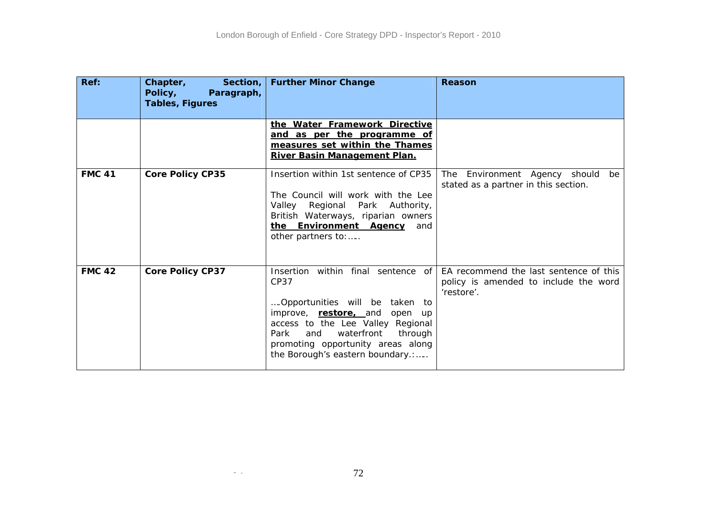| Ref:          | Chapter,<br>Section, $\vert$<br>Policy,<br>Paragraph,<br><b>Tables, Figures</b> | <b>Further Minor Change</b>                                                                                                                                                                                                                                               | Reason                                                                                        |
|---------------|---------------------------------------------------------------------------------|---------------------------------------------------------------------------------------------------------------------------------------------------------------------------------------------------------------------------------------------------------------------------|-----------------------------------------------------------------------------------------------|
|               |                                                                                 | the Water Framework Directive<br>and as per the programme of<br>measures set within the Thames<br>River Basin Management Plan.                                                                                                                                            |                                                                                               |
| <b>FMC 41</b> | <b>Core Policy CP35</b>                                                         | Insertion within 1st sentence of CP35<br>The Council will work with the Lee<br>Valley Regional<br>Park Authority,<br>British Waterways, riparian owners<br>the Environment Agency<br>and<br>other partners to:                                                            | should<br>Environment Agency<br>be<br>The<br>stated as a partner in this section.             |
| <b>FMC 42</b> | <b>Core Policy CP37</b>                                                         | Insertion<br>within final sentence of<br>CP37<br>Opportunities will be taken to<br>improve, restore, and<br>open up<br>access to the Lee Valley Regional<br>waterfront<br>Park<br>and<br>through<br>promoting opportunity areas along<br>the Borough's eastern boundary.: | EA recommend the last sentence of this<br>policy is amended to include the word<br>'restore'. |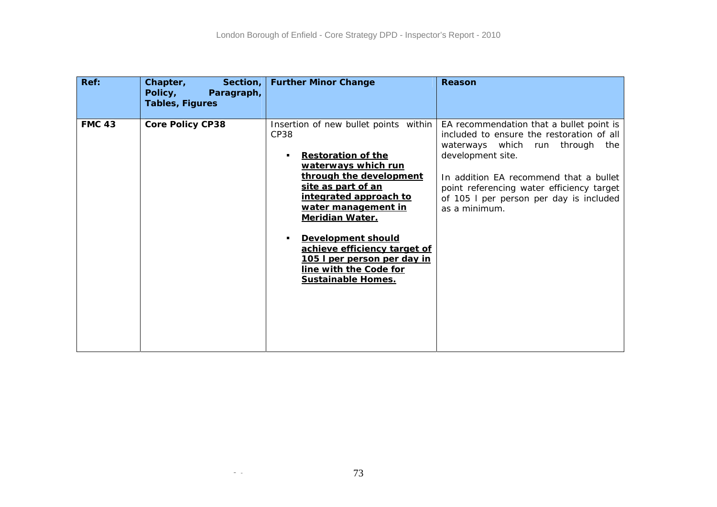| Ref: |               | Chapter,<br>Section, $ $<br>Policy,<br>Paragraph,<br><b>Tables, Figures</b> | <b>Further Minor Change</b>                                                                                                                                                                                                                                                                                                                                                      | Reason                                                                                                                                                                                                                                                                                              |
|------|---------------|-----------------------------------------------------------------------------|----------------------------------------------------------------------------------------------------------------------------------------------------------------------------------------------------------------------------------------------------------------------------------------------------------------------------------------------------------------------------------|-----------------------------------------------------------------------------------------------------------------------------------------------------------------------------------------------------------------------------------------------------------------------------------------------------|
|      | <b>FMC 43</b> | <b>Core Policy CP38</b>                                                     | Insertion of new bullet points within<br>CP38<br><b>Restoration of the</b><br>waterways which run<br>through the development<br>site as part of an<br>integrated approach to<br>water management in<br><b>Meridian Water.</b><br>Development should<br>achieve efficiency target of<br><u>105 I per person per day in</u><br>line with the Code for<br><b>Sustainable Homes.</b> | EA recommendation that a bullet point is<br>included to ensure the restoration of all<br>waterways which run through<br>the<br>development site.<br>In addition EA recommend that a bullet<br>point referencing water efficiency target<br>of 105 I per person per day is included<br>as a minimum. |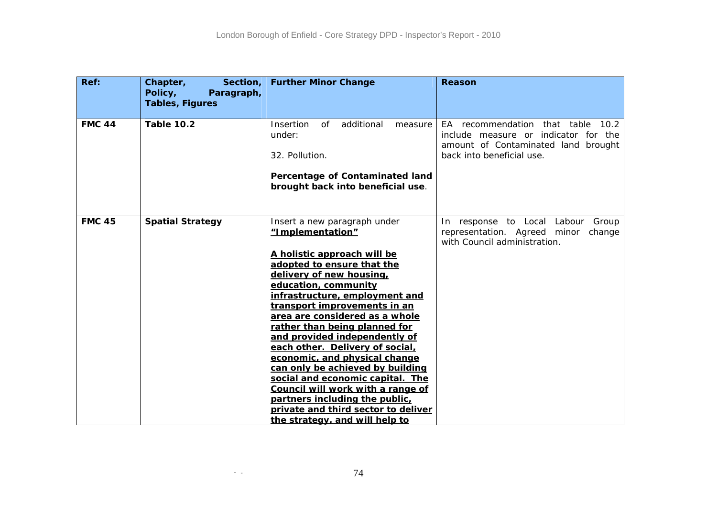| Ref:          | Section,<br>Chapter,<br>Policy,<br>Paragraph,<br><b>Tables, Figures</b> | <b>Further Minor Change</b>                                                                                                                                                                                                                                                                                                                                                                                                                                                                                                                                                                                                         | Reason                                                                                                                                           |
|---------------|-------------------------------------------------------------------------|-------------------------------------------------------------------------------------------------------------------------------------------------------------------------------------------------------------------------------------------------------------------------------------------------------------------------------------------------------------------------------------------------------------------------------------------------------------------------------------------------------------------------------------------------------------------------------------------------------------------------------------|--------------------------------------------------------------------------------------------------------------------------------------------------|
| <b>FMC 44</b> | <b>Table 10.2</b>                                                       | Insertion<br>additional<br>of<br>measure<br>under:<br>32. Pollution.<br>Percentage of Contaminated land<br>brought back into beneficial use.                                                                                                                                                                                                                                                                                                                                                                                                                                                                                        | EA recommendation that table<br>10.2<br>include measure or indicator for the<br>amount of Contaminated land brought<br>back into beneficial use. |
| <b>FMC 45</b> | <b>Spatial Strategy</b>                                                 | Insert a new paragraph under<br>"Implementation"<br>A holistic approach will be<br>adopted to ensure that the<br>delivery of new housing,<br>education, community<br>infrastructure, employment and<br>transport improvements in an<br>area are considered as a whole<br>rather than being planned for<br>and provided independently of<br>each other. Delivery of social,<br>economic, and physical change<br>can only be achieved by building<br>social and economic capital. The<br>Council will work with a range of<br>partners including the public,<br>private and third sector to deliver<br>the strategy, and will help to | In response to Local Labour Group<br>representation. Agreed minor<br>change<br>with Council administration.                                      |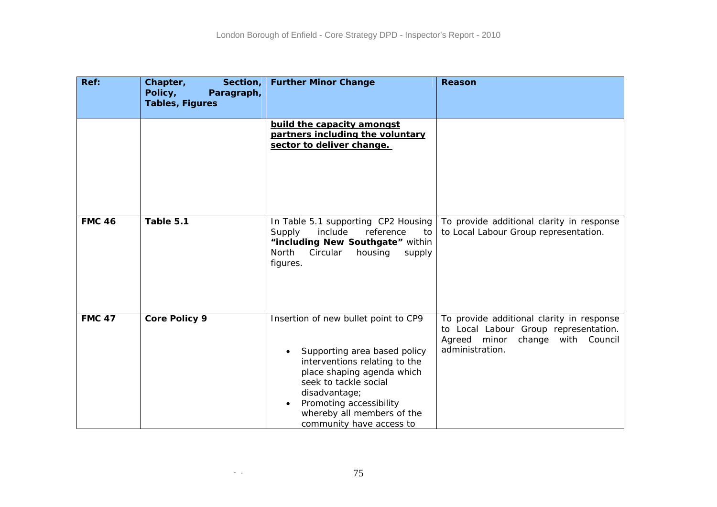| Ref:          | Chapter,<br>Section,<br>Policy,<br>Paragraph,<br><b>Tables, Figures</b> | <b>Further Minor Change</b>                                                                                                                                                                                                                                                     | Reason                                                                                                                                       |
|---------------|-------------------------------------------------------------------------|---------------------------------------------------------------------------------------------------------------------------------------------------------------------------------------------------------------------------------------------------------------------------------|----------------------------------------------------------------------------------------------------------------------------------------------|
|               |                                                                         | build the capacity amongst<br>partners including the voluntary<br>sector to deliver change.                                                                                                                                                                                     |                                                                                                                                              |
| <b>FMC 46</b> | Table 5.1                                                               | In Table 5.1 supporting CP2 Housing<br>Supply<br>include<br>reference<br>to<br>"including New Southgate" within<br>North<br>Circular<br>housing<br>supply<br>figures.                                                                                                           | To provide additional clarity in response<br>to Local Labour Group representation.                                                           |
| <b>FMC 47</b> | <b>Core Policy 9</b>                                                    | Insertion of new bullet point to CP9<br>Supporting area based policy<br>interventions relating to the<br>place shaping agenda which<br>seek to tackle social<br>disadvantage;<br>Promoting accessibility<br>$\bullet$<br>whereby all members of the<br>community have access to | To provide additional clarity in response<br>to Local Labour Group representation.<br>Agreed minor<br>change with Council<br>administration. |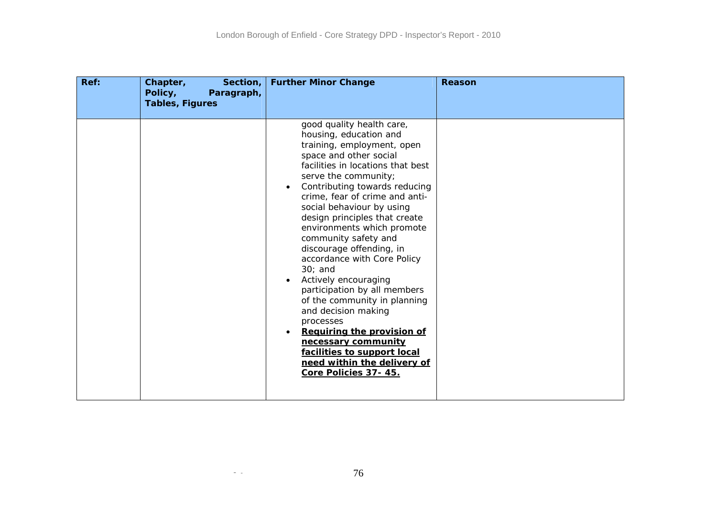| Ref: | Chapter,<br>Section,<br>Policy,<br>Paragraph,<br><b>Tables, Figures</b> | <b>Further Minor Change</b>                                                                                                                                                                                                                                                                                                                                                                                                                                                                                                                                                                                                                                                                                                 | <b>Reason</b> |
|------|-------------------------------------------------------------------------|-----------------------------------------------------------------------------------------------------------------------------------------------------------------------------------------------------------------------------------------------------------------------------------------------------------------------------------------------------------------------------------------------------------------------------------------------------------------------------------------------------------------------------------------------------------------------------------------------------------------------------------------------------------------------------------------------------------------------------|---------------|
|      |                                                                         | good quality health care,<br>housing, education and<br>training, employment, open<br>space and other social<br>facilities in locations that best<br>serve the community;<br>Contributing towards reducing<br>$\bullet$<br>crime, fear of crime and anti-<br>social behaviour by using<br>design principles that create<br>environments which promote<br>community safety and<br>discourage offending, in<br>accordance with Core Policy<br>$30;$ and<br>Actively encouraging<br>participation by all members<br>of the community in planning<br>and decision making<br>processes<br>Requiring the provision of<br>necessary community<br>facilities to support local<br>need within the delivery of<br>Core Policies 37-45. |               |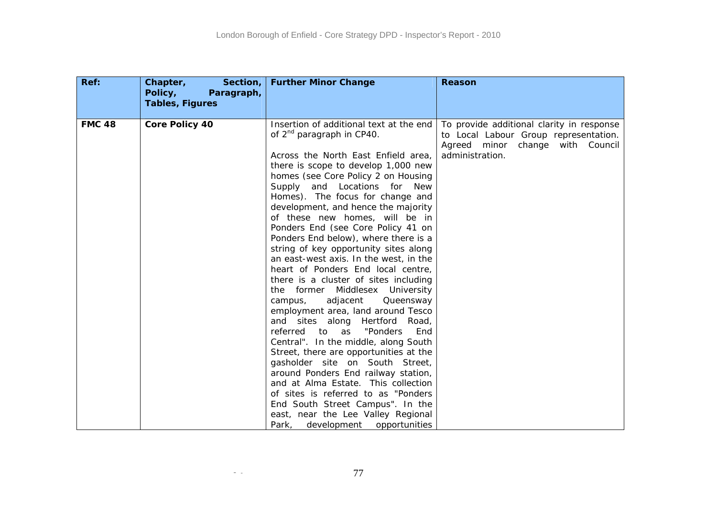| Ref:          | Chapter,<br>Section,<br>Policy,<br>Paragraph,<br><b>Tables, Figures</b> | <b>Further Minor Change</b>                                                                                                                                                                                                                                                                                                                                                                                                                                                                                                                                                                                                                                                                                                                                                                                                                                                                                                                                                                                                                                                                                                                     | Reason                                                                                                                                          |
|---------------|-------------------------------------------------------------------------|-------------------------------------------------------------------------------------------------------------------------------------------------------------------------------------------------------------------------------------------------------------------------------------------------------------------------------------------------------------------------------------------------------------------------------------------------------------------------------------------------------------------------------------------------------------------------------------------------------------------------------------------------------------------------------------------------------------------------------------------------------------------------------------------------------------------------------------------------------------------------------------------------------------------------------------------------------------------------------------------------------------------------------------------------------------------------------------------------------------------------------------------------|-------------------------------------------------------------------------------------------------------------------------------------------------|
| <b>FMC 48</b> | <b>Core Policy 40</b>                                                   | Insertion of additional text at the end<br>of $2^{nd}$ paragraph in CP40.<br>Across the North East Enfield area,<br>there is scope to develop 1,000 new<br>homes (see Core Policy 2 on Housing<br>and Locations for New<br>Supply<br>Homes). The focus for change and<br>development, and hence the majority<br>of these new homes, will be in<br>Ponders End (see Core Policy 41 on<br>Ponders End below), where there is a<br>string of key opportunity sites along<br>an east-west axis. In the west, in the<br>heart of Ponders End local centre,<br>there is a cluster of sites including<br>the former Middlesex University<br>adjacent<br>campus,<br>Queensway<br>employment area, land around Tesco<br>and sites along Hertford Road,<br>referred<br>"Ponders<br>to as<br>End<br>Central". In the middle, along South<br>Street, there are opportunities at the<br>gasholder site on South Street,<br>around Ponders End railway station,<br>and at Alma Estate. This collection<br>of sites is referred to as "Ponders<br>End South Street Campus". In the<br>east, near the Lee Valley Regional<br>Park, development<br>opportunities | To provide additional clarity in response<br>to Local Labour Group representation.<br>Agreed<br>minor<br>change with Council<br>administration. |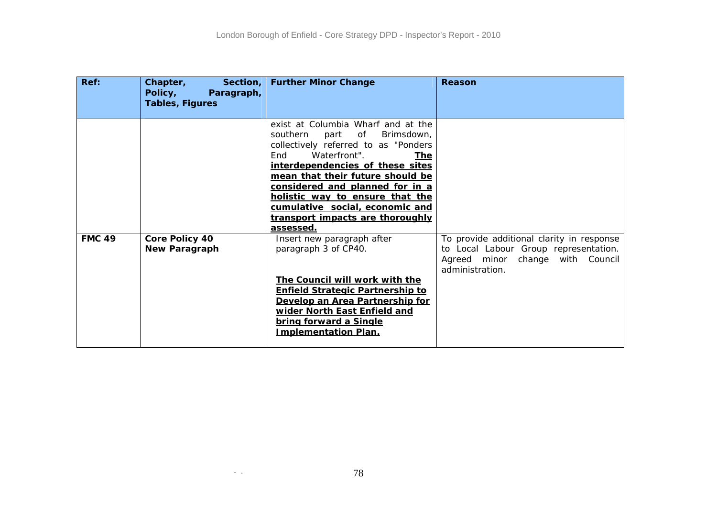| Ref:          | Chapter,<br>Policy,<br>Paragraph,<br><b>Tables, Figures</b> | Section,   Further Minor Change                                                                                                                                                                                                                                                                                                                                                    | <b>Reason</b>                                                                                                                             |
|---------------|-------------------------------------------------------------|------------------------------------------------------------------------------------------------------------------------------------------------------------------------------------------------------------------------------------------------------------------------------------------------------------------------------------------------------------------------------------|-------------------------------------------------------------------------------------------------------------------------------------------|
|               |                                                             | exist at Columbia Wharf and at the<br>southern<br>part of<br>Brimsdown,<br>collectively referred to as "Ponders"<br>Waterfront".<br>End<br>The l<br>interdependencies of these sites<br>mean that their future should be<br>considered and planned for in a<br>holistic way to ensure that the<br>cumulative social, economic and<br>transport impacts are thoroughly<br>assessed. |                                                                                                                                           |
| <b>FMC 49</b> | <b>Core Policy 40</b><br><b>New Paragraph</b>               | Insert new paragraph after<br>paragraph 3 of CP40.<br>The Council will work with the<br><b>Enfield Strategic Partnership to</b><br>Develop an Area Partnership for<br>wider North East Enfield and<br>bring forward a Single<br><b>Implementation Plan.</b>                                                                                                                        | To provide additional clarity in response<br>to Local Labour Group representation.<br>Agreed minor change with Council<br>administration. |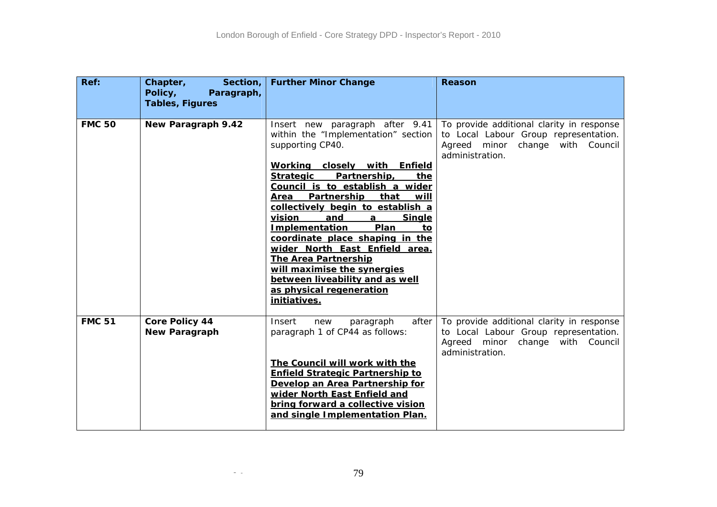| Ref:          | Chapter,<br>Section,<br>Policy,<br>Paragraph,<br><b>Tables, Figures</b> | <b>Further Minor Change</b>                                                                                                                                                                                                                                                                                                                                                                                                                                                                                                                                                              | <b>Reason</b>                                                                                                                                |
|---------------|-------------------------------------------------------------------------|------------------------------------------------------------------------------------------------------------------------------------------------------------------------------------------------------------------------------------------------------------------------------------------------------------------------------------------------------------------------------------------------------------------------------------------------------------------------------------------------------------------------------------------------------------------------------------------|----------------------------------------------------------------------------------------------------------------------------------------------|
| <b>FMC 50</b> | New Paragraph 9.42                                                      | Insert new paragraph after 9.41<br>within the "Implementation" section<br>supporting CP40.<br>Working closely with Enfield<br>Partnership,<br><b>Strategic</b><br>the<br>Council is to establish a wider<br>Partnership that<br>Area<br><u>will</u><br>collectively begin to establish a<br>vision<br>and<br><b>Single</b><br>a<br><b>Implementation</b><br>Plan<br>to<br>coordinate place shaping in the<br>wider North East Enfield area.<br><b>The Area Partnership</b><br>will maximise the synergies<br>between liveability and as well<br>as physical regeneration<br>initiatives. | To provide additional clarity in response<br>to Local Labour Group representation.<br>Agreed<br>minor change with Council<br>administration. |
| <b>FMC 51</b> | <b>Core Policy 44</b><br><b>New Paragraph</b>                           | Insert<br>after<br>new<br>paragraph<br>paragraph 1 of CP44 as follows:<br>The Council will work with the<br><b>Enfield Strategic Partnership to</b><br>Develop an Area Partnership for<br>wider North East Enfield and<br>bring forward a collective vision<br>and single Implementation Plan.                                                                                                                                                                                                                                                                                           | To provide additional clarity in response<br>to Local Labour Group representation.<br>Agreed minor change with Council<br>administration.    |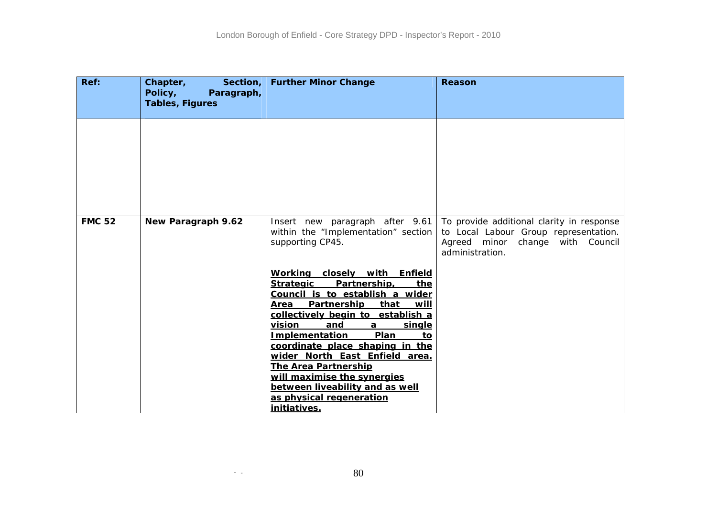| Ref:          | Section, $ $<br>Chapter,<br>Policy,<br>Paragraph,<br><b>Tables, Figures</b> | <b>Further Minor Change</b>                                                                                                                                                                                                                                                                                                                                                                                                                                                                    | Reason                                                                                                                                       |
|---------------|-----------------------------------------------------------------------------|------------------------------------------------------------------------------------------------------------------------------------------------------------------------------------------------------------------------------------------------------------------------------------------------------------------------------------------------------------------------------------------------------------------------------------------------------------------------------------------------|----------------------------------------------------------------------------------------------------------------------------------------------|
|               |                                                                             |                                                                                                                                                                                                                                                                                                                                                                                                                                                                                                |                                                                                                                                              |
|               |                                                                             |                                                                                                                                                                                                                                                                                                                                                                                                                                                                                                |                                                                                                                                              |
| <b>FMC 52</b> | New Paragraph 9.62                                                          | Insert new paragraph after 9.61<br>within the "Implementation" section<br>supporting CP45.                                                                                                                                                                                                                                                                                                                                                                                                     | To provide additional clarity in response<br>to Local Labour Group representation.<br>change with Council<br>Agreed minor<br>administration. |
|               |                                                                             | Working closely with Enfield<br>Partnership,<br><b>Strategic</b><br>the<br>Council is to establish a wider<br>Partnership that<br>Area<br>will<br>collectively begin to establish a<br>vision<br>and<br>single<br>$\mathbf{a}$<br><b>Plan</b><br><b>Implementation</b><br>to<br>coordinate place shaping in the<br>wider North East Enfield area.<br><b>The Area Partnership</b><br>will maximise the synergies<br>between liveability and as well<br>as physical regeneration<br>initiatives. |                                                                                                                                              |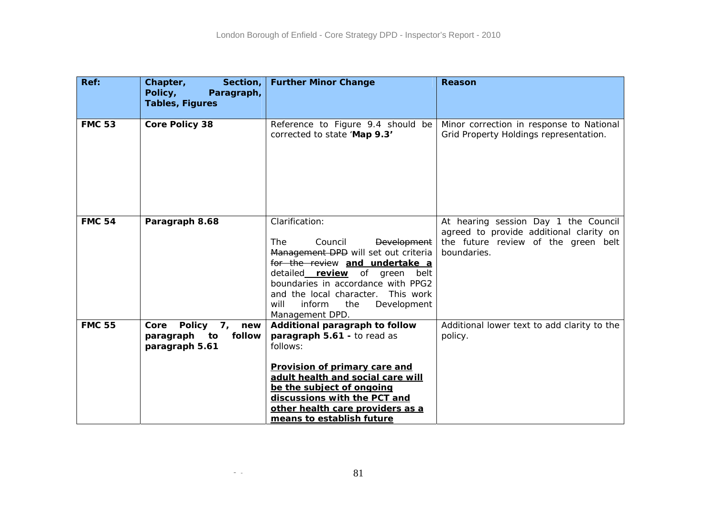| Ref:          | Chapter,<br>Section,<br>Policy,<br>Paragraph,<br><b>Tables, Figures</b> | <b>Further Minor Change</b>                                                                                                                                                                                                                                                                                    | Reason                                                                                                                                |
|---------------|-------------------------------------------------------------------------|----------------------------------------------------------------------------------------------------------------------------------------------------------------------------------------------------------------------------------------------------------------------------------------------------------------|---------------------------------------------------------------------------------------------------------------------------------------|
| <b>FMC 53</b> | <b>Core Policy 38</b>                                                   | Reference to Figure 9.4 should be<br>corrected to state 'Map 9.3'                                                                                                                                                                                                                                              | Minor correction in response to National<br>Grid Property Holdings representation.                                                    |
| <b>FMC 54</b> | Paragraph 8.68                                                          | Clarification:<br>The<br>Council<br><b>Development</b><br>Management DPD will set out criteria<br>for the review and undertake a<br>detailed_review of green<br>belt<br>boundaries in accordance with PPG2<br>This work<br>and the local character.<br>Development<br>inform<br>the<br>will<br>Management DPD. | At hearing session Day 1 the Council<br>agreed to provide additional clarity on<br>the future review of the green belt<br>boundaries. |
| <b>FMC 55</b> | Core Policy 7,<br>new<br>follow<br>paragraph<br>to<br>paragraph 5.61    | Additional paragraph to follow<br>paragraph 5.61 - to read as<br>follows:<br>Provision of primary care and<br>adult health and social care will<br>be the subject of ongoing<br>discussions with the PCT and<br>other health care providers as a<br>means to establish future                                  | Additional lower text to add clarity to the<br>policy.                                                                                |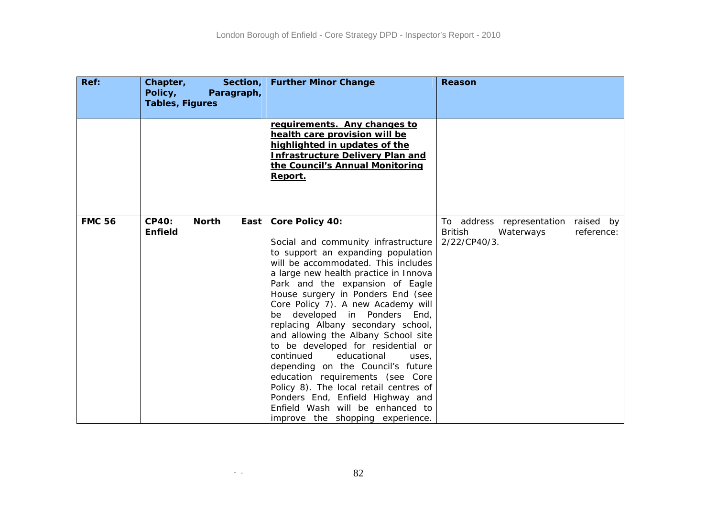| Ref:          | Chapter,<br>Policy,<br><b>Tables, Figures</b> |              | Section,<br>Paragraph, | <b>Further Minor Change</b>                                                                                                                                                                                                                                                                                                                                                                                                                                                                                                                                                                                                                                                                                                     | Reason                                                                                              |
|---------------|-----------------------------------------------|--------------|------------------------|---------------------------------------------------------------------------------------------------------------------------------------------------------------------------------------------------------------------------------------------------------------------------------------------------------------------------------------------------------------------------------------------------------------------------------------------------------------------------------------------------------------------------------------------------------------------------------------------------------------------------------------------------------------------------------------------------------------------------------|-----------------------------------------------------------------------------------------------------|
|               |                                               |              |                        | requirements. Any changes to<br>health care provision will be<br>highlighted in updates of the<br><b>Infrastructure Delivery Plan and</b><br>the Council's Annual Monitoring<br>Report.                                                                                                                                                                                                                                                                                                                                                                                                                                                                                                                                         |                                                                                                     |
| <b>FMC 56</b> | <b>CP40:</b><br><b>Enfield</b>                | <b>North</b> | East                   | <b>Core Policy 40:</b><br>Social and community infrastructure<br>to support an expanding population<br>will be accommodated. This includes<br>a large new health practice in Innova<br>Park and the expansion of Eagle<br>House surgery in Ponders End (see<br>Core Policy 7). A new Academy will<br>developed in Ponders<br>End,<br>be.<br>replacing Albany secondary school,<br>and allowing the Albany School site<br>to be developed for residential or<br>continued<br>educational<br>uses.<br>depending on the Council's future<br>education requirements (see Core<br>Policy 8). The local retail centres of<br>Ponders End, Enfield Highway and<br>Enfield Wash will be enhanced to<br>improve the shopping experience. | raised by<br>To address representation<br><b>British</b><br>reference:<br>Waterways<br>2/22/CP40/3. |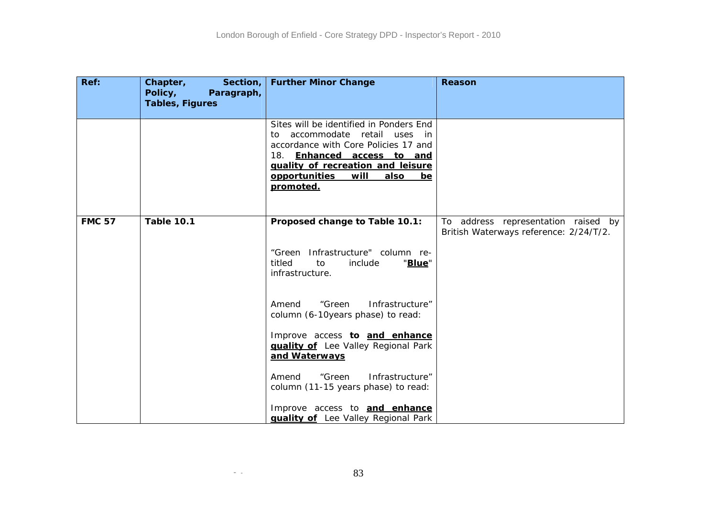| Ref:          | Chapter,<br>Section,<br>Policy,<br>Paragraph,<br><b>Tables, Figures</b> | <b>Further Minor Change</b>                                                                                                                                                                                                                                                                                                         | Reason                                                                        |
|---------------|-------------------------------------------------------------------------|-------------------------------------------------------------------------------------------------------------------------------------------------------------------------------------------------------------------------------------------------------------------------------------------------------------------------------------|-------------------------------------------------------------------------------|
|               |                                                                         | Sites will be identified in Ponders End<br>accommodate retail uses in<br>to⊹<br>accordance with Core Policies 17 and<br>18. Enhanced access to and<br>quality of recreation and leisure<br>opportunities will<br>also<br>be<br>promoted.                                                                                            |                                                                               |
| <b>FMC 57</b> | <b>Table 10.1</b>                                                       | Proposed change to Table 10.1:<br>"Green Infrastructure" column re-<br>titled<br>"Blue"<br>to<br>include<br>infrastructure.                                                                                                                                                                                                         | To address representation raised by<br>British Waterways reference: 2/24/T/2. |
|               |                                                                         | "Green<br>Infrastructure"<br>Amend<br>column (6-10years phase) to read:<br>Improve access to and enhance<br><b>quality of</b> Lee Valley Regional Park<br>and Waterways<br>Infrastructure"<br>Amend<br>"Green<br>column (11-15 years phase) to read:<br>Improve access to and enhance<br><b>guality of</b> Lee Valley Regional Park |                                                                               |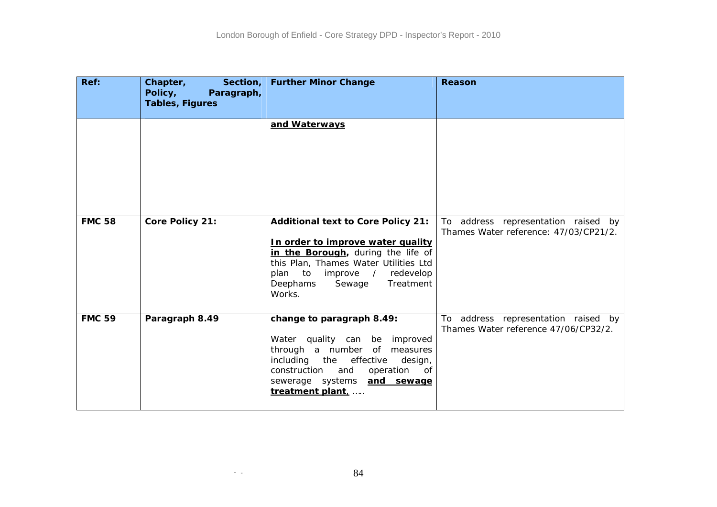| Ref:          | Chapter,<br>Section,<br>Policy,<br>Paragraph,<br><b>Tables, Figures</b> | <b>Further Minor Change</b>                                                                                                                                                                                                                        | Reason                                                                       |
|---------------|-------------------------------------------------------------------------|----------------------------------------------------------------------------------------------------------------------------------------------------------------------------------------------------------------------------------------------------|------------------------------------------------------------------------------|
|               |                                                                         | and Waterways                                                                                                                                                                                                                                      |                                                                              |
| <b>FMC 58</b> | Core Policy 21:                                                         | <b>Additional text to Core Policy 21:</b><br>In order to improve water quality<br>in the Borough, during the life of<br>this Plan, Thames Water Utilities Ltd<br>redevelop<br>to<br>improve /<br>plan<br>Treatment<br>Deephams<br>Sewage<br>Works. | To address representation raised by<br>Thames Water reference: 47/03/CP21/2. |
| <b>FMC 59</b> | Paragraph 8.49                                                          | change to paragraph 8.49:<br>Water quality can be improved<br>through a number of measures<br>including the<br>effective<br>design,<br>operation<br>construction<br>and<br>0f<br>sewerage systems <b>and sewage</b><br>treatment plant,            | To address representation raised by<br>Thames Water reference 47/06/CP32/2.  |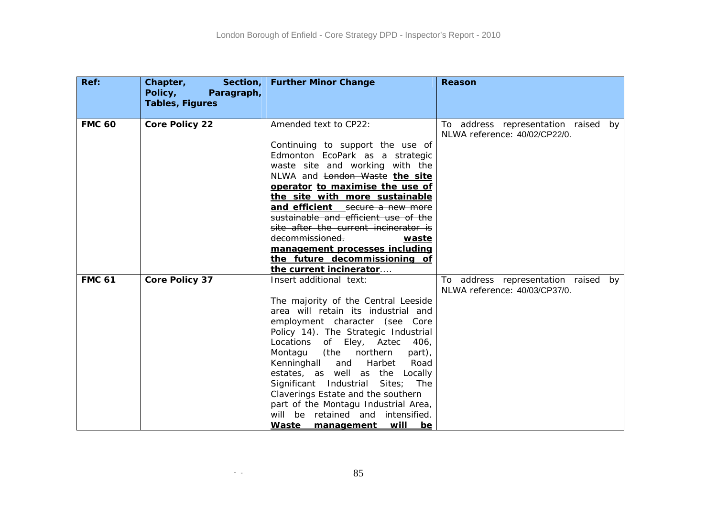| Ref:          | Section,<br>Chapter,<br>Policy,<br>Paragraph,<br><b>Tables, Figures</b> | <b>Further Minor Change</b>                                                                                                                                                                                                                                                                                                                                                                                                                                                                                                    | Reason                                                               |
|---------------|-------------------------------------------------------------------------|--------------------------------------------------------------------------------------------------------------------------------------------------------------------------------------------------------------------------------------------------------------------------------------------------------------------------------------------------------------------------------------------------------------------------------------------------------------------------------------------------------------------------------|----------------------------------------------------------------------|
|               |                                                                         |                                                                                                                                                                                                                                                                                                                                                                                                                                                                                                                                |                                                                      |
| <b>FMC 60</b> | <b>Core Policy 22</b>                                                   | Amended text to CP22:<br>Continuing to support the use of<br>Edmonton EcoPark as a strategic<br>waste site and working with the<br>NLWA and London Waste the site<br>operator to maximise the use of<br>the site with more sustainable<br>and efficient secure a new more<br>sustainable and efficient use of the<br>site after the current incinerator is<br>decommissioned.<br>waste<br>management processes including<br>the future decommissioning of<br>the current incinerator                                           | To address representation raised by<br>NLWA reference: 40/02/CP22/0. |
| <b>FMC 61</b> | <b>Core Policy 37</b>                                                   | Insert additional text:<br>The majority of the Central Leeside<br>area will retain its industrial and<br>employment character (see Core<br>Policy 14). The Strategic Industrial<br>Locations<br>of Eley, Aztec<br>406,<br>Montagu<br>(the northern<br>part),<br>Kenninghall and Harbet<br>Road<br>estates, as well as the Locally<br>Significant Industrial<br>Sites; The<br>Claverings Estate and the southern<br>part of the Montagu Industrial Area,<br>will be retained and intensified.<br>will<br>Waste management<br>be | To address representation raised by<br>NLWA reference: 40/03/CP37/0. |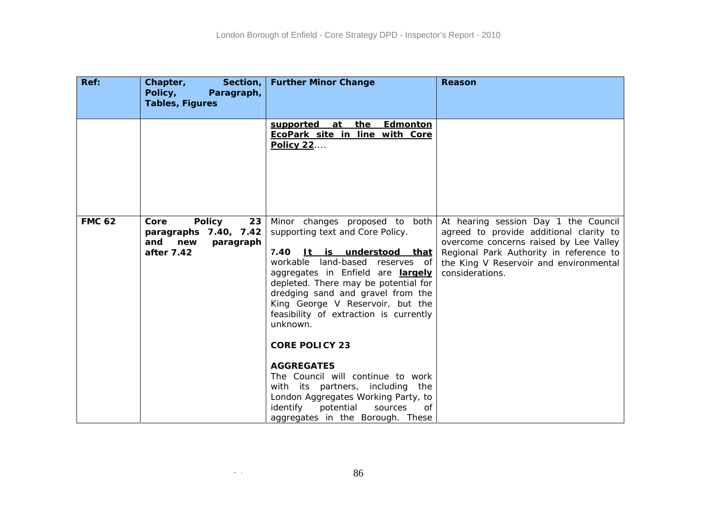| Ref:          | Chapter,<br>Section,<br>Policy,<br>Paragraph,<br><b>Tables, Figures</b>                       | <b>Further Minor Change</b>                                                                                                                                                                                                                                                                                                                                                                                                                                                                                                                                                                          | Reason                                                                                                                                                                                                                            |
|---------------|-----------------------------------------------------------------------------------------------|------------------------------------------------------------------------------------------------------------------------------------------------------------------------------------------------------------------------------------------------------------------------------------------------------------------------------------------------------------------------------------------------------------------------------------------------------------------------------------------------------------------------------------------------------------------------------------------------------|-----------------------------------------------------------------------------------------------------------------------------------------------------------------------------------------------------------------------------------|
|               |                                                                                               | supported<br><b>Edmonton</b><br>at<br><u>the</u><br>EcoPark site in line with Core<br><b>Policy 22</b>                                                                                                                                                                                                                                                                                                                                                                                                                                                                                               |                                                                                                                                                                                                                                   |
| <b>FMC 62</b> | <b>Policy</b><br>Core<br>23<br>paragraphs 7.40, 7.42<br>and<br>new<br>paragraph<br>after 7.42 | Minor changes proposed to both<br>supporting text and Core Policy.<br>7.40<br>It is understood that<br>land-based reserves of<br>workable<br>aggregates in Enfield are largely<br>depleted. There may be potential for<br>dredging sand and gravel from the<br>King George V Reservoir, but the<br>feasibility of extraction is currently<br>unknown.<br><b>CORE POLICY 23</b><br><b>AGGREGATES</b><br>The Council will continue to work<br>with its partners, including<br>the<br>London Aggregates Working Party, to<br>identify<br>potential<br>sources<br>0f<br>aggregates in the Borough. These | At hearing session Day 1 the Council<br>agreed to provide additional clarity to<br>overcome concerns raised by Lee Valley<br>Regional Park Authority in reference to<br>the King V Reservoir and environmental<br>considerations. |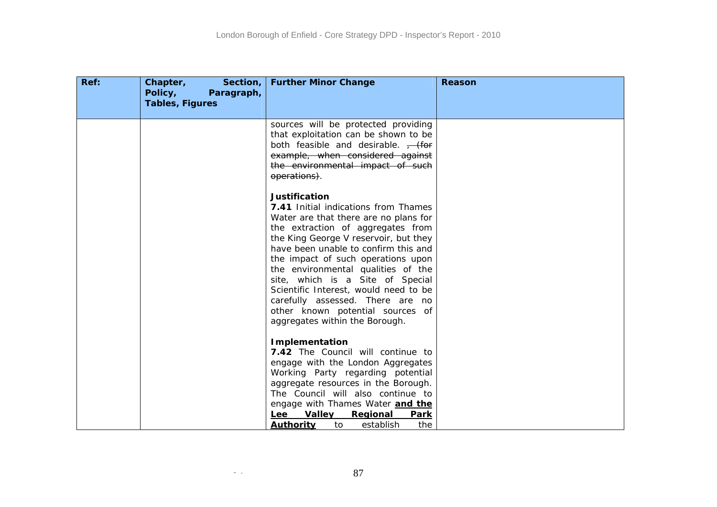| Chapter,<br>Section,<br>Policy,<br>Paragraph,<br><b>Tables, Figures</b> | <b>Further Minor Change</b>                                                                                                                                                                                                                                                                                                                                                                                                                                                                    | <b>Reason</b> |
|-------------------------------------------------------------------------|------------------------------------------------------------------------------------------------------------------------------------------------------------------------------------------------------------------------------------------------------------------------------------------------------------------------------------------------------------------------------------------------------------------------------------------------------------------------------------------------|---------------|
|                                                                         |                                                                                                                                                                                                                                                                                                                                                                                                                                                                                                |               |
|                                                                         | sources will be protected providing<br>that exploitation can be shown to be<br>both feasible and desirable. $\frac{1}{1}$ (for<br>example, when considered against<br>the environmental impact of such<br>operations).                                                                                                                                                                                                                                                                         |               |
|                                                                         | <b>Justification</b><br>7.41 Initial indications from Thames<br>Water are that there are no plans for<br>the extraction of aggregates from<br>the King George V reservoir, but they<br>have been unable to confirm this and<br>the impact of such operations upon<br>the environmental qualities of the<br>site, which is a Site of Special<br>Scientific Interest, would need to be<br>carefully assessed. There are no<br>other known potential sources of<br>aggregates within the Borough. |               |
|                                                                         | <b>Implementation</b><br>7.42 The Council will continue to<br>engage with the London Aggregates<br>Working Party regarding potential<br>aggregate resources in the Borough.<br>The Council will also continue to<br>engage with Thames Water and the<br><b>Valley</b><br>Regional<br>Lee<br><b>Park</b><br><b>Authority</b><br>the<br>establish                                                                                                                                                |               |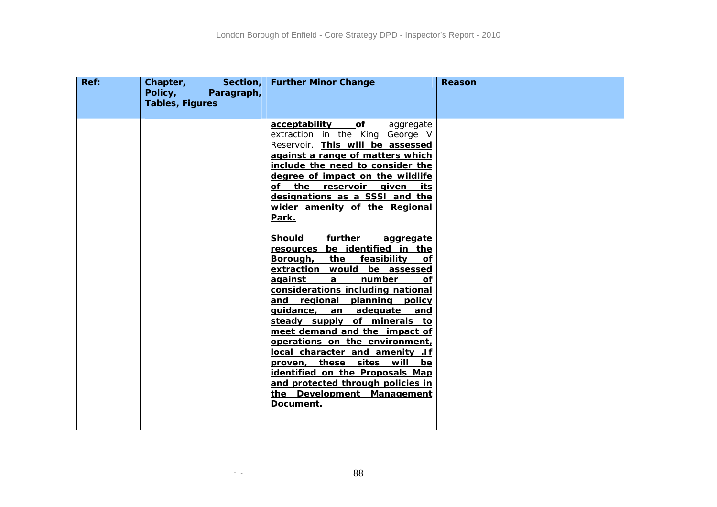| of<br>acceptability<br>aggregate<br>extraction in the King George V<br>Reservoir. This will be assessed<br>against a range of matters which<br>include the need to consider the<br>degree of impact on the wildlife<br>of the reservoir given<br>its<br>designations as a SSSI and the<br>wider amenity of the Regional<br>Park.<br>further<br><b>Should</b><br>aggregate<br>be identified in the<br>resources<br>the<br><u>feasibility</u><br><u>Borough,</u><br>of.<br>extraction would be assessed<br>number<br><u>aqainst_</u><br>$\mathbf{a}$<br>of<br>considerations including national<br>and regional planning policy<br>guidance, an adequate and<br>steady supply of minerals to<br>meet demand and the impact of<br>operations on the environment,<br>local character and amenity .If<br>proven, these sites will<br>be<br>identified on the Proposals Map<br>and protected through policies in<br>the Development Management<br>Document. | Ref: | Section,<br>Chapter,<br>Policy,<br>Paragraph,<br><b>Tables, Figures</b> | <b>Further Minor Change</b> | Reason |
|-------------------------------------------------------------------------------------------------------------------------------------------------------------------------------------------------------------------------------------------------------------------------------------------------------------------------------------------------------------------------------------------------------------------------------------------------------------------------------------------------------------------------------------------------------------------------------------------------------------------------------------------------------------------------------------------------------------------------------------------------------------------------------------------------------------------------------------------------------------------------------------------------------------------------------------------------------|------|-------------------------------------------------------------------------|-----------------------------|--------|
|                                                                                                                                                                                                                                                                                                                                                                                                                                                                                                                                                                                                                                                                                                                                                                                                                                                                                                                                                       |      |                                                                         |                             |        |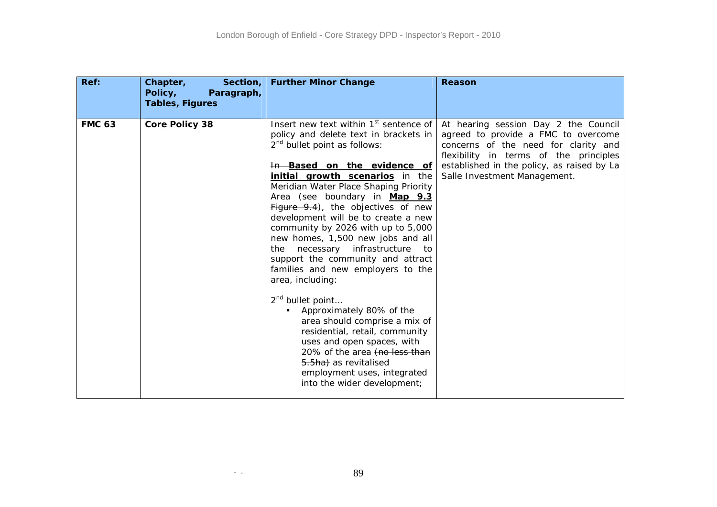| Ref:          | Chapter,<br>Section,<br>Policy,<br>Paragraph,<br><b>Tables, Figures</b> | <b>Further Minor Change</b>                                                                                                                                                                                                                                                                                                                                                                                                                                                                                                                                                                                                                                                                                                                                                                                                                                             | Reason                                                                                                                                                                                                                                      |
|---------------|-------------------------------------------------------------------------|-------------------------------------------------------------------------------------------------------------------------------------------------------------------------------------------------------------------------------------------------------------------------------------------------------------------------------------------------------------------------------------------------------------------------------------------------------------------------------------------------------------------------------------------------------------------------------------------------------------------------------------------------------------------------------------------------------------------------------------------------------------------------------------------------------------------------------------------------------------------------|---------------------------------------------------------------------------------------------------------------------------------------------------------------------------------------------------------------------------------------------|
| <b>FMC 63</b> | <b>Core Policy 38</b>                                                   | Insert new text within 1 <sup>st</sup> sentence of<br>policy and delete text in brackets in<br>2 <sup>nd</sup> bullet point as follows:<br>In Based on the evidence of<br>initial growth scenarios in the<br>Meridian Water Place Shaping Priority<br>Area (see boundary in Map 9.3<br>Figure 9.4), the objectives of new<br>development will be to create a new<br>community by 2026 with up to 5,000<br>new homes, 1,500 new jobs and all<br>the necessary<br>infrastructure<br>to<br>support the community and attract<br>families and new employers to the<br>area, including:<br>2 <sup>nd</sup> bullet point<br>Approximately 80% of the<br>area should comprise a mix of<br>residential, retail, community<br>uses and open spaces, with<br>20% of the area (no less than<br>5.5ha) as revitalised<br>employment uses, integrated<br>into the wider development; | At hearing session Day 2 the Council<br>agreed to provide a FMC to overcome<br>concerns of the need for clarity and<br>flexibility in terms of the principles<br>established in the policy, as raised by La<br>Salle Investment Management. |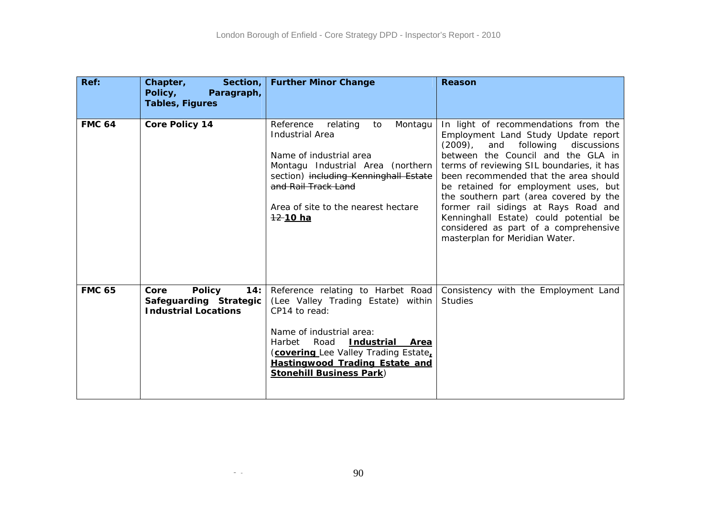| Ref:          | Section,<br>Chapter,<br>Policy,<br>Paragraph,<br><b>Tables, Figures</b>               | <b>Further Minor Change</b>                                                                                                                                                                                                                                                          | <b>Reason</b>                                                                                                                                                                                                                                                                                                                                                                                                                                                                                        |
|---------------|---------------------------------------------------------------------------------------|--------------------------------------------------------------------------------------------------------------------------------------------------------------------------------------------------------------------------------------------------------------------------------------|------------------------------------------------------------------------------------------------------------------------------------------------------------------------------------------------------------------------------------------------------------------------------------------------------------------------------------------------------------------------------------------------------------------------------------------------------------------------------------------------------|
| <b>FMC 64</b> | <b>Core Policy 14</b>                                                                 | Reference<br>relating<br>to<br>Montagu<br><b>Industrial Area</b><br>Name of industrial area<br>Montagu Industrial Area (northern<br>section) including Kenninghall Estate<br>and Rail Track Land<br>Area of site to the nearest hectare<br><u>12-10 ha</u>                           | In light of recommendations from the<br>Employment Land Study Update report<br>$(2009)$ ,<br>and following<br>discussions<br>between the Council and the GLA in<br>terms of reviewing SIL boundaries, it has<br>been recommended that the area should<br>be retained for employment uses, but<br>the southern part (area covered by the<br>former rail sidings at Rays Road and<br>Kenninghall Estate) could potential be<br>considered as part of a comprehensive<br>masterplan for Meridian Water. |
| <b>FMC 65</b> | Core<br><b>Policy</b><br>14:<br>Safeguarding Strategic<br><b>Industrial Locations</b> | Reference relating to Harbet Road<br>(Lee Valley Trading Estate) within<br>CP14 to read:<br>Name of industrial area:<br>Road<br><b>Industrial Area</b><br>Harbet<br>(covering Lee Valley Trading Estate,<br><b>Hastingwood Trading Estate and</b><br><b>Stonehill Business Park)</b> | Consistency with the Employment Land<br><b>Studies</b>                                                                                                                                                                                                                                                                                                                                                                                                                                               |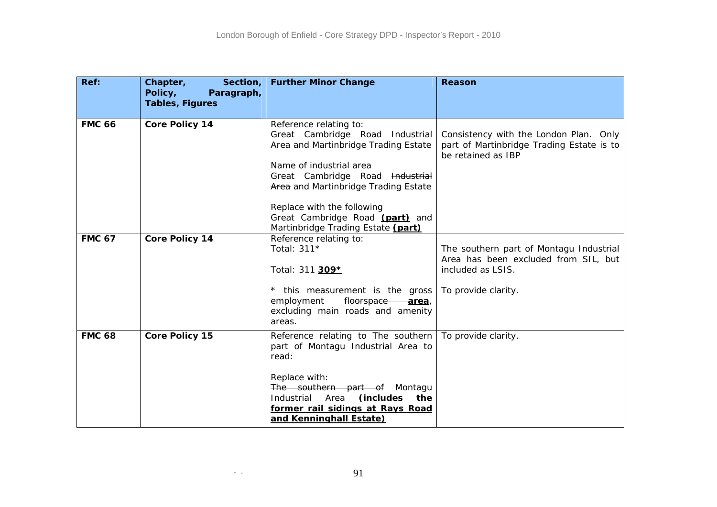| Ref:          | Chapter,<br>Section,<br>Policy,<br>Paragraph,<br><b>Tables, Figures</b> | <b>Further Minor Change</b>                                                                                                                                                                                                                                                                                    | Reason                                                                                                                      |
|---------------|-------------------------------------------------------------------------|----------------------------------------------------------------------------------------------------------------------------------------------------------------------------------------------------------------------------------------------------------------------------------------------------------------|-----------------------------------------------------------------------------------------------------------------------------|
| <b>FMC 66</b> | <b>Core Policy 14</b>                                                   | Reference relating to:<br>Great Cambridge Road Industrial<br>Area and Martinbridge Trading Estate<br>Name of industrial area<br>Great Cambridge Road Industrial<br>Area and Martinbridge Trading Estate<br>Replace with the following<br>Great Cambridge Road (part) and<br>Martinbridge Trading Estate (part) | Consistency with the London Plan. Only<br>part of Martinbridge Trading Estate is to<br>be retained as IBP                   |
| <b>FMC 67</b> | <b>Core Policy 14</b>                                                   | Reference relating to:<br>Total: 311*<br>Total: 311-309*<br>* this measurement is the gross<br>employment<br>floorspace<br><u>-area,</u><br>excluding main roads and amenity<br>areas.                                                                                                                         | The southern part of Montagu Industrial<br>Area has been excluded from SIL, but<br>included as LSIS.<br>To provide clarity. |
| <b>FMC 68</b> | <b>Core Policy 15</b>                                                   | Reference relating to The southern<br>part of Montagu Industrial Area to<br>read:<br>Replace with:<br>The southern part of Montagu<br>Industrial<br>Area<br>(includes the<br>former rail sidings at Rays Road<br>and Kenninghall Estate)                                                                       | To provide clarity.                                                                                                         |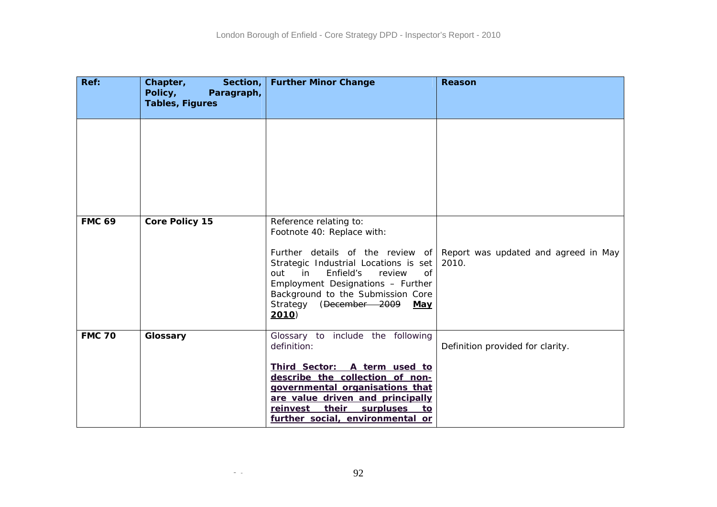| Ref:          | Chapter,<br>Section,<br>Policy,<br>Paragraph, | <b>Further Minor Change</b>                                                                                                                                                                                                                                                                                          | Reason                                        |
|---------------|-----------------------------------------------|----------------------------------------------------------------------------------------------------------------------------------------------------------------------------------------------------------------------------------------------------------------------------------------------------------------------|-----------------------------------------------|
|               | <b>Tables, Figures</b>                        |                                                                                                                                                                                                                                                                                                                      |                                               |
|               |                                               |                                                                                                                                                                                                                                                                                                                      |                                               |
| <b>FMC 69</b> | <b>Core Policy 15</b>                         | Reference relating to:<br>Footnote 40: Replace with:<br>Further details of the review of<br>Strategic Industrial Locations is set<br>in<br>Enfield's<br>review<br><sub>O</sub> f<br>out<br>Employment Designations - Further<br>Background to the Submission Core<br>Strategy (December 2009<br>May<br><b>2010</b> ) | Report was updated and agreed in May<br>2010. |
| <b>FMC 70</b> | Glossary                                      | Glossary to include the following<br>definition:<br>Third Sector: A term used to<br>describe the collection of non-<br>governmental organisations that<br>are value driven and principally<br>reinvest their<br>surpluses<br>to<br>further social, environmental or                                                  | Definition provided for clarity.              |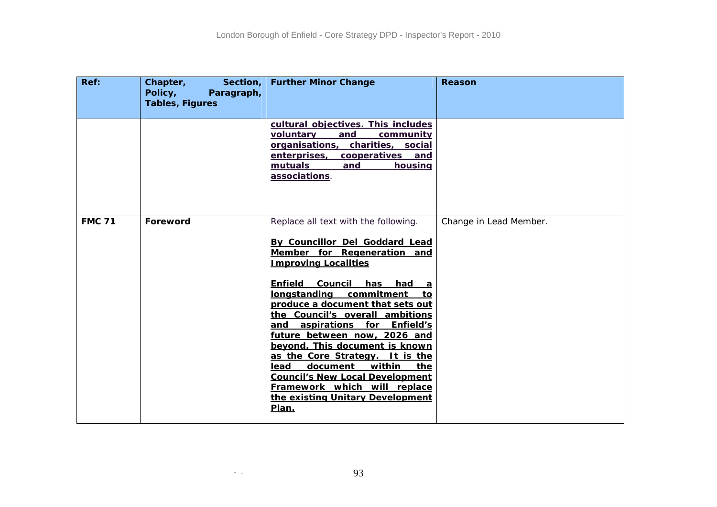| Ref:          | Chapter,<br>Section,<br>Policy,<br>Paragraph,<br><b>Tables, Figures</b> | <b>Further Minor Change</b>                                                                                                                                                                                                                                                                                                                                                                                                                                                                                                                                                                 | Reason                 |
|---------------|-------------------------------------------------------------------------|---------------------------------------------------------------------------------------------------------------------------------------------------------------------------------------------------------------------------------------------------------------------------------------------------------------------------------------------------------------------------------------------------------------------------------------------------------------------------------------------------------------------------------------------------------------------------------------------|------------------------|
|               |                                                                         | cultural objectives. This includes<br>voluntary<br>and<br>community<br>organisations, charities, social<br>cooperatives<br>enterprises,<br>and<br>mutuals<br>housing<br>and<br>associations.                                                                                                                                                                                                                                                                                                                                                                                                |                        |
| <b>FMC 71</b> | Foreword                                                                | Replace all text with the following.<br>By Councillor Del Goddard Lead<br>Member for Regeneration and<br><b>Improving Localities</b><br>Enfield<br><b>Council</b><br>has<br>had a<br>longstanding commitment<br>to<br>produce a document that sets out<br>the Council's overall ambitions<br>and aspirations for Enfield's<br>future between now, 2026 and<br>beyond. This document is known<br>as the Core Strategy. It is the<br>within<br>lead<br>document<br>the<br><b>Council's New Local Development</b><br>Framework which will replace<br>the existing Unitary Development<br>Plan. | Change in Lead Member. |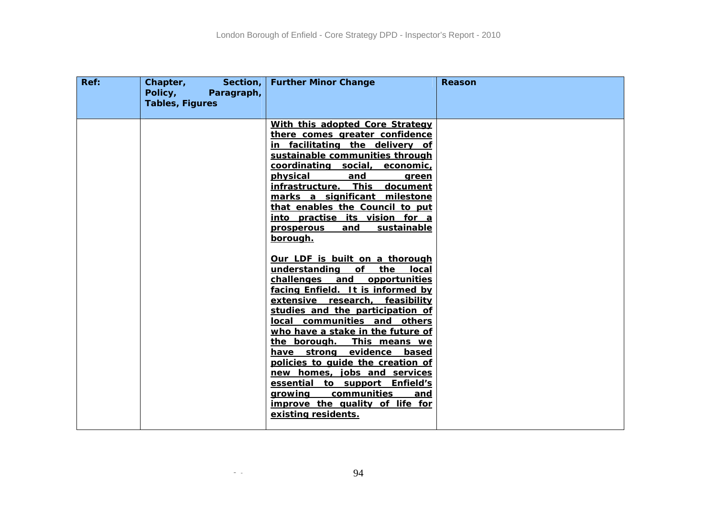| Ref: | Section,<br>Chapter,<br>Policy,<br>Paragraph,<br><b>Tables, Figures</b> | <b>Further Minor Change</b>                                                                                                                                                                                                                                                                                                                                                                                                                                                                                                                                                                                                                                                                                                                                                                                                                                                                                                                                                  | Reason |
|------|-------------------------------------------------------------------------|------------------------------------------------------------------------------------------------------------------------------------------------------------------------------------------------------------------------------------------------------------------------------------------------------------------------------------------------------------------------------------------------------------------------------------------------------------------------------------------------------------------------------------------------------------------------------------------------------------------------------------------------------------------------------------------------------------------------------------------------------------------------------------------------------------------------------------------------------------------------------------------------------------------------------------------------------------------------------|--------|
|      |                                                                         | With this adopted Core Strategy<br>there comes greater confidence<br>in facilitating the delivery of<br>sustainable communities through<br>coordinating social,<br>economic,<br><u>physical</u><br>and<br>green<br>infrastructure. This<br>document<br>marks a significant milestone<br>that enables the Council to put<br>into practise its vision for a<br>sustainable<br><u>and</u><br><b>prosperous</b><br>borough.<br>Our LDF is built on a thorough<br>understanding<br>of the<br>local<br>challenges and opportunities<br>facing Enfield. It is informed by<br>extensive research, feasibility<br>studies and the participation of<br>local communities and others<br>who have a stake in the future of<br>the borough. This means we<br>have strong evidence based<br>policies to quide the creation of<br>new homes, jobs and services<br>essential to support Enfield's<br>communities<br>growing<br>and<br>improve the quality of life for<br>existing residents. |        |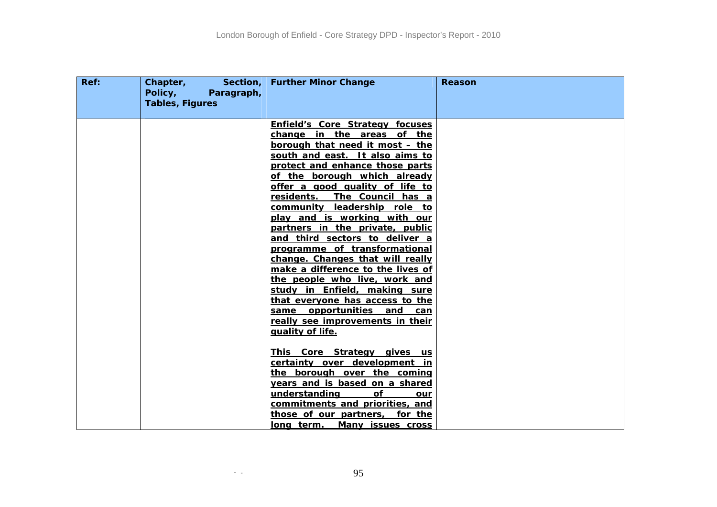| Ref: | Section,<br>Chapter,<br>Policy,<br>Paragraph,<br><b>Tables, Figures</b> | <b>Further Minor Change</b>                                                                                                                                                                                                                                                                                                                                                                                                                                                                                                                                                                                                                                                                                                                               | Reason |
|------|-------------------------------------------------------------------------|-----------------------------------------------------------------------------------------------------------------------------------------------------------------------------------------------------------------------------------------------------------------------------------------------------------------------------------------------------------------------------------------------------------------------------------------------------------------------------------------------------------------------------------------------------------------------------------------------------------------------------------------------------------------------------------------------------------------------------------------------------------|--------|
|      |                                                                         | <b>Enfield's Core Strategy focuses</b><br>change in the areas of the<br>borough that need it most - the<br>south and east. It also aims to<br>protect and enhance those parts<br>of the borough which already<br>offer a good quality of life to<br>residents. The Council has a<br>community leadership role to<br>play and is working with our<br>partners in the private, public<br>and third sectors to deliver a<br>programme of transformational<br>change. Changes that will really<br>make a difference to the lives of<br>the people who live, work and<br>study in Enfield, making sure<br>that everyone has access to the<br>same opportunities and can<br>really see improvements in their<br>quality of life.<br>This Core Strategy gives us |        |
|      |                                                                         | certainty over development in<br>the borough over the coming<br>years and is based on a shared<br>understanding<br>Οf<br>our<br>commitments and priorities, and<br>those of our partners, for the<br>long term. Many issues cross                                                                                                                                                                                                                                                                                                                                                                                                                                                                                                                         |        |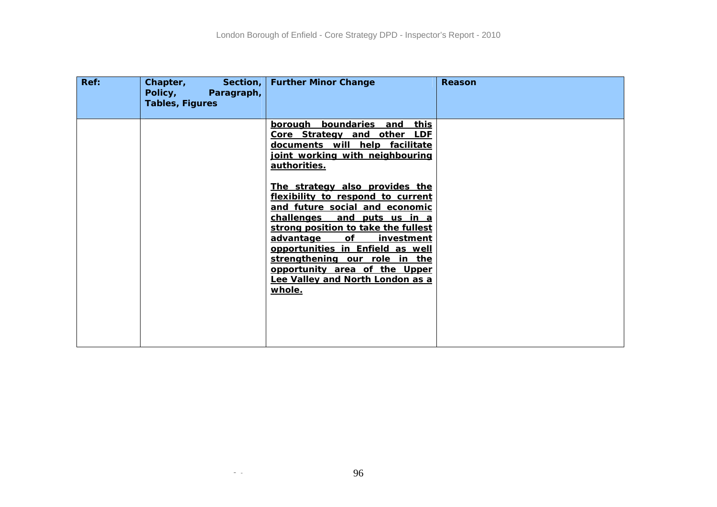| Ref: | Chapter,<br>Section,<br>Policy,<br>Paragraph,<br><b>Tables, Figures</b> | <b>Further Minor Change</b>                                                                                                                                                                                                                                                                                                                                         | <b>Reason</b> |
|------|-------------------------------------------------------------------------|---------------------------------------------------------------------------------------------------------------------------------------------------------------------------------------------------------------------------------------------------------------------------------------------------------------------------------------------------------------------|---------------|
|      |                                                                         | borough boundaries and<br><u>this</u><br>Core Strategy and other LDF<br>documents will help facilitate<br>joint working with neighbouring<br>authorities.                                                                                                                                                                                                           |               |
|      |                                                                         | The strategy also provides the<br>flexibility to respond to current<br>and future social and economic<br>challenges<br>and puts us in a<br>strong position to take the fullest<br>advantage<br>of<br>investment<br>opportunities in Enfield as well<br>strengthening our role in the<br>opportunity area of the Upper<br>Lee Valley and North London as a<br>whole. |               |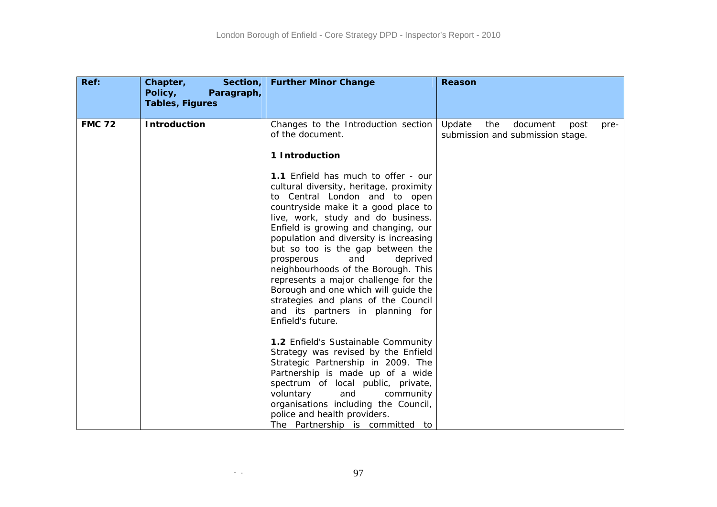| Ref:          | Section,<br>Chapter,<br>Policy,<br>Paragraph,<br><b>Tables, Figures</b> | <b>Further Minor Change</b>                                                                                                                                                                                                                                                                                                                                                                                                                                                                                                                                                                                                                              | <b>Reason</b>                                                                 |
|---------------|-------------------------------------------------------------------------|----------------------------------------------------------------------------------------------------------------------------------------------------------------------------------------------------------------------------------------------------------------------------------------------------------------------------------------------------------------------------------------------------------------------------------------------------------------------------------------------------------------------------------------------------------------------------------------------------------------------------------------------------------|-------------------------------------------------------------------------------|
| <b>FMC 72</b> | <b>Introduction</b>                                                     | Changes to the Introduction section<br>of the document.<br>1 Introduction<br>1.1 Enfield has much to offer - our<br>cultural diversity, heritage, proximity<br>to Central London and to open<br>countryside make it a good place to<br>live, work, study and do business.<br>Enfield is growing and changing, our<br>population and diversity is increasing<br>but so too is the gap between the<br>and<br>deprived<br>prosperous<br>neighbourhoods of the Borough. This<br>represents a major challenge for the<br>Borough and one which will guide the<br>strategies and plans of the Council<br>and its partners in planning for<br>Enfield's future. | Update<br>the<br>document<br>post<br>pre-<br>submission and submission stage. |
|               |                                                                         | 1.2 Enfield's Sustainable Community<br>Strategy was revised by the Enfield<br>Strategic Partnership in 2009. The<br>Partnership is made up of a wide<br>spectrum of local public, private,<br>voluntary<br>and<br>community<br>organisations including the Council,<br>police and health providers.<br>The Partnership is committed to                                                                                                                                                                                                                                                                                                                   |                                                                               |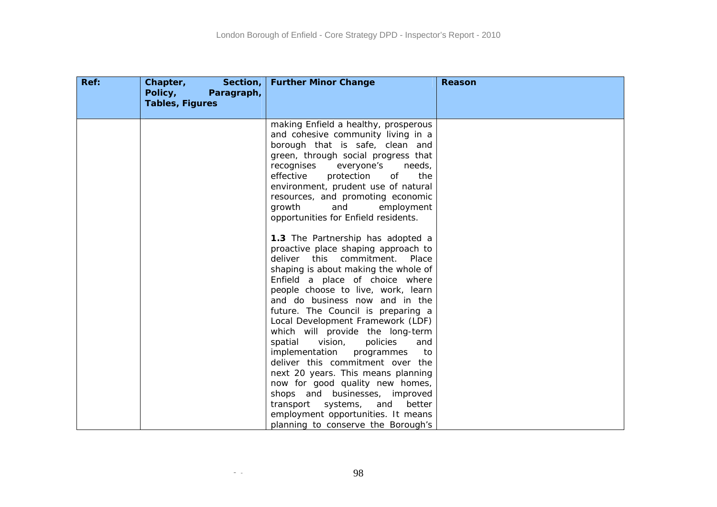| Ref: | Chapter,<br>Section,<br>Policy,<br>Paragraph,<br><b>Tables, Figures</b> | <b>Further Minor Change</b>                                                                                                                                                                                                                                                                                                                                                                                                                                                                                                                                                                                                                                                                                                      | Reason |
|------|-------------------------------------------------------------------------|----------------------------------------------------------------------------------------------------------------------------------------------------------------------------------------------------------------------------------------------------------------------------------------------------------------------------------------------------------------------------------------------------------------------------------------------------------------------------------------------------------------------------------------------------------------------------------------------------------------------------------------------------------------------------------------------------------------------------------|--------|
|      |                                                                         | making Enfield a healthy, prosperous<br>and cohesive community living in a<br>borough that is safe, clean and<br>green, through social progress that<br>recognises<br>everyone's<br>needs,<br>effective<br>of<br>the<br>protection<br>environment, prudent use of natural<br>resources, and promoting economic<br>growth<br>and<br>employment<br>opportunities for Enfield residents.                                                                                                                                                                                                                                                                                                                                            |        |
|      |                                                                         | 1.3 The Partnership has adopted a<br>proactive place shaping approach to<br>deliver this commitment. Place<br>shaping is about making the whole of<br>Enfield a place of choice where<br>people choose to live, work, learn<br>and do business now and in the<br>future. The Council is preparing a<br>Local Development Framework (LDF)<br>which will provide the long-term<br>vision,<br>policies<br>spatial<br>and<br>implementation<br>programmes<br>to<br>deliver this commitment over the<br>next 20 years. This means planning<br>now for good quality new homes,<br>shops and businesses, improved<br>systems,<br>transport<br>and<br>better<br>employment opportunities. It means<br>planning to conserve the Borough's |        |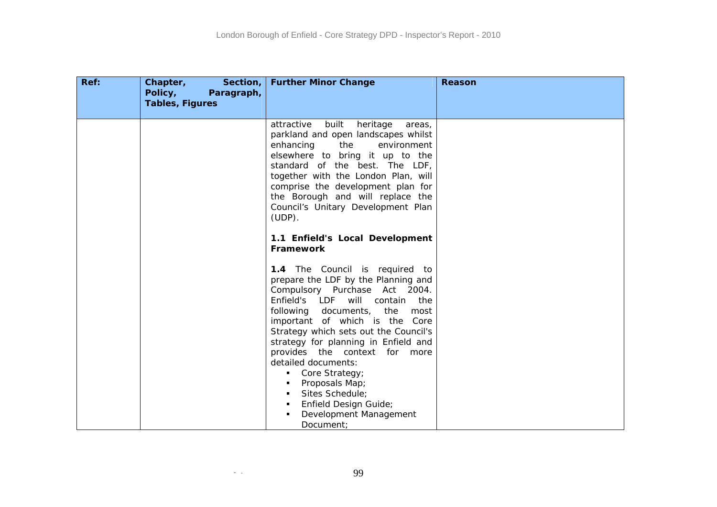| Ref: | Chapter,<br>Section,<br>Policy,<br>Paragraph,<br><b>Tables, Figures</b> | <b>Further Minor Change</b>                                                                                                                                                                                                                                                                                                                                                                                                                                                                   | Reason |
|------|-------------------------------------------------------------------------|-----------------------------------------------------------------------------------------------------------------------------------------------------------------------------------------------------------------------------------------------------------------------------------------------------------------------------------------------------------------------------------------------------------------------------------------------------------------------------------------------|--------|
|      |                                                                         | attractive<br>built<br>heritage<br>areas,<br>parkland and open landscapes whilst<br>enhancing<br>the<br>environment<br>elsewhere to bring it up to the<br>standard of the best. The LDF,<br>together with the London Plan, will<br>comprise the development plan for<br>the Borough and will replace the<br>Council's Unitary Development Plan<br>$(UDP)$ .                                                                                                                                   |        |
|      |                                                                         | 1.1 Enfield's Local Development<br>Framework                                                                                                                                                                                                                                                                                                                                                                                                                                                  |        |
|      |                                                                         | 1.4 The Council is required to<br>prepare the LDF by the Planning and<br>Compulsory Purchase Act 2004.<br>Enfield's LDF will<br>contain<br>the<br>following documents,<br>the<br>most<br>important of which is the Core<br>Strategy which sets out the Council's<br>strategy for planning in Enfield and<br>provides the context for more<br>detailed documents:<br>Core Strategy;<br>Proposals Map;<br>Sites Schedule;<br>Enfield Design Guide;<br>п.<br>Development Management<br>Document: |        |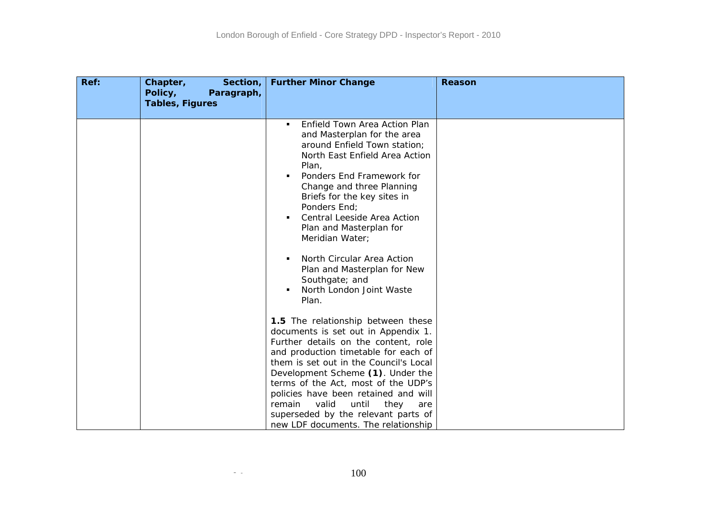| Ref: | Chapter,<br>Section,<br>Policy,<br>Paragraph,<br><b>Tables, Figures</b> | <b>Further Minor Change</b>                                                                                                                                                                                                                                                                                                                                                                                                                                                   | Reason |
|------|-------------------------------------------------------------------------|-------------------------------------------------------------------------------------------------------------------------------------------------------------------------------------------------------------------------------------------------------------------------------------------------------------------------------------------------------------------------------------------------------------------------------------------------------------------------------|--------|
|      |                                                                         | Enfield Town Area Action Plan<br>٠<br>and Masterplan for the area<br>around Enfield Town station;<br>North East Enfield Area Action<br>Plan,<br>Ponders End Framework for<br>Change and three Planning<br>Briefs for the key sites in<br>Ponders End;<br>Central Leeside Area Action<br>$\blacksquare$<br>Plan and Masterplan for<br>Meridian Water;<br>North Circular Area Action<br>٠<br>Plan and Masterplan for New<br>Southgate; and<br>North London Joint Waste<br>Plan. |        |
|      |                                                                         | 1.5 The relationship between these<br>documents is set out in Appendix 1.<br>Further details on the content, role<br>and production timetable for each of<br>them is set out in the Council's Local<br>Development Scheme (1). Under the<br>terms of the Act, most of the UDP's<br>policies have been retained and will<br>valid<br>remain<br>until<br>they<br>are<br>superseded by the relevant parts of<br>new LDF documents. The relationship                              |        |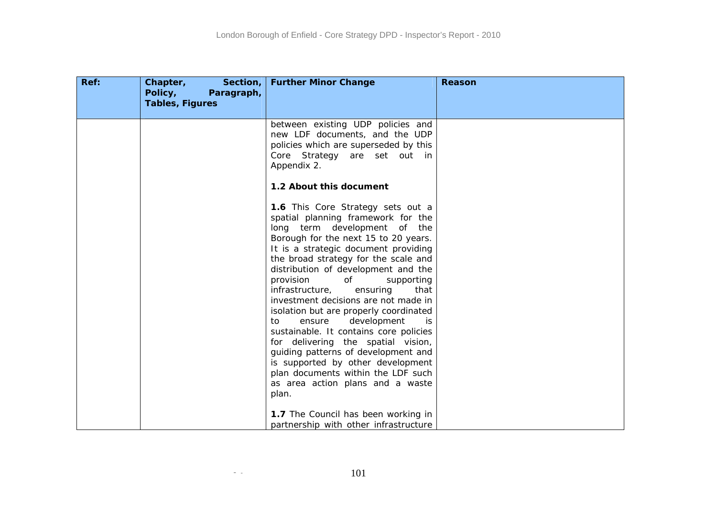| Ref: | Chapter,<br>Section,<br>Policy,<br>Paragraph,<br><b>Tables, Figures</b> | <b>Further Minor Change</b>                                                                                                                                                                                                                                                                                                                                                                                                                                                                                                                                                                                                                                                                                           | <b>Reason</b> |
|------|-------------------------------------------------------------------------|-----------------------------------------------------------------------------------------------------------------------------------------------------------------------------------------------------------------------------------------------------------------------------------------------------------------------------------------------------------------------------------------------------------------------------------------------------------------------------------------------------------------------------------------------------------------------------------------------------------------------------------------------------------------------------------------------------------------------|---------------|
|      |                                                                         | between existing UDP policies and<br>new LDF documents, and the UDP<br>policies which are superseded by this<br>Core Strategy are set out in<br>Appendix 2.                                                                                                                                                                                                                                                                                                                                                                                                                                                                                                                                                           |               |
|      |                                                                         | 1.2 About this document                                                                                                                                                                                                                                                                                                                                                                                                                                                                                                                                                                                                                                                                                               |               |
|      |                                                                         | 1.6 This Core Strategy sets out a<br>spatial planning framework for the<br>long term development of the<br>Borough for the next 15 to 20 years.<br>It is a strategic document providing<br>the broad strategy for the scale and<br>distribution of development and the<br>provision<br>0f<br>supporting<br>infrastructure,<br>ensuring<br>that<br>investment decisions are not made in<br>isolation but are properly coordinated<br>development<br>to<br>ensure<br>is.<br>sustainable. It contains core policies<br>for delivering the spatial vision,<br>guiding patterns of development and<br>is supported by other development<br>plan documents within the LDF such<br>as area action plans and a waste<br>plan. |               |
|      |                                                                         | 1.7 The Council has been working in<br>partnership with other infrastructure                                                                                                                                                                                                                                                                                                                                                                                                                                                                                                                                                                                                                                          |               |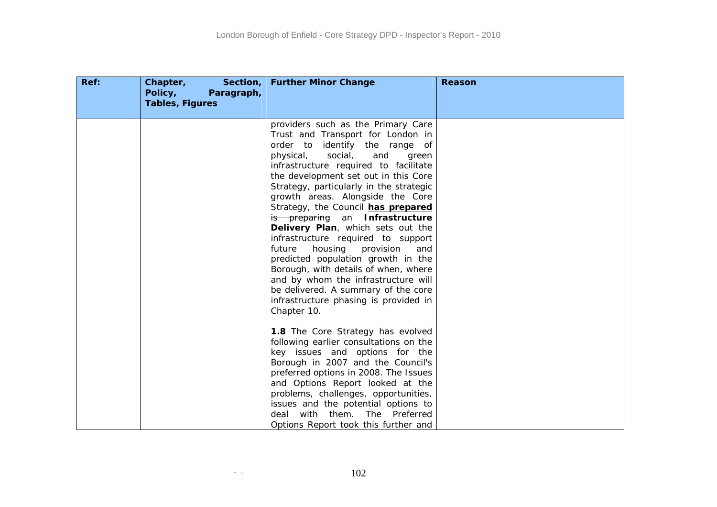| Ref: | Chapter,<br>Section,<br>Policy,<br>Paragraph,<br><b>Tables, Figures</b> | <b>Further Minor Change</b>                                                                                                                                                                                                                                                                                                                                                                                                                                                                                                                                                                                                                                                                                                       | Reason |
|------|-------------------------------------------------------------------------|-----------------------------------------------------------------------------------------------------------------------------------------------------------------------------------------------------------------------------------------------------------------------------------------------------------------------------------------------------------------------------------------------------------------------------------------------------------------------------------------------------------------------------------------------------------------------------------------------------------------------------------------------------------------------------------------------------------------------------------|--------|
|      |                                                                         | providers such as the Primary Care<br>Trust and Transport for London in<br>order to identify the range of<br>social,<br>physical,<br>and<br>green<br>infrastructure required to facilitate<br>the development set out in this Core<br>Strategy, particularly in the strategic<br>growth areas. Alongside the Core<br>Strategy, the Council has prepared<br>is preparing an Infrastructure<br>Delivery Plan, which sets out the<br>infrastructure required to support<br>future<br>housing<br>provision<br>and<br>predicted population growth in the<br>Borough, with details of when, where<br>and by whom the infrastructure will<br>be delivered. A summary of the core<br>infrastructure phasing is provided in<br>Chapter 10. |        |
|      |                                                                         | <b>1.8</b> The Core Strategy has evolved<br>following earlier consultations on the<br>key issues and options for the<br>Borough in 2007 and the Council's<br>preferred options in 2008. The Issues<br>and Options Report looked at the<br>problems, challenges, opportunities,<br>issues and the potential options to<br>with them. The Preferred<br>deal<br>Options Report took this further and                                                                                                                                                                                                                                                                                                                                 |        |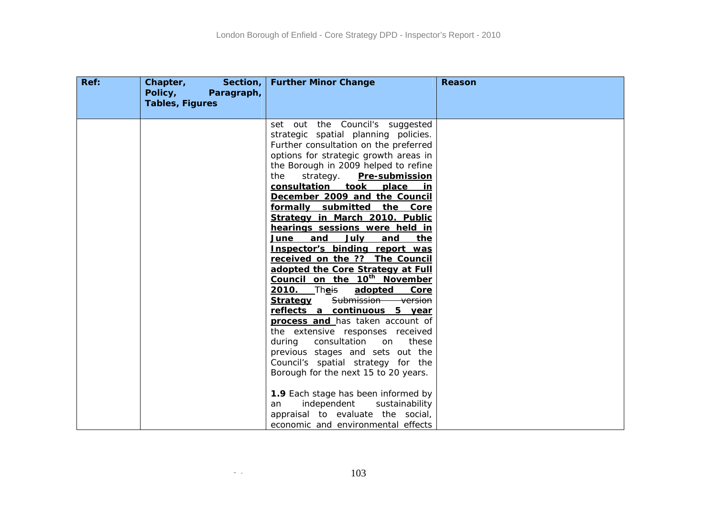| Ref: | Chapter,<br>Section,<br>Policy,<br>Paragraph,<br><b>Tables, Figures</b> | <b>Further Minor Change</b>                                                                                                                                                                                                                                                                                                                                                                                                                                                                                                                                                                                                                                                                                                                                                                                                                                                                                                                                                                                                                                              | Reason |
|------|-------------------------------------------------------------------------|--------------------------------------------------------------------------------------------------------------------------------------------------------------------------------------------------------------------------------------------------------------------------------------------------------------------------------------------------------------------------------------------------------------------------------------------------------------------------------------------------------------------------------------------------------------------------------------------------------------------------------------------------------------------------------------------------------------------------------------------------------------------------------------------------------------------------------------------------------------------------------------------------------------------------------------------------------------------------------------------------------------------------------------------------------------------------|--------|
|      |                                                                         | set out the Council's suggested<br>strategic spatial planning policies.<br>Further consultation on the preferred<br>options for strategic growth areas in<br>the Borough in 2009 helped to refine<br>strategy. Pre-submission<br>the<br>consultation took<br>place<br>in.<br>December 2009 and the Council<br>formally submitted the Core<br>Strategy in March 2010. Public<br>hearings sessions were held in<br>July<br>and<br>and<br>the<br>June<br>Inspector's binding report was<br>received on the ?? The Council<br>adopted the Core Strategy at Full<br>Council on the 10 <sup>th</sup> November<br>2010. Theis<br>adopted<br>Core<br>Submission version<br><u>Strategy</u><br>reflects a continuous 5 year<br>process and has taken account of<br>the extensive responses received<br>during<br>consultation<br>these<br>on<br>previous stages and sets out the<br>Council's spatial strategy for the<br>Borough for the next 15 to 20 years.<br>1.9 Each stage has been informed by<br>independent<br>sustainability<br>an<br>appraisal to evaluate the social, |        |
|      |                                                                         | economic and environmental effects                                                                                                                                                                                                                                                                                                                                                                                                                                                                                                                                                                                                                                                                                                                                                                                                                                                                                                                                                                                                                                       |        |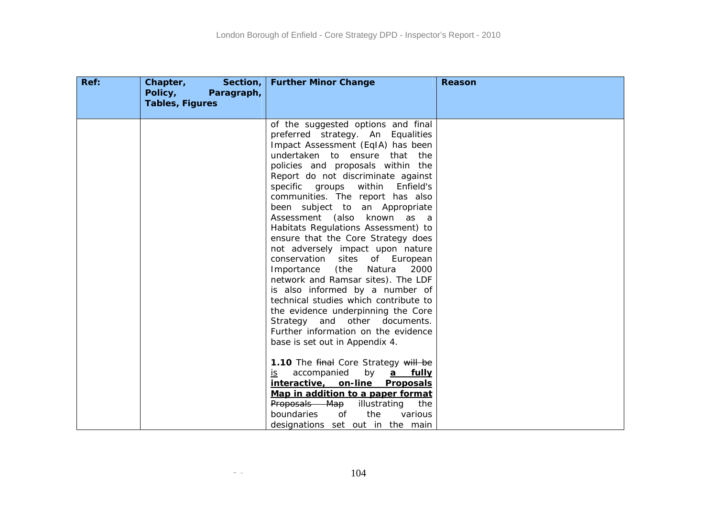| Ref: | Chapter,<br>Section,<br>Policy,<br>Paragraph,<br><b>Tables, Figures</b> | <b>Further Minor Change</b>                                                                                                                                                                                                                                                                                                                                                                                                                                                                                                                                                                                                                                                                                                                                          | <b>Reason</b> |
|------|-------------------------------------------------------------------------|----------------------------------------------------------------------------------------------------------------------------------------------------------------------------------------------------------------------------------------------------------------------------------------------------------------------------------------------------------------------------------------------------------------------------------------------------------------------------------------------------------------------------------------------------------------------------------------------------------------------------------------------------------------------------------------------------------------------------------------------------------------------|---------------|
|      |                                                                         | of the suggested options and final<br>preferred strategy. An Equalities<br>Impact Assessment (EqIA) has been<br>undertaken to ensure<br>that the<br>policies and proposals within the<br>Report do not discriminate against<br>specific groups<br>within<br>Enfield's<br>communities. The report has also<br>been subject to an Appropriate<br>Assessment (also known<br>as a<br>Habitats Regulations Assessment) to<br>ensure that the Core Strategy does<br>not adversely impact upon nature<br>conservation sites<br>of European<br>(the<br>Importance<br>Natura<br>2000<br>network and Ramsar sites). The LDF<br>is also informed by a number of<br>technical studies which contribute to<br>the evidence underpinning the Core<br>Strategy and other documents. |               |
|      |                                                                         | Further information on the evidence<br>base is set out in Appendix 4.<br>1.10 The final Core Strategy will be<br>by<br>accompanied<br>a fully<br>is.<br>interactive, on-line<br>Proposals<br>Map in addition to a paper format<br>Proposals Map<br>illustrating<br>the<br>the<br>boundaries<br>0f<br>various<br>designations set out in the main                                                                                                                                                                                                                                                                                                                                                                                                                     |               |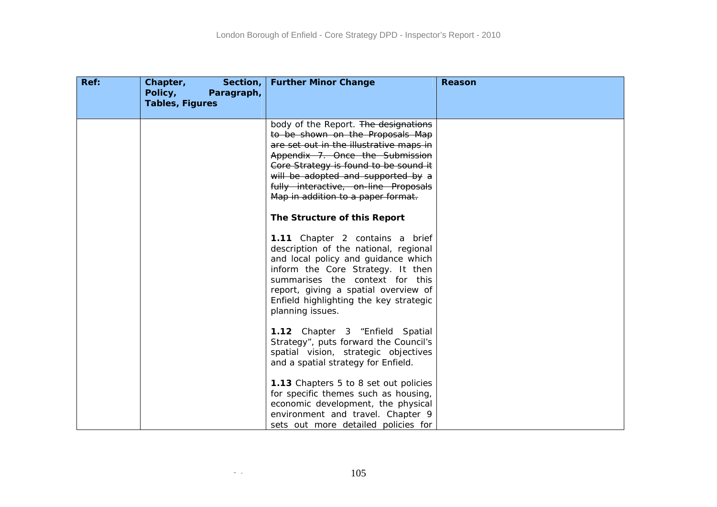| Ref: | Chapter,<br>Section,<br>Policy,<br>Paragraph,<br><b>Tables, Figures</b> | <b>Further Minor Change</b>                                                                                                                                                                                                                                                                                         | <b>Reason</b> |
|------|-------------------------------------------------------------------------|---------------------------------------------------------------------------------------------------------------------------------------------------------------------------------------------------------------------------------------------------------------------------------------------------------------------|---------------|
|      |                                                                         | body of the Report. The designations<br>to be shown on the Proposals Map<br>are set out in the illustrative maps in<br>Appendix 7. Once the Submission<br>Core Strategy is found to be sound it<br>will be adopted and supported by a<br>fully interactive, on-line Proposals<br>Map in addition to a paper format. |               |
|      |                                                                         | The Structure of this Report                                                                                                                                                                                                                                                                                        |               |
|      |                                                                         | 1.11 Chapter 2 contains a brief<br>description of the national, regional<br>and local policy and guidance which<br>inform the Core Strategy. It then<br>summarises the context for this<br>report, giving a spatial overview of<br>Enfield highlighting the key strategic<br>planning issues.                       |               |
|      |                                                                         | 1.12 Chapter 3 "Enfield Spatial<br>Strategy", puts forward the Council's<br>spatial vision, strategic objectives<br>and a spatial strategy for Enfield.                                                                                                                                                             |               |
|      |                                                                         | 1.13 Chapters 5 to 8 set out policies<br>for specific themes such as housing,<br>economic development, the physical<br>environment and travel. Chapter 9<br>sets out more detailed policies for                                                                                                                     |               |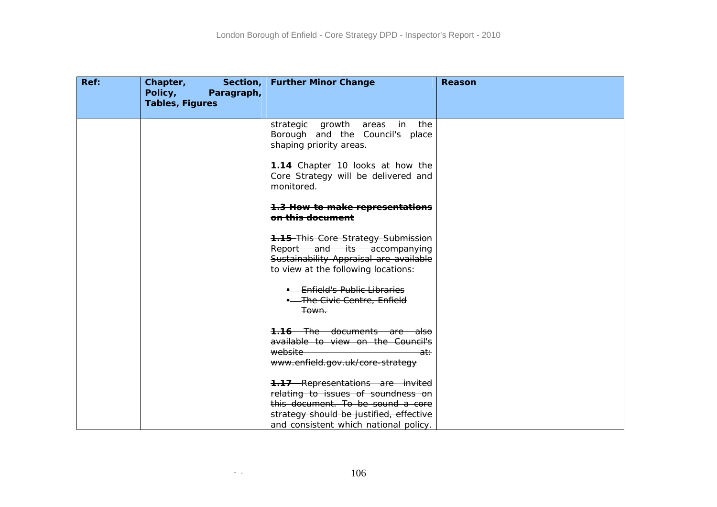| Ref: | Chapter, Section,<br>Policy,<br>Paragraph,<br><b>Tables, Figures</b> | <b>Further Minor Change</b>                                                                                                                                                                            | Reason |
|------|----------------------------------------------------------------------|--------------------------------------------------------------------------------------------------------------------------------------------------------------------------------------------------------|--------|
|      |                                                                      | strategic growth areas in the<br>Borough and the Council's place<br>shaping priority areas.                                                                                                            |        |
|      |                                                                      | 1.14 Chapter 10 looks at how the<br>Core Strategy will be delivered and<br>monitored.                                                                                                                  |        |
|      |                                                                      | 1.3 How to make representations<br>on this document                                                                                                                                                    |        |
|      |                                                                      | <b>1.15-This Core Strategy Submission</b><br>Report and its accompanying<br>Sustainability Appraisal are available<br>to view at the following locations:                                              |        |
|      |                                                                      | <b>-</b> Enfield's Public Libraries<br>- The Civic Centre, Enfield<br><del>Town.</del>                                                                                                                 |        |
|      |                                                                      | <b>1.16</b> The documents are also<br>available to view on the Council's<br>website<br><del>at∶</del><br>www.enfield.gov.uk/core-strategy                                                              |        |
|      |                                                                      | <b>1.17</b> Representations are invited<br>relating to issues of soundness on<br>this document. To be sound a core<br>strategy should be justified, effective<br>and consistent which national policy. |        |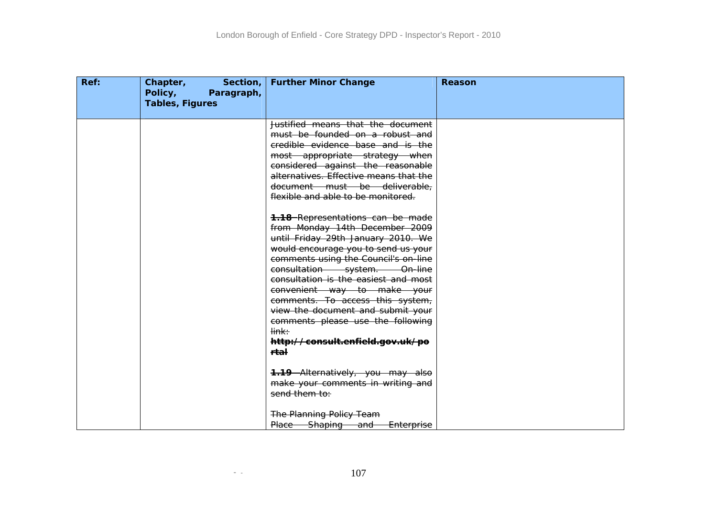| Ref: | Chapter,<br>Section,<br>Policy,<br>Paragraph,<br><b>Tables, Figures</b> | <b>Further Minor Change</b>                                                                                                                                                                    | Reason |
|------|-------------------------------------------------------------------------|------------------------------------------------------------------------------------------------------------------------------------------------------------------------------------------------|--------|
|      |                                                                         | Justified means that the document<br>must be founded on a robust and<br>credible evidence base and is the                                                                                      |        |
|      |                                                                         | most appropriate strategy when<br>considered against the reasonable<br>alternatives. Effective means that the                                                                                  |        |
|      |                                                                         | document must be deliverable,<br>flexible and able to be monitored.                                                                                                                            |        |
|      |                                                                         | <b>1.18</b> Representations can be made<br>from Monday 14th December 2009<br>until Friday 29th January 2010. We<br>would encourage you to send us your<br>comments using the Council's on-line |        |
|      |                                                                         | consultation system. On-line<br>consultation is the easiest and most<br>convenient way to make your<br>comments. To access this system,                                                        |        |
|      |                                                                         | view the document and submit your<br>comments please use the following<br><del>link:</del>                                                                                                     |        |
|      |                                                                         | http://consult.enfield.gov.uk/po<br><del>rtal</del>                                                                                                                                            |        |
|      |                                                                         | 1.19 Alternatively, you may also<br>make your comments in writing and<br>send them to:                                                                                                         |        |
|      |                                                                         | <b>The Planning Policy Team</b><br>Place Shaping and<br>Enterprise                                                                                                                             |        |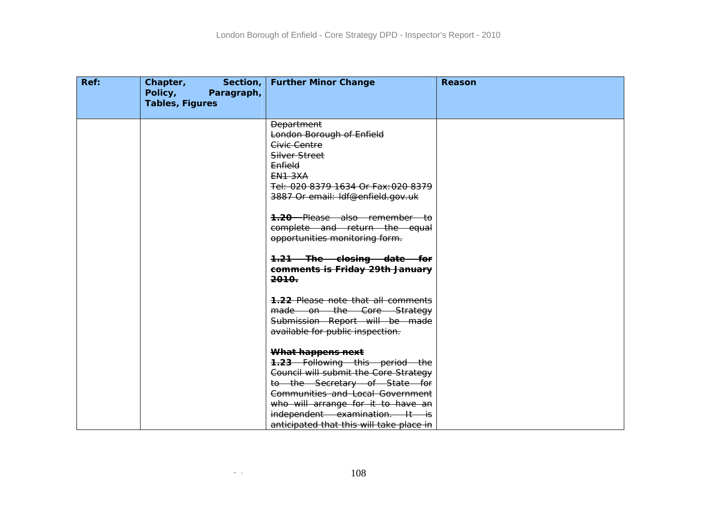| Ref: | <b>Example Section,  </b><br>Chapter,<br>Policy,<br>Paragraph,<br><b>Tables, Figures</b> | <b>Further Minor Change</b>                                                                                                                                                                                                                                                          | Reason |
|------|------------------------------------------------------------------------------------------|--------------------------------------------------------------------------------------------------------------------------------------------------------------------------------------------------------------------------------------------------------------------------------------|--------|
|      |                                                                                          | <b>Department</b><br>London Borough of Enfield<br>Civic Centre<br>Silver Street<br>Enfield<br><b>EN1 3XA</b><br>Tel: 020 8379 1634 Or Fax: 020 8379<br>3887 Or email: Idf@enfield.gov.uk<br><b>1.20</b> Please also remember to<br>complete and return the equal                     |        |
|      |                                                                                          | opportunities monitoring form.<br>1.21 The closing date for<br>comments is Friday 29th January<br><del>2010.</del><br>1.22 Please note that all comments<br>made on the Core Strategy                                                                                                |        |
|      |                                                                                          | Submission Report will be made<br>available for public inspection.<br>What happens next<br><b>1.23</b> Following this period the<br>Council will submit the Core Strategy<br>to the Secretary of State for<br>Communities and Local Government<br>who will arrange for it to have an |        |
|      |                                                                                          | independent examination. It is<br>anticipated that this will take place in                                                                                                                                                                                                           |        |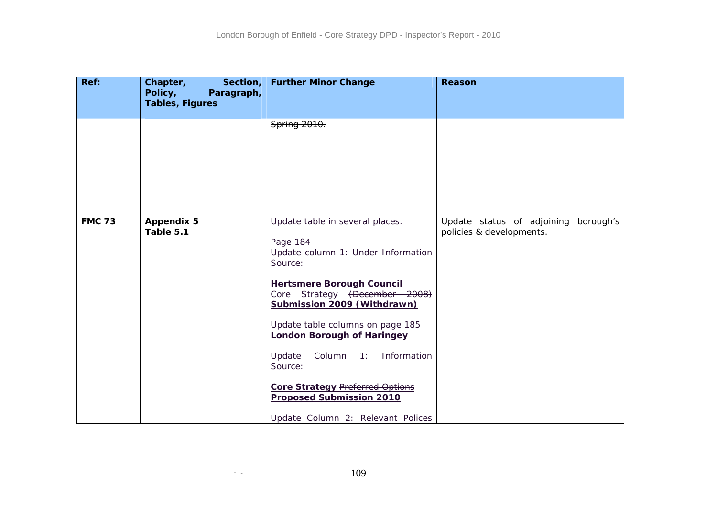| Ref:          | Section,<br>Chapter,<br>Policy,<br>Paragraph,<br><b>Tables, Figures</b> | <b>Further Minor Change</b>                                                                                                                                                                                                                                                                                                                                                                                                               | <b>Reason</b>                                                    |
|---------------|-------------------------------------------------------------------------|-------------------------------------------------------------------------------------------------------------------------------------------------------------------------------------------------------------------------------------------------------------------------------------------------------------------------------------------------------------------------------------------------------------------------------------------|------------------------------------------------------------------|
|               |                                                                         | Spring 2010.                                                                                                                                                                                                                                                                                                                                                                                                                              |                                                                  |
| <b>FMC 73</b> | <b>Appendix 5</b><br>Table 5.1                                          | Update table in several places.<br>Page 184<br>Update column 1: Under Information<br>Source:<br><b>Hertsmere Borough Council</b><br>Core Strategy (December 2008)<br>Submission 2009 (Withdrawn)<br>Update table columns on page 185<br><b>London Borough of Haringey</b><br>Column 1: Information<br>Update<br>Source:<br><b>Core Strategy Preferred Options</b><br><b>Proposed Submission 2010</b><br>Update Column 2: Relevant Polices | Update status of adjoining borough's<br>policies & developments. |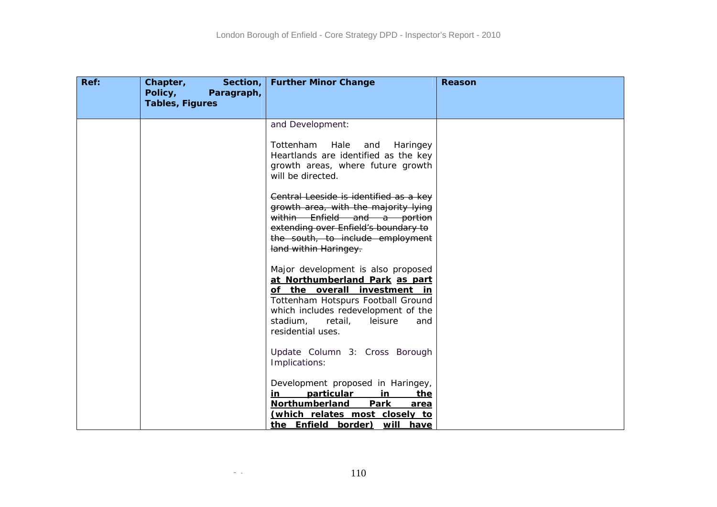| Ref: | Chapter,<br>Section, $ $<br>Policy,<br>Paragraph,<br><b>Tables, Figures</b> | <b>Further Minor Change</b>                                                                                                                                                                                                                     | Reason |
|------|-----------------------------------------------------------------------------|-------------------------------------------------------------------------------------------------------------------------------------------------------------------------------------------------------------------------------------------------|--------|
|      |                                                                             | and Development:                                                                                                                                                                                                                                |        |
|      |                                                                             | Tottenham<br>Hale<br>and<br>Haringey<br>Heartlands are identified as the key<br>growth areas, where future growth<br>will be directed.                                                                                                          |        |
|      |                                                                             | Central Leeside is identified as a key<br>growth area, with the majority lying<br>within Enfield and a portion<br>extending over Enfield's boundary to<br>the south, to include employment<br>land within Haringey.                             |        |
|      |                                                                             | Major development is also proposed<br>at Northumberland Park as part<br>of the overall investment in<br>Tottenham Hotspurs Football Ground<br>which includes redevelopment of the<br>stadium,<br>retail,<br>leisure<br>and<br>residential uses. |        |
|      |                                                                             | Update Column 3: Cross Borough<br>Implications:                                                                                                                                                                                                 |        |
|      |                                                                             | Development proposed in Haringey,<br>particular<br>in<br>the<br>in<br>Northumberland<br>Park<br>area<br>(which relates most closely to<br>the Enfield border) will have                                                                         |        |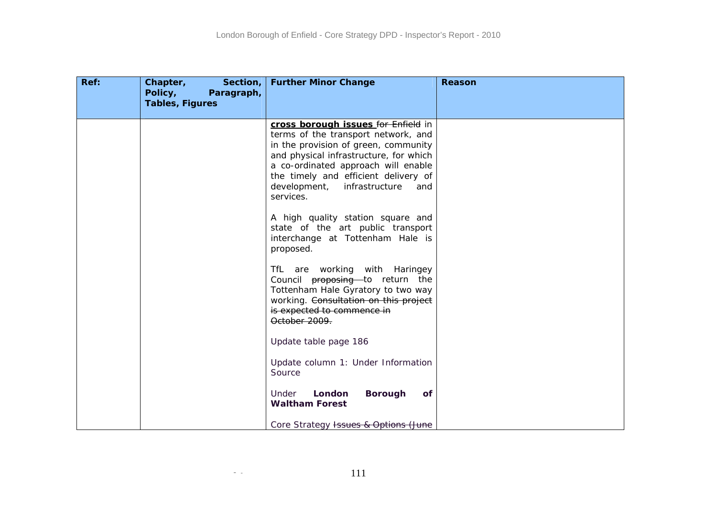| Ref: | Chapter,<br>Section,<br>Policy,<br>Paragraph,<br><b>Tables, Figures</b> | <b>Further Minor Change</b>                                                                                                                                                                                                                                                                       | <b>Reason</b> |
|------|-------------------------------------------------------------------------|---------------------------------------------------------------------------------------------------------------------------------------------------------------------------------------------------------------------------------------------------------------------------------------------------|---------------|
|      |                                                                         | cross borough issues for Enfield in<br>terms of the transport network, and<br>in the provision of green, community<br>and physical infrastructure, for which<br>a co-ordinated approach will enable<br>the timely and efficient delivery of<br>development,<br>infrastructure<br>and<br>services. |               |
|      |                                                                         | A high quality station square and<br>state of the art public transport<br>interchange at Tottenham Hale is<br>proposed.                                                                                                                                                                           |               |
|      |                                                                         | TfL are working with Haringey<br>Council proposing to return the<br>Tottenham Hale Gyratory to two way<br>working. Consultation on this project<br>is expected to commence in<br>October 2009.                                                                                                    |               |
|      |                                                                         | Update table page 186                                                                                                                                                                                                                                                                             |               |
|      |                                                                         | Update column 1: Under Information<br>Source                                                                                                                                                                                                                                                      |               |
|      |                                                                         | <b>Borough</b><br>London<br><b>of</b><br>Under<br><b>Waltham Forest</b>                                                                                                                                                                                                                           |               |
|      |                                                                         | Core Strategy Issues & Options (June                                                                                                                                                                                                                                                              |               |